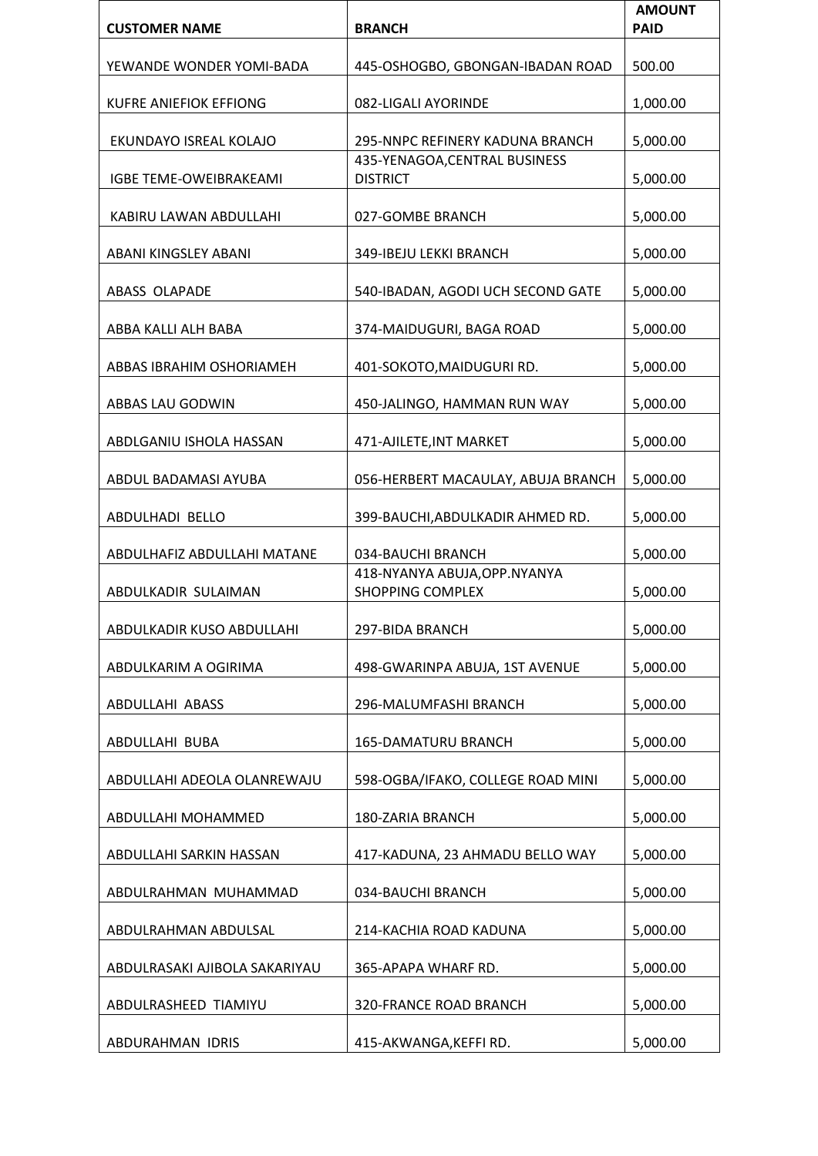| <b>CUSTOMER NAME</b>          | <b>BRANCH</b>                                            | <b>AMOUNT</b><br><b>PAID</b> |
|-------------------------------|----------------------------------------------------------|------------------------------|
|                               |                                                          |                              |
| YEWANDE WONDER YOMI-BADA      | 445-OSHOGBO, GBONGAN-IBADAN ROAD                         | 500.00                       |
| <b>KUFRE ANIEFIOK EFFIONG</b> | 082-LIGALI AYORINDE                                      | 1,000.00                     |
| EKUNDAYO ISREAL KOLAJO        | 295-NNPC REFINERY KADUNA BRANCH                          | 5,000.00                     |
|                               | 435-YENAGOA, CENTRAL BUSINESS                            |                              |
| IGBE TEME-OWEIBRAKEAMI        | <b>DISTRICT</b>                                          | 5,000.00                     |
| KABIRU LAWAN ABDULLAHI        | 027-GOMBE BRANCH                                         | 5,000.00                     |
| ABANI KINGSLEY ABANI          | 349-IBEJU LEKKI BRANCH                                   | 5,000.00                     |
| <b>ABASS OLAPADE</b>          | 540-IBADAN, AGODI UCH SECOND GATE                        | 5,000.00                     |
| ABBA KALLI ALH BABA           | 374-MAIDUGURI, BAGA ROAD                                 | 5,000.00                     |
| ABBAS IBRAHIM OSHORIAMEH      | 401-SOKOTO, MAIDUGURI RD.                                | 5,000.00                     |
| ABBAS LAU GODWIN              | 450-JALINGO, HAMMAN RUN WAY                              | 5,000.00                     |
| ABDLGANIU ISHOLA HASSAN       | 471-AJILETE, INT MARKET                                  | 5,000.00                     |
| ABDUL BADAMASI AYUBA          | 056-HERBERT MACAULAY, ABUJA BRANCH                       | 5,000.00                     |
| ABDULHADI BELLO               | 399-BAUCHI, ABDULKADIR AHMED RD.                         | 5,000.00                     |
| ABDULHAFIZ ABDULLAHI MATANE   | 034-BAUCHI BRANCH                                        | 5,000.00                     |
| ABDULKADIR SULAIMAN           | 418-NYANYA ABUJA, OPP. NYANYA<br><b>SHOPPING COMPLEX</b> | 5,000.00                     |
| ABDULKADIR KUSO ABDULLAHI     | 297-BIDA BRANCH                                          | 5,000.00                     |
| ABDULKARIM A OGIRIMA          | 498-GWARINPA ABUJA, 1ST AVENUE                           | 5,000.00                     |
| ABDULLAHI ABASS               | 296-MALUMFASHI BRANCH                                    | 5,000.00                     |
| ABDULLAHI BUBA                | 165-DAMATURU BRANCH                                      | 5,000.00                     |
| ABDULLAHI ADEOLA OLANREWAJU   | 598-OGBA/IFAKO, COLLEGE ROAD MINI                        | 5,000.00                     |
| ABDULLAHI MOHAMMED            | 180-ZARIA BRANCH                                         | 5,000.00                     |
| ABDULLAHI SARKIN HASSAN       | 417-KADUNA, 23 AHMADU BELLO WAY                          | 5,000.00                     |
| ABDULRAHMAN MUHAMMAD          | 034-BAUCHI BRANCH                                        | 5,000.00                     |
| ABDULRAHMAN ABDULSAL          | 214-KACHIA ROAD KADUNA                                   | 5,000.00                     |
| ABDULRASAKI AJIBOLA SAKARIYAU | 365-APAPA WHARF RD.                                      | 5,000.00                     |
| ABDULRASHEED TIAMIYU          | 320-FRANCE ROAD BRANCH                                   | 5,000.00                     |
| ABDURAHMAN IDRIS              | 415-AKWANGA, KEFFI RD.                                   | 5,000.00                     |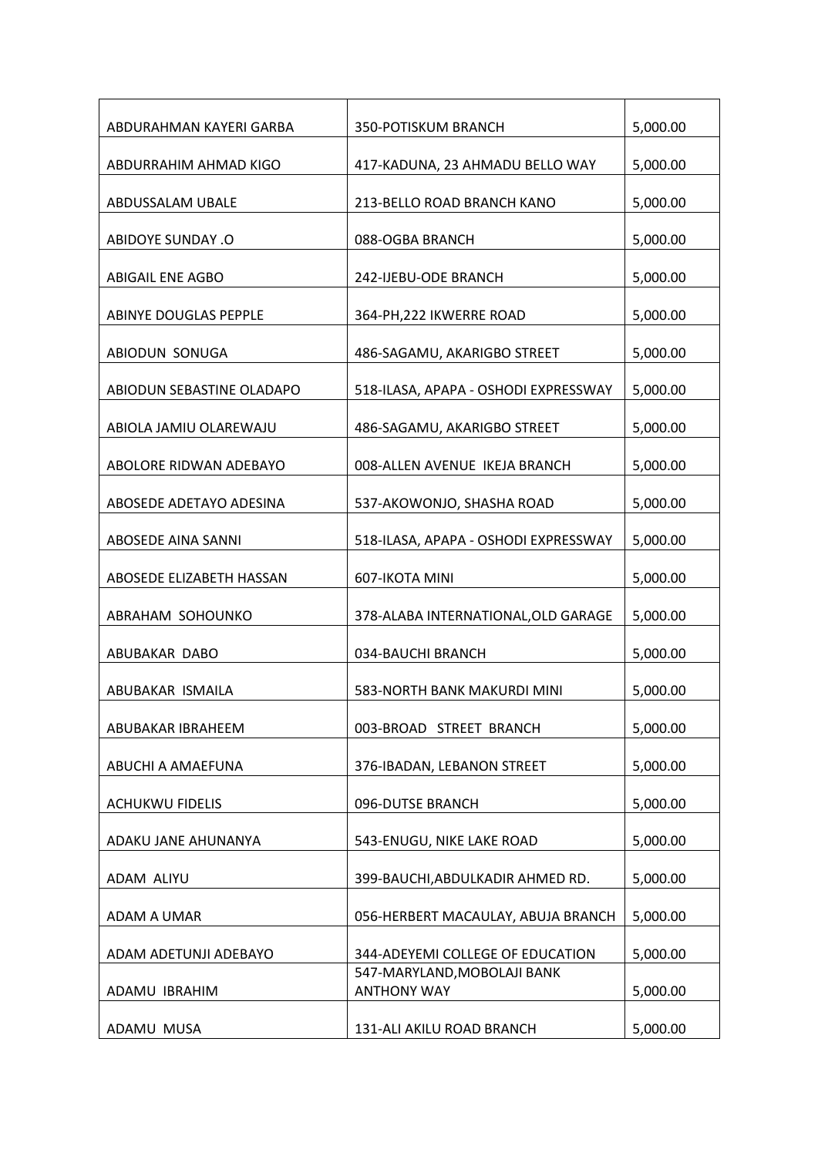| ABDURAHMAN KAYERI GARBA   | 350-POTISKUM BRANCH                               | 5,000.00 |
|---------------------------|---------------------------------------------------|----------|
| ABDURRAHIM AHMAD KIGO     | 417-KADUNA, 23 AHMADU BELLO WAY                   | 5,000.00 |
| ABDUSSALAM UBALE          | 213-BELLO ROAD BRANCH KANO                        | 5,000.00 |
| <b>ABIDOYE SUNDAY .O</b>  | 088-OGBA BRANCH                                   | 5,000.00 |
| <b>ABIGAIL ENE AGBO</b>   | 242-IJEBU-ODE BRANCH                              | 5,000.00 |
| ABINYE DOUGLAS PEPPLE     | 364-PH, 222 IKWERRE ROAD                          | 5,000.00 |
| ABIODUN SONUGA            | 486-SAGAMU, AKARIGBO STREET                       | 5,000.00 |
| ABIODUN SEBASTINE OLADAPO | 518-ILASA, APAPA - OSHODI EXPRESSWAY              | 5,000.00 |
| ABIOLA JAMIU OLAREWAJU    | 486-SAGAMU, AKARIGBO STREET                       | 5,000.00 |
| ABOLORE RIDWAN ADEBAYO    | 008-ALLEN AVENUE IKEJA BRANCH                     | 5,000.00 |
| ABOSEDE ADETAYO ADESINA   | 537-AKOWONJO, SHASHA ROAD                         | 5,000.00 |
| ABOSEDE AINA SANNI        | 518-ILASA, APAPA - OSHODI EXPRESSWAY              | 5,000.00 |
| ABOSEDE ELIZABETH HASSAN  | 607-IKOTA MINI                                    | 5,000.00 |
| ABRAHAM SOHOUNKO          | 378-ALABA INTERNATIONAL, OLD GARAGE               | 5,000.00 |
| ABUBAKAR DABO             | 034-BAUCHI BRANCH                                 | 5,000.00 |
| ABUBAKAR ISMAILA          | 583-NORTH BANK MAKURDI MINI                       | 5,000.00 |
| ABUBAKAR IBRAHEEM         | 003-BROAD STREET BRANCH                           | 5,000.00 |
| ABUCHI A AMAEFUNA         | 376-IBADAN, LEBANON STREET                        | 5,000.00 |
| <b>ACHUKWU FIDELIS</b>    | 096-DUTSE BRANCH                                  | 5,000.00 |
| ADAKU JANE AHUNANYA       | 543-ENUGU, NIKE LAKE ROAD                         | 5,000.00 |
| ADAM ALIYU                | 399-BAUCHI, ABDULKADIR AHMED RD.                  | 5,000.00 |
| ADAM A UMAR               | 056-HERBERT MACAULAY, ABUJA BRANCH                | 5,000.00 |
| ADAM ADETUNJI ADEBAYO     | 344-ADEYEMI COLLEGE OF EDUCATION                  | 5,000.00 |
| ADAMU IBRAHIM             | 547-MARYLAND, MOBOLAJI BANK<br><b>ANTHONY WAY</b> | 5,000.00 |
| ADAMU MUSA                | 131-ALI AKILU ROAD BRANCH                         | 5,000.00 |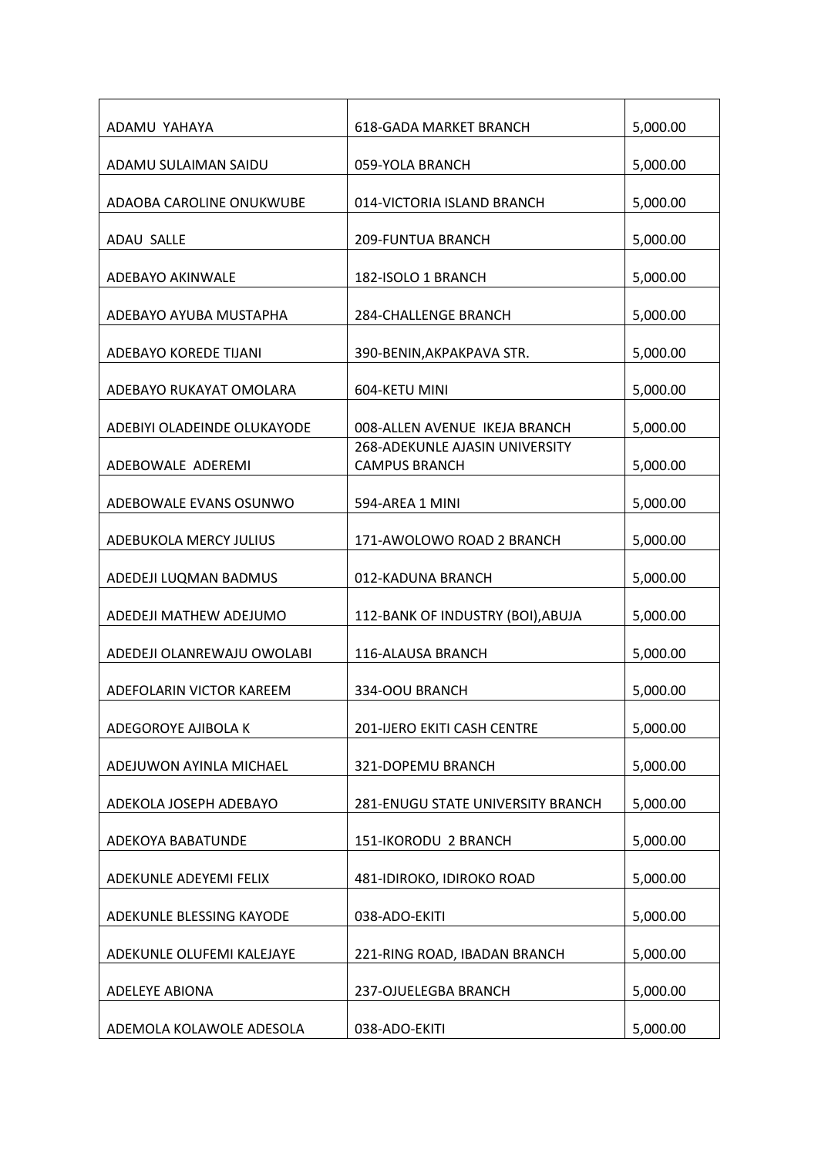| ADAMU YAHAYA                | <b>618-GADA MARKET BRANCH</b>                                 | 5,000.00 |
|-----------------------------|---------------------------------------------------------------|----------|
| ADAMU SULAIMAN SAIDU        | 059-YOLA BRANCH                                               | 5,000.00 |
| ADAOBA CAROLINE ONUKWUBE    | 014-VICTORIA ISLAND BRANCH                                    | 5,000.00 |
| <b>ADAU SALLE</b>           | <b>209-FUNTUA BRANCH</b>                                      | 5,000.00 |
| ADEBAYO AKINWALE            | 182-ISOLO 1 BRANCH                                            | 5,000.00 |
| ADEBAYO AYUBA MUSTAPHA      | <b>284-CHALLENGE BRANCH</b>                                   | 5,000.00 |
| ADEBAYO KOREDE TIJANI       | 390-BENIN, AKPAKPAVA STR.                                     | 5,000.00 |
| ADEBAYO RUKAYAT OMOLARA     | 604-KETU MINI                                                 | 5,000.00 |
| ADEBIYI OLADEINDE OLUKAYODE | 008-ALLEN AVENUE IKEJA BRANCH                                 | 5,000.00 |
| ADEBOWALE ADEREMI           | <b>268-ADEKUNLE AJASIN UNIVERSITY</b><br><b>CAMPUS BRANCH</b> | 5,000.00 |
| ADEBOWALE EVANS OSUNWO      | 594-AREA 1 MINI                                               | 5,000.00 |
| ADEBUKOLA MERCY JULIUS      | 171-AWOLOWO ROAD 2 BRANCH                                     | 5,000.00 |
| ADEDEJI LUQMAN BADMUS       | 012-KADUNA BRANCH                                             | 5,000.00 |
| ADEDEJI MATHEW ADEJUMO      | 112-BANK OF INDUSTRY (BOI), ABUJA                             | 5,000.00 |
| ADEDEJI OLANREWAJU OWOLABI  | 116-ALAUSA BRANCH                                             | 5,000.00 |
| ADEFOLARIN VICTOR KAREEM    | 334-OOU BRANCH                                                | 5,000.00 |
| ADEGOROYE AJIBOLA K         | 201-IJERO EKITI CASH CENTRE                                   | 5,000.00 |
| ADEJUWON AYINLA MICHAEL     | 321-DOPEMU BRANCH                                             | 5,000.00 |
| ADEKOLA JOSEPH ADEBAYO      | 281-ENUGU STATE UNIVERSITY BRANCH                             | 5,000.00 |
| ADEKOYA BABATUNDE           | 151-IKORODU 2 BRANCH                                          | 5,000.00 |
| ADEKUNLE ADEYEMI FELIX      | 481-IDIROKO, IDIROKO ROAD                                     | 5,000.00 |
| ADEKUNLE BLESSING KAYODE    | 038-ADO-EKITI                                                 | 5,000.00 |
| ADEKUNLE OLUFEMI KALEJAYE   | 221-RING ROAD, IBADAN BRANCH                                  | 5,000.00 |
| <b>ADELEYE ABIONA</b>       | 237-OJUELEGBA BRANCH                                          | 5,000.00 |
| ADEMOLA KOLAWOLE ADESOLA    | 038-ADO-EKITI                                                 | 5,000.00 |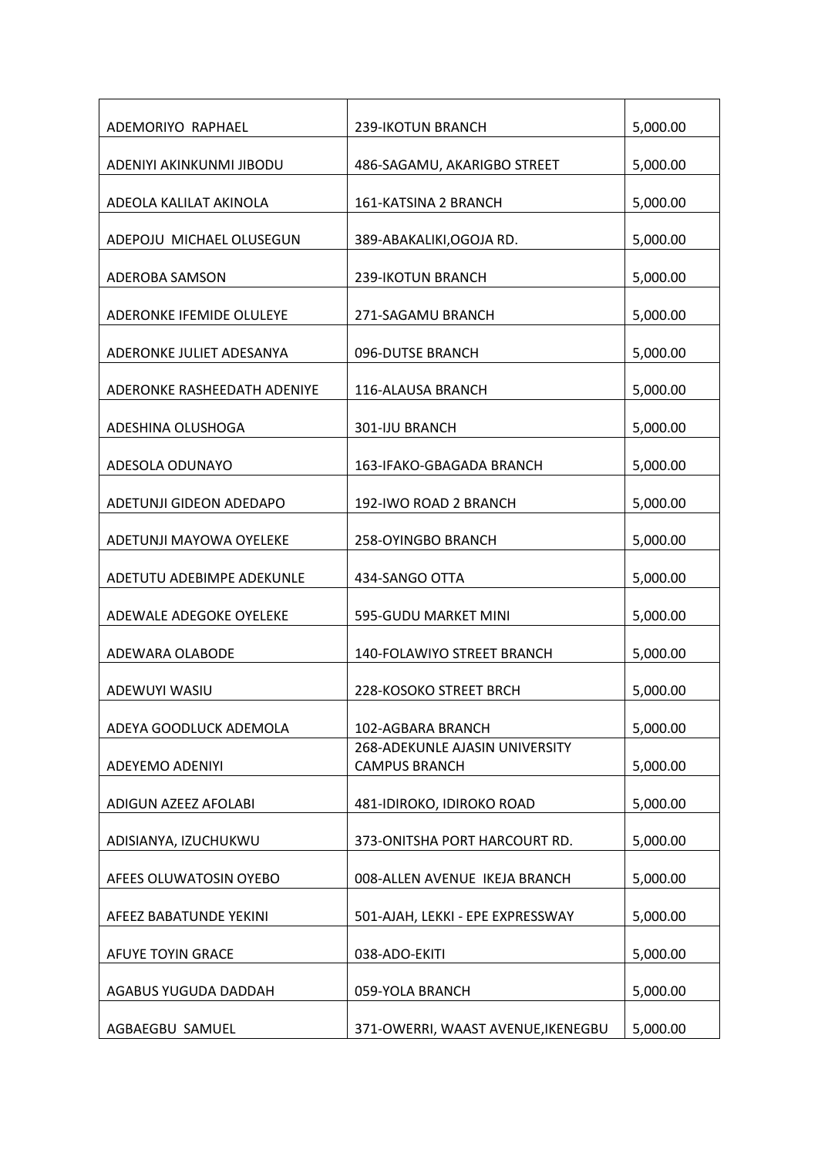| ADEMORIYO RAPHAEL           | 239-IKOTUN BRANCH                                      | 5,000.00 |
|-----------------------------|--------------------------------------------------------|----------|
| ADENIYI AKINKUNMI JIBODU    | 486-SAGAMU, AKARIGBO STREET                            | 5,000.00 |
| ADEOLA KALILAT AKINOLA      | 161-KATSINA 2 BRANCH                                   | 5,000.00 |
| ADEPOJU MICHAEL OLUSEGUN    | 389-ABAKALIKI, OGOJA RD.                               | 5,000.00 |
| ADEROBA SAMSON              | 239-IKOTUN BRANCH                                      | 5,000.00 |
| ADERONKE IFEMIDE OLULEYE    | 271-SAGAMU BRANCH                                      | 5,000.00 |
| ADERONKE JULIET ADESANYA    | 096-DUTSE BRANCH                                       | 5,000.00 |
| ADERONKE RASHEEDATH ADENIYE | 116-ALAUSA BRANCH                                      | 5,000.00 |
| ADESHINA OLUSHOGA           | 301-IJU BRANCH                                         | 5,000.00 |
| ADESOLA ODUNAYO             | 163-IFAKO-GBAGADA BRANCH                               | 5,000.00 |
| ADETUNJI GIDEON ADEDAPO     | 192-IWO ROAD 2 BRANCH                                  | 5,000.00 |
| ADETUNJI MAYOWA OYELEKE     | 258-OYINGBO BRANCH                                     | 5,000.00 |
| ADETUTU ADEBIMPE ADEKUNLE   | 434-SANGO OTTA                                         | 5,000.00 |
| ADEWALE ADEGOKE OYELEKE     | 595-GUDU MARKET MINI                                   | 5,000.00 |
| ADEWARA OLABODE             | 140-FOLAWIYO STREET BRANCH                             | 5,000.00 |
| ADEWUYI WASIU               | 228-KOSOKO STREET BRCH                                 | 5,000.00 |
| ADEYA GOODLUCK ADEMOLA      | 102-AGBARA BRANCH                                      | 5,000.00 |
| ADEYEMO ADENIYI             | 268-ADEKUNLE AJASIN UNIVERSITY<br><b>CAMPUS BRANCH</b> | 5,000.00 |
| ADIGUN AZEEZ AFOLABI        | 481-IDIROKO, IDIROKO ROAD                              | 5,000.00 |
| ADISIANYA, IZUCHUKWU        | 373-ONITSHA PORT HARCOURT RD.                          | 5,000.00 |
| AFEES OLUWATOSIN OYEBO      | 008-ALLEN AVENUE IKEJA BRANCH                          | 5,000.00 |
| AFEEZ BABATUNDE YEKINI      | 501-AJAH, LEKKI - EPE EXPRESSWAY                       | 5,000.00 |
| AFUYE TOYIN GRACE           | 038-ADO-EKITI                                          | 5,000.00 |
| AGABUS YUGUDA DADDAH        | 059-YOLA BRANCH                                        | 5,000.00 |
| AGBAEGBU SAMUEL             | 371-OWERRI, WAAST AVENUE, IKENEGBU                     | 5,000.00 |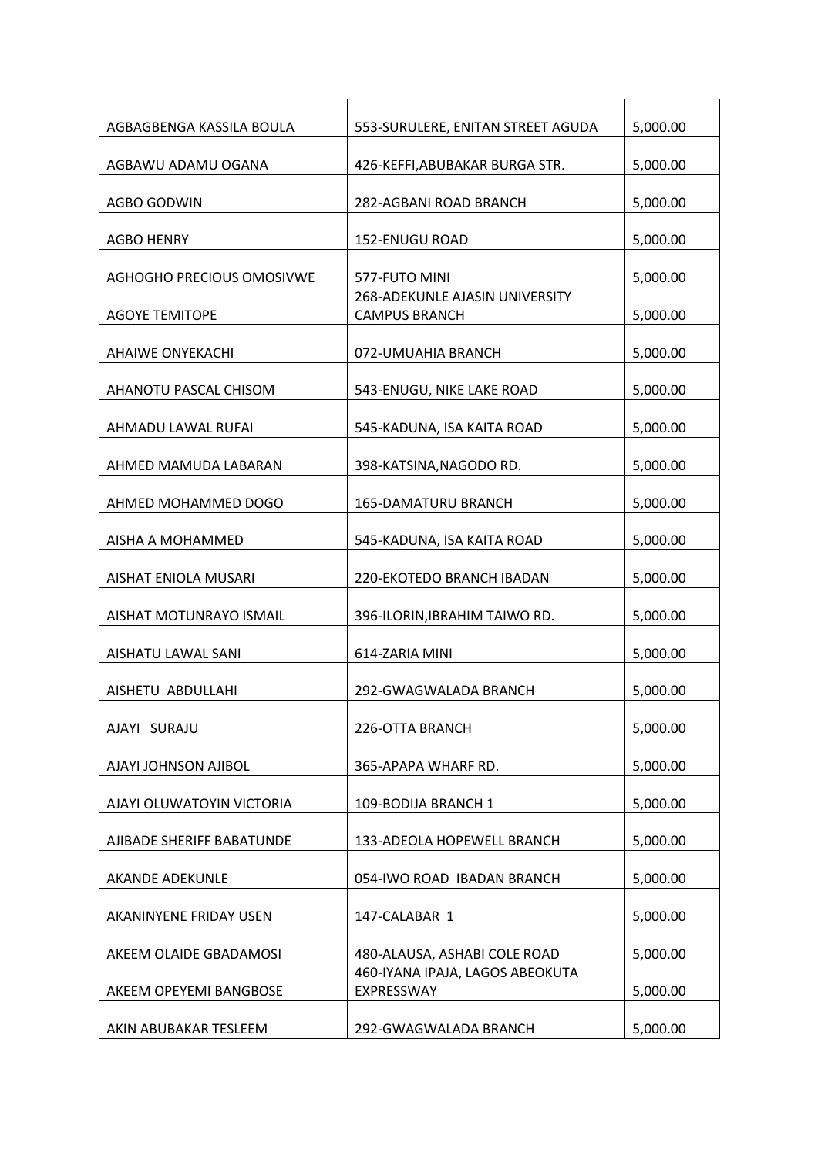| AGBAGBENGA KASSILA BOULA  | 553-SURULERE, ENITAN STREET AGUDA             | 5,000.00 |
|---------------------------|-----------------------------------------------|----------|
| AGBAWU ADAMU OGANA        | 426-KEFFI, ABUBAKAR BURGA STR.                | 5,000.00 |
| AGBO GODWIN               | 282-AGBANI ROAD BRANCH                        | 5,000.00 |
| <b>AGBO HENRY</b>         | <b>152-ENUGU ROAD</b>                         | 5,000.00 |
| AGHOGHO PRECIOUS OMOSIVWE | 577-FUTO MINI                                 | 5,000.00 |
|                           | 268-ADEKUNLE AJASIN UNIVERSITY                |          |
| <b>AGOYE TEMITOPE</b>     | <b>CAMPUS BRANCH</b>                          | 5,000.00 |
| <b>AHAIWE ONYEKACHI</b>   | 072-UMUAHIA BRANCH                            | 5,000.00 |
| AHANOTU PASCAL CHISOM     | 543-ENUGU, NIKE LAKE ROAD                     | 5,000.00 |
| AHMADU LAWAL RUFAI        | 545-KADUNA, ISA KAITA ROAD                    | 5,000.00 |
| AHMED MAMUDA LABARAN      | 398-KATSINA, NAGODO RD.                       | 5,000.00 |
| AHMED MOHAMMED DOGO       | <b>165-DAMATURU BRANCH</b>                    | 5,000.00 |
| AISHA A MOHAMMED          | 545-KADUNA, ISA KAITA ROAD                    | 5,000.00 |
| AISHAT ENIOLA MUSARI      | 220-EKOTEDO BRANCH IBADAN                     | 5,000.00 |
| AISHAT MOTUNRAYO ISMAIL   | 396-ILORIN, IBRAHIM TAIWO RD.                 | 5,000.00 |
| AISHATU LAWAL SANI        | 614-ZARIA MINI                                | 5,000.00 |
| AISHETU ABDULLAHI         | 292-GWAGWALADA BRANCH                         | 5,000.00 |
| AJAYI SURAJU              | 226-OTTA BRANCH                               | 5,000.00 |
|                           |                                               |          |
| AJAYI JOHNSON AJIBOL      | 365-APAPA WHARF RD.                           | 5,000.00 |
| AJAYI OLUWATOYIN VICTORIA | 109-BODIJA BRANCH 1                           | 5,000.00 |
| AJIBADE SHERIFF BABATUNDE | 133-ADEOLA HOPEWELL BRANCH                    | 5,000.00 |
| <b>AKANDE ADEKUNLE</b>    | 054-IWO ROAD IBADAN BRANCH                    | 5,000.00 |
| AKANINYENE FRIDAY USEN    | 147-CALABAR 1                                 | 5,000.00 |
| AKEEM OLAIDE GBADAMOSI    | 480-ALAUSA, ASHABI COLE ROAD                  | 5,000.00 |
| AKEEM OPEYEMI BANGBOSE    | 460-IYANA IPAJA, LAGOS ABEOKUTA<br>EXPRESSWAY | 5,000.00 |
| AKIN ABUBAKAR TESLEEM     | 292-GWAGWALADA BRANCH                         | 5,000.00 |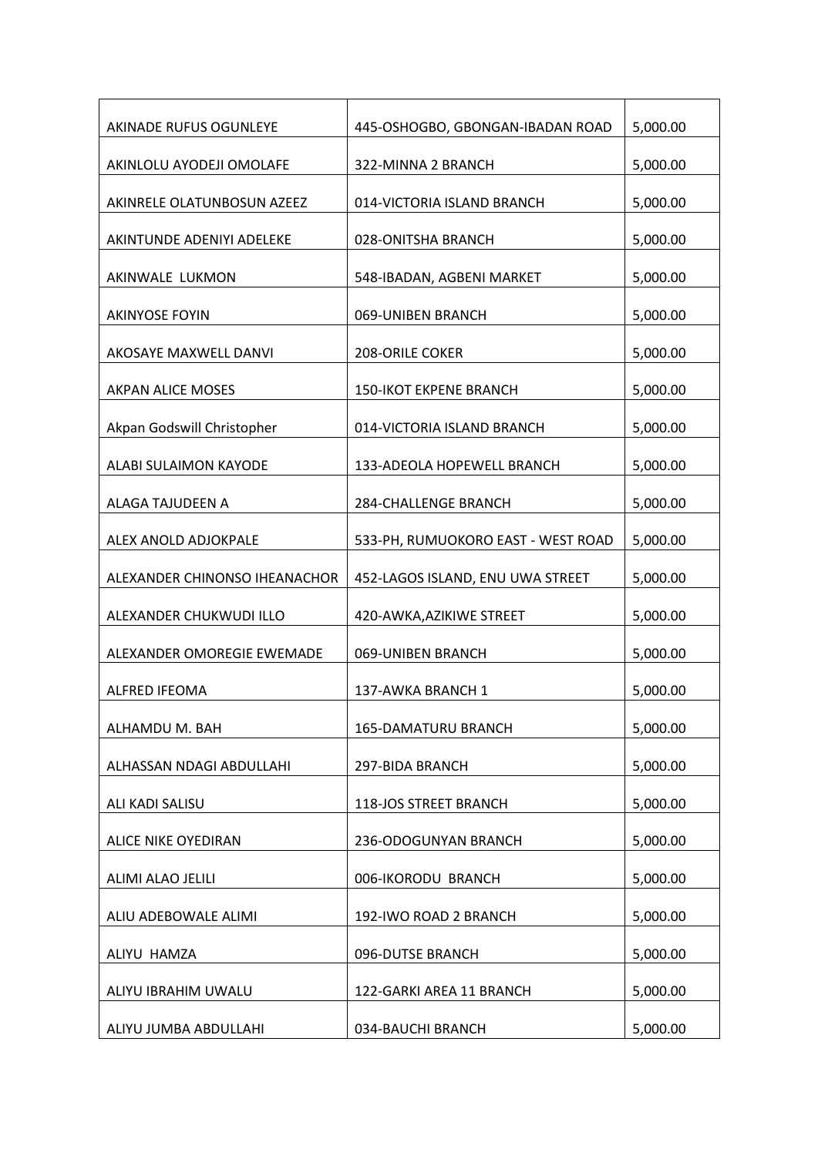| AKINADE RUFUS OGUNLEYE        | 445-OSHOGBO, GBONGAN-IBADAN ROAD   | 5,000.00 |
|-------------------------------|------------------------------------|----------|
| AKINLOLU AYODEJI OMOLAFE      | 322-MINNA 2 BRANCH                 | 5,000.00 |
| AKINRELE OLATUNBOSUN AZEEZ    | 014-VICTORIA ISLAND BRANCH         | 5,000.00 |
| AKINTUNDE ADENIYI ADELEKE     | 028-ONITSHA BRANCH                 | 5,000.00 |
| AKINWALE LUKMON               | 548-IBADAN, AGBENI MARKET          | 5,000.00 |
| <b>AKINYOSE FOYIN</b>         | 069-UNIBEN BRANCH                  | 5,000.00 |
| AKOSAYE MAXWELL DANVI         | 208-ORILE COKER                    | 5,000.00 |
| <b>AKPAN ALICE MOSES</b>      | <b>150-IKOT EKPENE BRANCH</b>      | 5,000.00 |
| Akpan Godswill Christopher    | 014-VICTORIA ISLAND BRANCH         | 5,000.00 |
| ALABI SULAIMON KAYODE         | 133-ADEOLA HOPEWELL BRANCH         | 5,000.00 |
| ALAGA TAJUDEEN A              | 284-CHALLENGE BRANCH               | 5,000.00 |
| ALEX ANOLD ADJOKPALE          | 533-PH, RUMUOKORO EAST - WEST ROAD | 5,000.00 |
| ALEXANDER CHINONSO IHEANACHOR | 452-LAGOS ISLAND, ENU UWA STREET   | 5,000.00 |
| ALEXANDER CHUKWUDI ILLO       | 420-AWKA, AZIKIWE STREET           | 5,000.00 |
| ALEXANDER OMOREGIE EWEMADE    | 069-UNIBEN BRANCH                  | 5,000.00 |
| ALFRED IFEOMA                 | 137-AWKA BRANCH 1                  | 5,000.00 |
| ALHAMDU M. BAH                | 165-DAMATURU BRANCH                | 5,000.00 |
| ALHASSAN NDAGI ABDULLAHI      | 297-BIDA BRANCH                    | 5,000.00 |
| ALI KADI SALISU               | 118-JOS STREET BRANCH              | 5,000.00 |
| ALICE NIKE OYEDIRAN           | 236-ODOGUNYAN BRANCH               | 5,000.00 |
| ALIMI ALAO JELILI             | 006-IKORODU BRANCH                 | 5,000.00 |
| ALIU ADEBOWALE ALIMI          | 192-IWO ROAD 2 BRANCH              | 5,000.00 |
| ALIYU HAMZA                   | 096-DUTSE BRANCH                   | 5,000.00 |
| ALIYU IBRAHIM UWALU           | 122-GARKI AREA 11 BRANCH           | 5,000.00 |
| ALIYU JUMBA ABDULLAHI         | 034-BAUCHI BRANCH                  | 5,000.00 |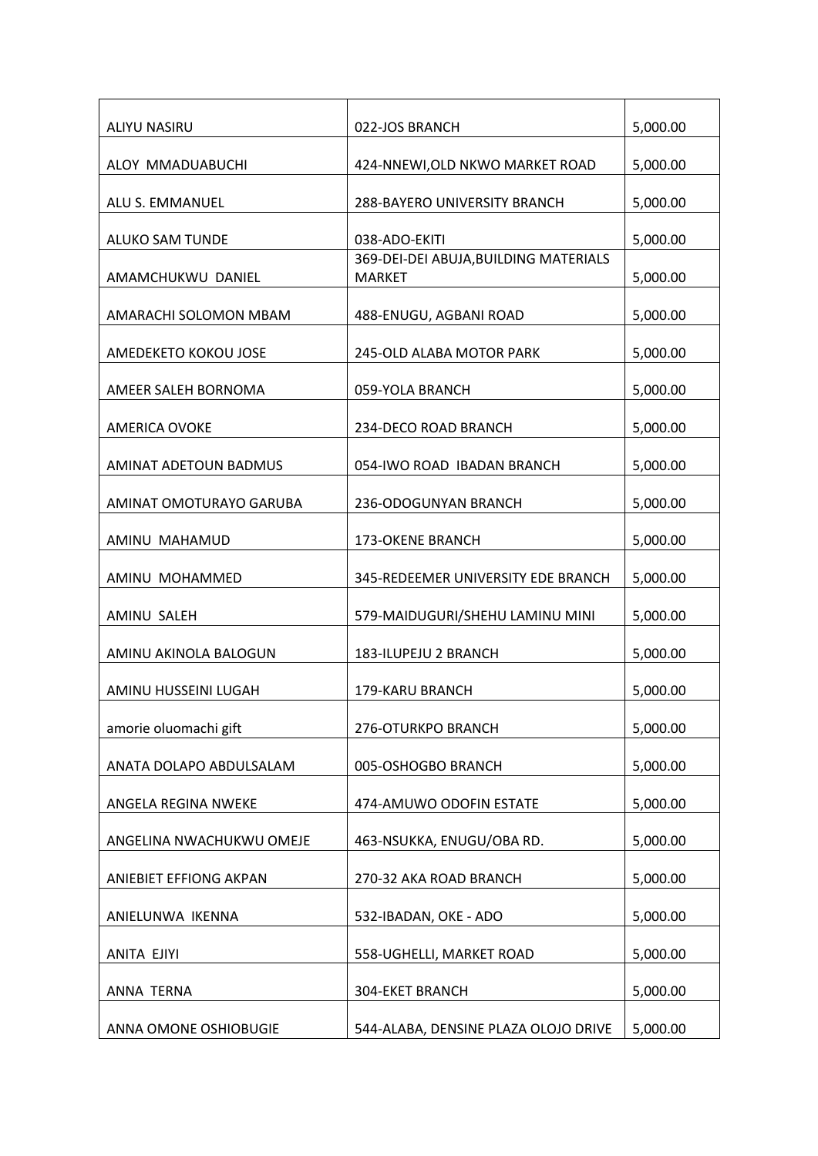| ALIYU NASIRU                 | 022-JOS BRANCH                                         | 5,000.00 |
|------------------------------|--------------------------------------------------------|----------|
| ALOY MMADUABUCHI             | 424-NNEWI, OLD NKWO MARKET ROAD                        | 5,000.00 |
| ALU S. EMMANUEL              | 288-BAYERO UNIVERSITY BRANCH                           | 5,000.00 |
| <b>ALUKO SAM TUNDE</b>       | 038-ADO-EKITI                                          | 5,000.00 |
| AMAMCHUKWU DANIEL            | 369-DEI-DEI ABUJA, BUILDING MATERIALS<br><b>MARKET</b> | 5,000.00 |
| AMARACHI SOLOMON MBAM        | 488-ENUGU, AGBANI ROAD                                 | 5,000.00 |
| AMEDEKETO KOKOU JOSE         | 245-OLD ALABA MOTOR PARK                               | 5,000.00 |
| AMEER SALEH BORNOMA          | 059-YOLA BRANCH                                        | 5,000.00 |
| <b>AMERICA OVOKE</b>         | 234-DECO ROAD BRANCH                                   | 5,000.00 |
| <b>AMINAT ADETOUN BADMUS</b> | 054-IWO ROAD IBADAN BRANCH                             | 5,000.00 |
| AMINAT OMOTURAYO GARUBA      | 236-ODOGUNYAN BRANCH                                   | 5,000.00 |
| AMINU MAHAMUD                | <b>173-OKENE BRANCH</b>                                | 5,000.00 |
| AMINU MOHAMMED               | 345-REDEEMER UNIVERSITY EDE BRANCH                     | 5,000.00 |
| AMINU SALEH                  | 579-MAIDUGURI/SHEHU LAMINU MINI                        | 5,000.00 |
| AMINU AKINOLA BALOGUN        | 183-ILUPEJU 2 BRANCH                                   | 5,000.00 |
| AMINU HUSSEINI LUGAH         | 179-KARU BRANCH                                        | 5,000.00 |
| amorie oluomachi gift        | 276-OTURKPO BRANCH                                     | 5,000.00 |
| ANATA DOLAPO ABDULSALAM      | 005-OSHOGBO BRANCH                                     | 5,000.00 |
| ANGELA REGINA NWEKE          | 474-AMUWO ODOFIN ESTATE                                | 5,000.00 |
| ANGELINA NWACHUKWU OMEJE     | 463-NSUKKA, ENUGU/OBA RD.                              | 5,000.00 |
| ANIEBIET EFFIONG AKPAN       | 270-32 AKA ROAD BRANCH                                 | 5,000.00 |
| ANIELUNWA IKENNA             | 532-IBADAN, OKE - ADO                                  | 5,000.00 |
| ANITA EJIYI                  | 558-UGHELLI, MARKET ROAD                               | 5,000.00 |
| ANNA TERNA                   | 304-EKET BRANCH                                        | 5,000.00 |
| ANNA OMONE OSHIOBUGIE        | 544-ALABA, DENSINE PLAZA OLOJO DRIVE                   | 5,000.00 |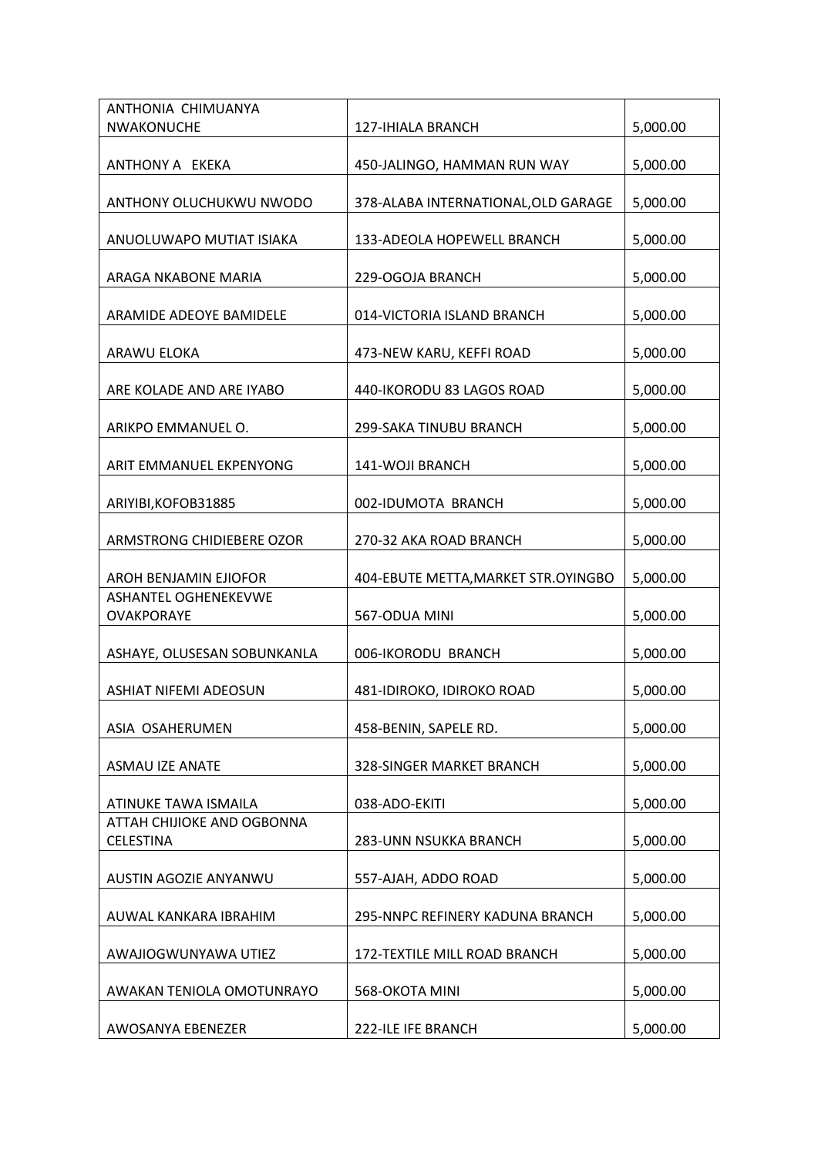| ANTHONIA CHIMUANYA                               |                                      |          |
|--------------------------------------------------|--------------------------------------|----------|
| <b>NWAKONUCHE</b>                                | <b>127-IHIALA BRANCH</b>             | 5,000.00 |
| ANTHONY A EKEKA                                  | 450-JALINGO, HAMMAN RUN WAY          | 5,000.00 |
| ANTHONY OLUCHUKWU NWODO                          | 378-ALABA INTERNATIONAL, OLD GARAGE  | 5,000.00 |
| ANUOLUWAPO MUTIAT ISIAKA                         | 133-ADEOLA HOPEWELL BRANCH           | 5,000.00 |
| ARAGA NKABONE MARIA                              | 229-OGOJA BRANCH                     | 5,000.00 |
| ARAMIDE ADEOYE BAMIDELE                          | 014-VICTORIA ISLAND BRANCH           | 5,000.00 |
| ARAWU ELOKA                                      | 473-NEW KARU, KEFFI ROAD             | 5,000.00 |
| ARE KOLADE AND ARE IYABO                         | 440-IKORODU 83 LAGOS ROAD            | 5,000.00 |
| ARIKPO EMMANUEL O.                               | 299-SAKA TINUBU BRANCH               | 5,000.00 |
| ARIT EMMANUEL EKPENYONG                          | 141-WOJI BRANCH                      | 5,000.00 |
| ARIYIBI, KOFOB31885                              | 002-IDUMOTA BRANCH                   | 5,000.00 |
| ARMSTRONG CHIDIEBERE OZOR                        | 270-32 AKA ROAD BRANCH               | 5,000.00 |
| <b>AROH BENJAMIN EJIOFOR</b>                     | 404-EBUTE METTA, MARKET STR. OYINGBO | 5,000.00 |
| <b>ASHANTEL OGHENEKEVWE</b><br><b>OVAKPORAYE</b> | 567-ODUA MINI                        | 5,000.00 |
| ASHAYE, OLUSESAN SOBUNKANLA                      | 006-IKORODU BRANCH                   | 5,000.00 |
| <b>ASHIAT NIFEMI ADEOSUN</b>                     | 481-IDIROKO, IDIROKO ROAD            | 5,000.00 |
| ASIA OSAHERUMEN                                  | 458-BENIN, SAPELE RD.                | 5,000.00 |
| <b>ASMAU IZE ANATE</b>                           | 328-SINGER MARKET BRANCH             | 5,000.00 |
| ATINUKE TAWA ISMAILA                             | 038-ADO-EKITI                        | 5,000.00 |
| ATTAH CHIJIOKE AND OGBONNA<br><b>CELESTINA</b>   | 283-UNN NSUKKA BRANCH                | 5,000.00 |
| AUSTIN AGOZIE ANYANWU                            | 557-AJAH, ADDO ROAD                  | 5,000.00 |
| AUWAL KANKARA IBRAHIM                            | 295-NNPC REFINERY KADUNA BRANCH      | 5,000.00 |
| AWAJIOGWUNYAWA UTIEZ                             | 172-TEXTILE MILL ROAD BRANCH         | 5,000.00 |
| AWAKAN TENIOLA OMOTUNRAYO                        | 568-OKOTA MINI                       | 5,000.00 |
| AWOSANYA EBENEZER                                | 222-ILE IFE BRANCH                   | 5,000.00 |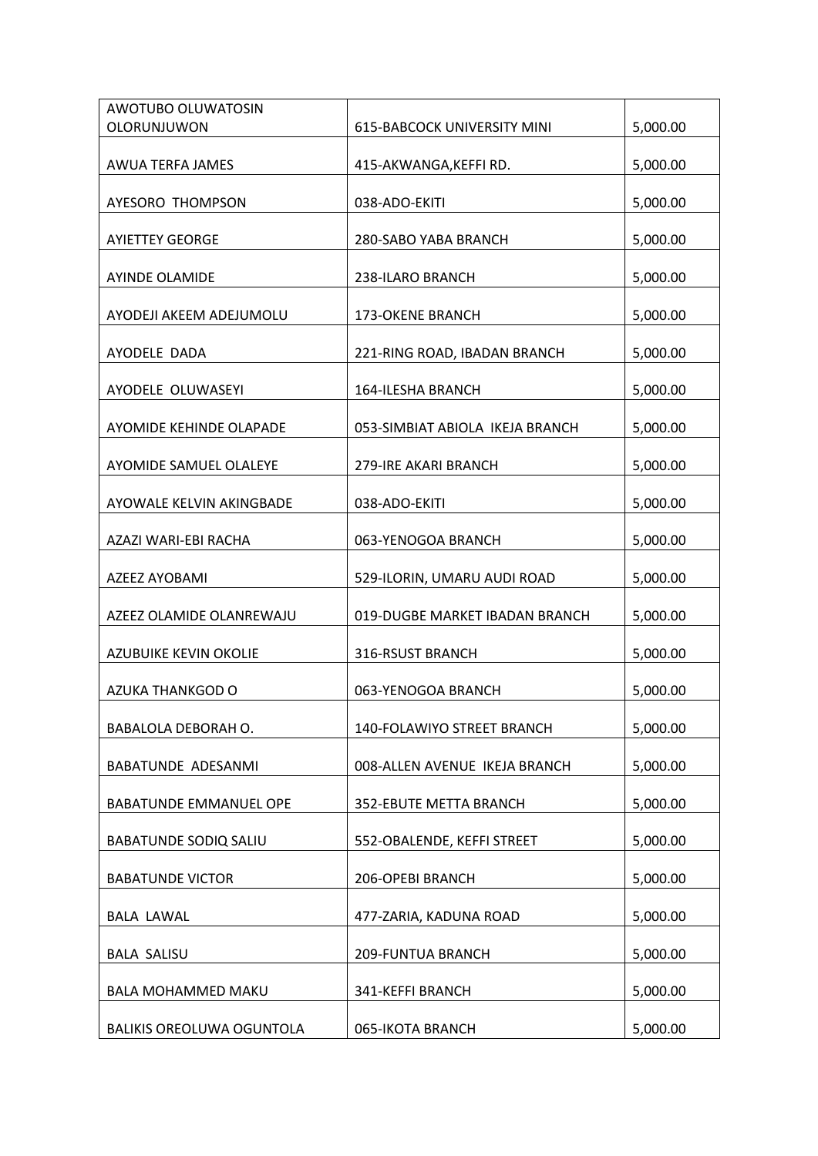| AWOTUBO OLUWATOSIN               |                                    |          |
|----------------------------------|------------------------------------|----------|
| OLORUNJUWON                      | <b>615-BABCOCK UNIVERSITY MINI</b> | 5,000.00 |
| AWUA TERFA JAMES                 | 415-AKWANGA, KEFFIRD.              | 5,000.00 |
| AYESORO THOMPSON                 | 038-ADO-EKITI                      | 5,000.00 |
| <b>AYIETTEY GEORGE</b>           | 280-SABO YABA BRANCH               | 5,000.00 |
| <b>AYINDE OLAMIDE</b>            | 238-ILARO BRANCH                   | 5,000.00 |
| AYODEJI AKEEM ADEJUMOLU          | <b>173-OKENE BRANCH</b>            | 5,000.00 |
| AYODELE DADA                     | 221-RING ROAD, IBADAN BRANCH       | 5,000.00 |
| AYODELE OLUWASEYI                | <b>164-ILESHA BRANCH</b>           | 5,000.00 |
| AYOMIDE KEHINDE OLAPADE          | 053-SIMBIAT ABIOLA IKEJA BRANCH    | 5,000.00 |
| AYOMIDE SAMUEL OLALEYE           | 279-IRE AKARI BRANCH               | 5,000.00 |
| AYOWALE KELVIN AKINGBADE         | 038-ADO-EKITI                      | 5,000.00 |
| AZAZI WARI-EBI RACHA             | 063-YENOGOA BRANCH                 | 5,000.00 |
| AZEEZ AYOBAMI                    | 529-ILORIN, UMARU AUDI ROAD        | 5,000.00 |
| AZEEZ OLAMIDE OLANREWAJU         | 019-DUGBE MARKET IBADAN BRANCH     | 5,000.00 |
| AZUBUIKE KEVIN OKOLIE            | 316-RSUST BRANCH                   | 5,000.00 |
| AZUKA THANKGOD O                 | 063-YENOGOA BRANCH                 | 5,000.00 |
| BABALOLA DEBORAH O.              | 140-FOLAWIYO STREET BRANCH         | 5,000.00 |
| <b>BABATUNDE ADESANMI</b>        | 008-ALLEN AVENUE IKEJA BRANCH      | 5,000.00 |
| BABATUNDE EMMANUEL OPE           | 352-EBUTE METTA BRANCH             | 5,000.00 |
| <b>BABATUNDE SODIQ SALIU</b>     | 552-OBALENDE, KEFFI STREET         | 5,000.00 |
| <b>BABATUNDE VICTOR</b>          | 206-OPEBI BRANCH                   | 5,000.00 |
| <b>BALA LAWAL</b>                | 477-ZARIA, KADUNA ROAD             | 5,000.00 |
| <b>BALA SALISU</b>               | 209-FUNTUA BRANCH                  | 5,000.00 |
| <b>BALA MOHAMMED MAKU</b>        | 341-KEFFI BRANCH                   | 5,000.00 |
| <b>BALIKIS OREOLUWA OGUNTOLA</b> | 065-IKOTA BRANCH                   | 5,000.00 |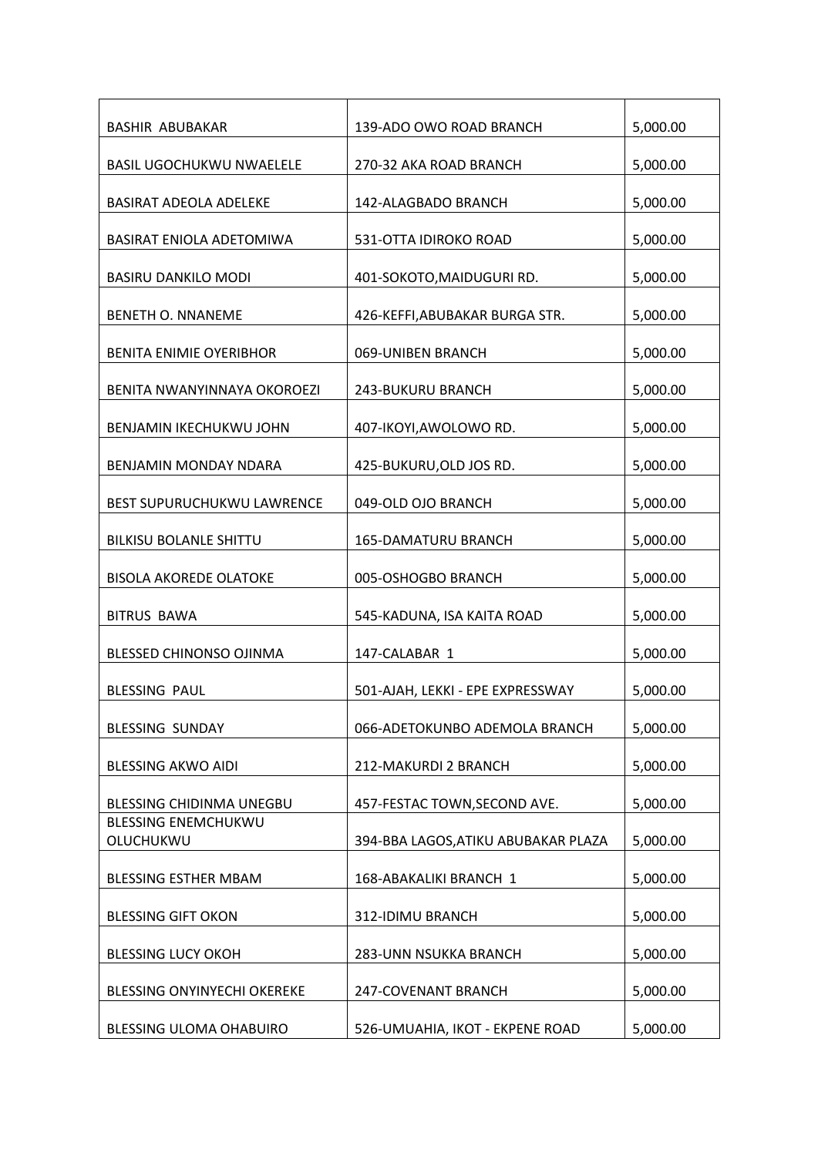| <b>BASHIR ABUBAKAR</b>                  | 139-ADO OWO ROAD BRANCH             | 5,000.00 |
|-----------------------------------------|-------------------------------------|----------|
| <b>BASIL UGOCHUKWU NWAELELE</b>         | 270-32 AKA ROAD BRANCH              | 5,000.00 |
| <b>BASIRAT ADEOLA ADELEKE</b>           | 142-ALAGBADO BRANCH                 | 5,000.00 |
| BASIRAT ENIOLA ADETOMIWA                | 531-OTTA IDIROKO ROAD               | 5,000.00 |
| <b>BASIRU DANKILO MODI</b>              | 401-SOKOTO, MAIDUGURI RD.           | 5,000.00 |
| <b>BENETH O. NNANEME</b>                | 426-KEFFI, ABUBAKAR BURGA STR.      | 5,000.00 |
| <b>BENITA ENIMIE OYERIBHOR</b>          | 069-UNIBEN BRANCH                   | 5,000.00 |
| BENITA NWANYINNAYA OKOROEZI             | <b>243-BUKURU BRANCH</b>            | 5,000.00 |
| BENJAMIN IKECHUKWU JOHN                 | 407-IKOYI, AWOLOWO RD.              | 5,000.00 |
| BENJAMIN MONDAY NDARA                   | 425-BUKURU, OLD JOS RD.             | 5,000.00 |
| <b>BEST SUPURUCHUKWU LAWRENCE</b>       | 049-OLD OJO BRANCH                  | 5,000.00 |
| <b>BILKISU BOLANLE SHITTU</b>           | <b>165-DAMATURU BRANCH</b>          | 5,000.00 |
| <b>BISOLA AKOREDE OLATOKE</b>           | 005-OSHOGBO BRANCH                  | 5,000.00 |
| <b>BITRUS BAWA</b>                      | 545-KADUNA, ISA KAITA ROAD          | 5,000.00 |
| <b>BLESSED CHINONSO OJINMA</b>          | 147-CALABAR 1                       | 5,000.00 |
| <b>BLESSING PAUL</b>                    | 501-AJAH, LEKKI - EPE EXPRESSWAY    | 5,000.00 |
| BLESSING SUNDAY                         | 066-ADETOKUNBO ADEMOLA BRANCH       | 5,000.00 |
| <b>BLESSING AKWO AIDI</b>               | 212-MAKURDI 2 BRANCH                | 5,000.00 |
| BLESSING CHIDINMA UNEGBU                | 457-FESTAC TOWN, SECOND AVE.        | 5,000.00 |
| <b>BLESSING ENEMCHUKWU</b><br>OLUCHUKWU | 394-BBA LAGOS, ATIKU ABUBAKAR PLAZA | 5,000.00 |
| <b>BLESSING ESTHER MBAM</b>             | 168-ABAKALIKI BRANCH 1              | 5,000.00 |
| <b>BLESSING GIFT OKON</b>               | 312-IDIMU BRANCH                    | 5,000.00 |
| <b>BLESSING LUCY OKOH</b>               | 283-UNN NSUKKA BRANCH               | 5,000.00 |
| BLESSING ONYINYECHI OKEREKE             | 247-COVENANT BRANCH                 | 5,000.00 |
| BLESSING ULOMA OHABUIRO                 | 526-UMUAHIA, IKOT - EKPENE ROAD     | 5,000.00 |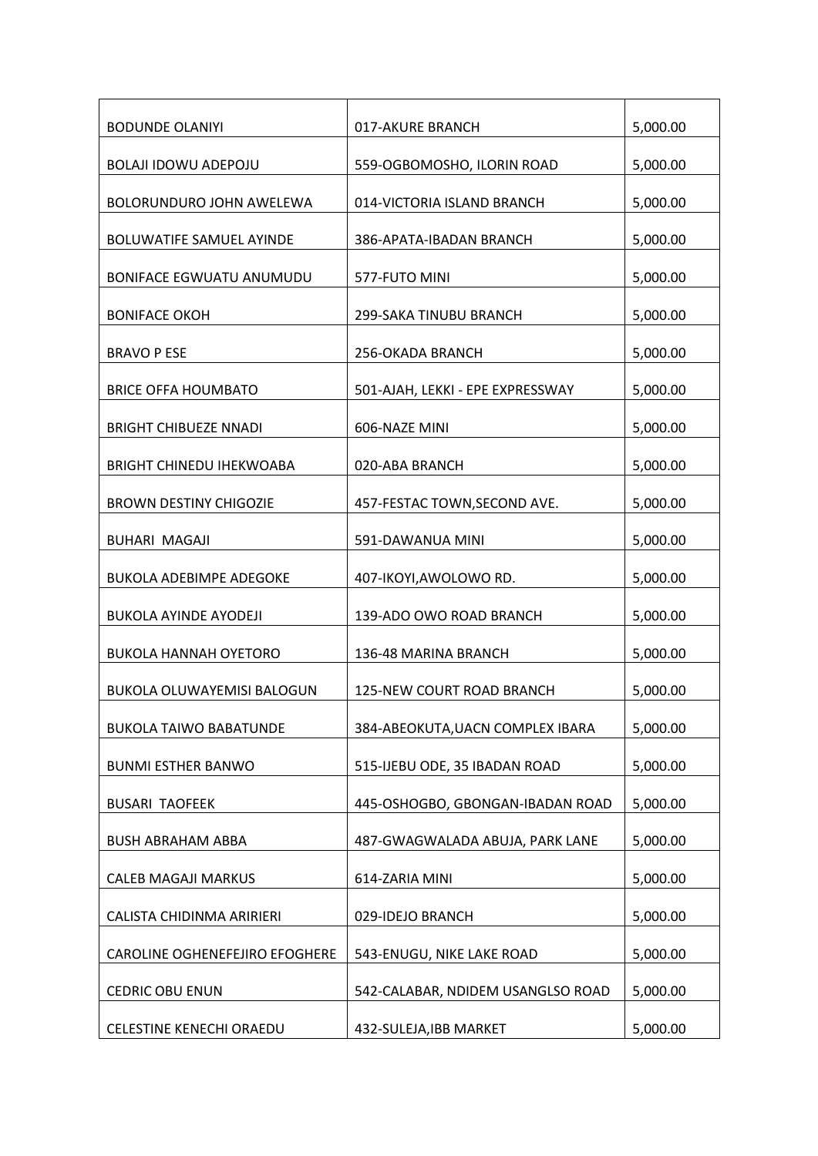| <b>BODUNDE OLANIYI</b>            | 017-AKURE BRANCH                  | 5,000.00 |
|-----------------------------------|-----------------------------------|----------|
| <b>BOLAJI IDOWU ADEPOJU</b>       | 559-OGBOMOSHO, ILORIN ROAD        | 5,000.00 |
| BOLORUNDURO JOHN AWELEWA          | 014-VICTORIA ISLAND BRANCH        | 5,000.00 |
| <b>BOLUWATIFE SAMUEL AYINDE</b>   | 386-APATA-IBADAN BRANCH           | 5,000.00 |
| <b>BONIFACE EGWUATU ANUMUDU</b>   | 577-FUTO MINI                     | 5,000.00 |
| <b>BONIFACE OKOH</b>              | 299-SAKA TINUBU BRANCH            | 5,000.00 |
| <b>BRAVO P ESE</b>                | 256-OKADA BRANCH                  | 5,000.00 |
| <b>BRICE OFFA HOUMBATO</b>        | 501-AJAH, LEKKI - EPE EXPRESSWAY  | 5,000.00 |
| <b>BRIGHT CHIBUEZE NNADI</b>      | 606-NAZE MINI                     | 5,000.00 |
| <b>BRIGHT CHINEDU IHEKWOABA</b>   | 020-ABA BRANCH                    | 5,000.00 |
| <b>BROWN DESTINY CHIGOZIE</b>     | 457-FESTAC TOWN, SECOND AVE.      | 5,000.00 |
| <b>BUHARI MAGAJI</b>              | 591-DAWANUA MINI                  | 5,000.00 |
| <b>BUKOLA ADEBIMPE ADEGOKE</b>    | 407-IKOYI, AWOLOWO RD.            | 5,000.00 |
| <b>BUKOLA AYINDE AYODEJI</b>      | 139-ADO OWO ROAD BRANCH           | 5,000.00 |
| <b>BUKOLA HANNAH OYETORO</b>      | 136-48 MARINA BRANCH              | 5,000.00 |
| <b>BUKOLA OLUWAYEMISI BALOGUN</b> | 125-NEW COURT ROAD BRANCH         | 5,000.00 |
| <b>BUKOLA TAIWO BABATUNDE</b>     | 384-ABEOKUTA, UACN COMPLEX IBARA  | 5,000.00 |
| <b>BUNMI ESTHER BANWO</b>         | 515-IJEBU ODE, 35 IBADAN ROAD     | 5,000.00 |
| <b>BUSARI TAOFEEK</b>             | 445-OSHOGBO, GBONGAN-IBADAN ROAD  | 5,000.00 |
| <b>BUSH ABRAHAM ABBA</b>          | 487-GWAGWALADA ABUJA, PARK LANE   | 5,000.00 |
| <b>CALEB MAGAJI MARKUS</b>        | 614-ZARIA MINI                    | 5,000.00 |
| CALISTA CHIDINMA ARIRIERI         | 029-IDEJO BRANCH                  | 5,000.00 |
| CAROLINE OGHENEFEJIRO EFOGHERE    | 543-ENUGU, NIKE LAKE ROAD         | 5,000.00 |
| <b>CEDRIC OBU ENUN</b>            | 542-CALABAR, NDIDEM USANGLSO ROAD | 5,000.00 |
| CELESTINE KENECHI ORAEDU          | 432-SULEJA, IBB MARKET            | 5,000.00 |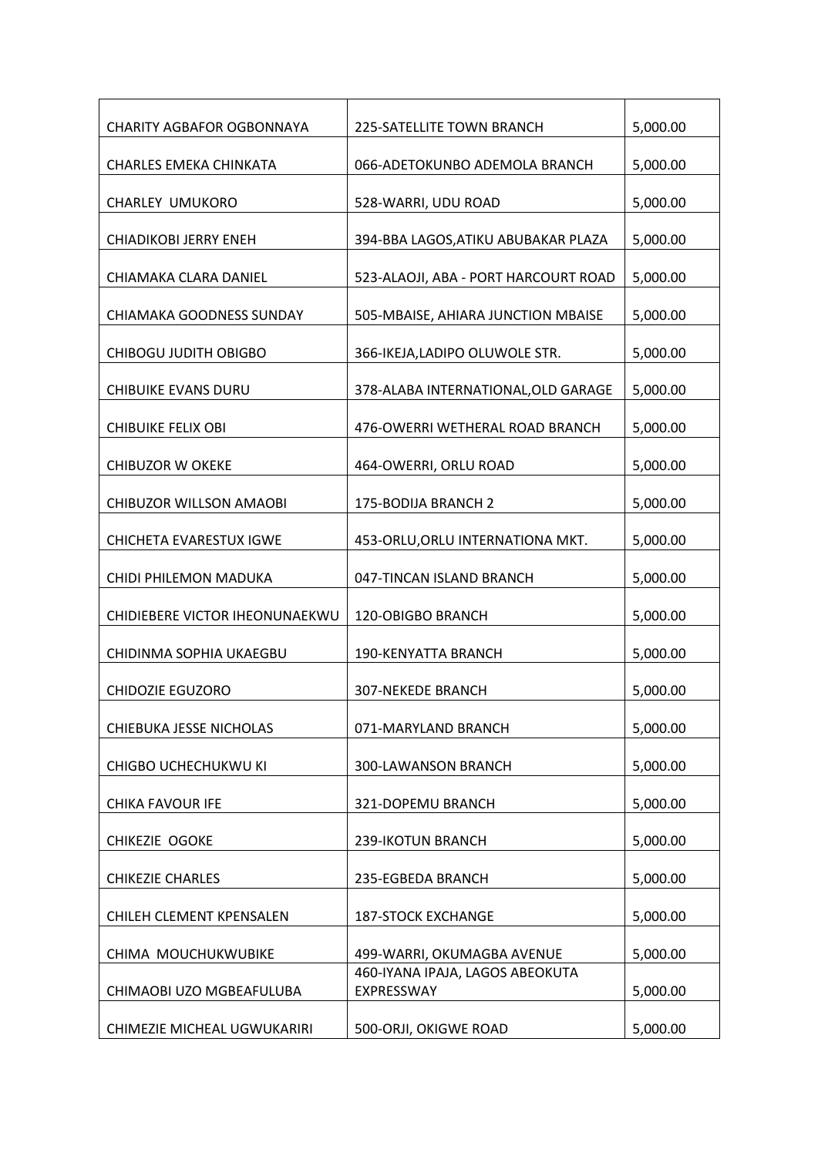| <b>CHARITY AGBAFOR OGBONNAYA</b> | 225-SATELLITE TOWN BRANCH                     | 5,000.00 |
|----------------------------------|-----------------------------------------------|----------|
| CHARLES EMEKA CHINKATA           | 066-ADETOKUNBO ADEMOLA BRANCH                 | 5,000.00 |
| <b>CHARLEY UMUKORO</b>           | 528-WARRI, UDU ROAD                           | 5,000.00 |
| <b>CHIADIKOBI JERRY ENEH</b>     | 394-BBA LAGOS, ATIKU ABUBAKAR PLAZA           | 5,000.00 |
| CHIAMAKA CLARA DANIEL            | 523-ALAOJI, ABA - PORT HARCOURT ROAD          | 5,000.00 |
| CHIAMAKA GOODNESS SUNDAY         | 505-MBAISE, AHIARA JUNCTION MBAISE            | 5,000.00 |
| <b>CHIBOGU JUDITH OBIGBO</b>     | 366-IKEJA, LADIPO OLUWOLE STR.                | 5,000.00 |
| CHIBUIKE EVANS DURU              | 378-ALABA INTERNATIONAL, OLD GARAGE           | 5,000.00 |
| <b>CHIBUIKE FELIX OBI</b>        | 476-OWERRI WETHERAL ROAD BRANCH               | 5,000.00 |
| <b>CHIBUZOR W OKEKE</b>          | 464-OWERRI, ORLU ROAD                         | 5,000.00 |
| CHIBUZOR WILLSON AMAOBI          | 175-BODIJA BRANCH 2                           | 5,000.00 |
| CHICHETA EVARESTUX IGWE          | 453-ORLU, ORLU INTERNATIONA MKT.              | 5,000.00 |
| CHIDI PHILEMON MADUKA            | 047-TINCAN ISLAND BRANCH                      | 5,000.00 |
| CHIDIEBERE VICTOR IHEONUNAEKWU   | 120-OBIGBO BRANCH                             | 5,000.00 |
| CHIDINMA SOPHIA UKAEGBU          | 190-KENYATTA BRANCH                           | 5,000.00 |
| <b>CHIDOZIE EGUZORO</b>          | <b>307-NEKEDE BRANCH</b>                      | 5,000.00 |
| CHIEBUKA JESSE NICHOLAS          | 071-MARYLAND BRANCH                           | 5,000.00 |
| CHIGBO UCHECHUKWU KI             | 300-LAWANSON BRANCH                           | 5,000.00 |
| <b>CHIKA FAVOUR IFE</b>          | 321-DOPEMU BRANCH                             | 5,000.00 |
| CHIKEZIE OGOKE                   | 239-IKOTUN BRANCH                             | 5,000.00 |
| <b>CHIKEZIE CHARLES</b>          | 235-EGBEDA BRANCH                             | 5,000.00 |
| CHILEH CLEMENT KPENSALEN         | <b>187-STOCK EXCHANGE</b>                     | 5,000.00 |
| CHIMA MOUCHUKWUBIKE              | 499-WARRI, OKUMAGBA AVENUE                    | 5,000.00 |
| CHIMAOBI UZO MGBEAFULUBA         | 460-IYANA IPAJA, LAGOS ABEOKUTA<br>EXPRESSWAY | 5,000.00 |
| CHIMEZIE MICHEAL UGWUKARIRI      | 500-ORJI, OKIGWE ROAD                         | 5,000.00 |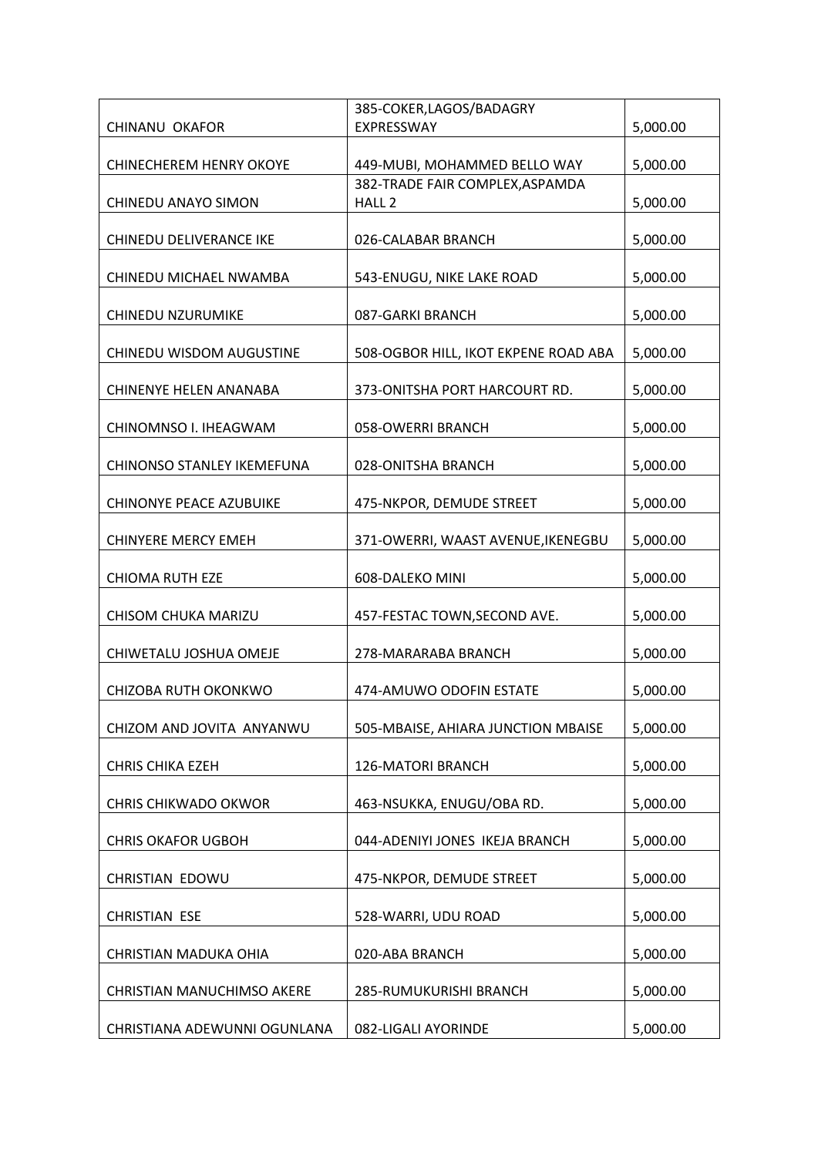|                                   | 385-COKER, LAGOS/BADAGRY             |          |
|-----------------------------------|--------------------------------------|----------|
| CHINANU OKAFOR                    | EXPRESSWAY                           | 5,000.00 |
| <b>CHINECHEREM HENRY OKOYE</b>    | 449-MUBI, MOHAMMED BELLO WAY         | 5,000.00 |
|                                   | 382-TRADE FAIR COMPLEX, ASPAMDA      |          |
| CHINEDU ANAYO SIMON               | HALL <sub>2</sub>                    | 5,000.00 |
| CHINEDU DELIVERANCE IKE           | 026-CALABAR BRANCH                   | 5,000.00 |
| CHINEDU MICHAEL NWAMBA            | 543-ENUGU, NIKE LAKE ROAD            | 5,000.00 |
| <b>CHINEDU NZURUMIKE</b>          | 087-GARKI BRANCH                     | 5,000.00 |
| CHINEDU WISDOM AUGUSTINE          | 508-OGBOR HILL, IKOT EKPENE ROAD ABA | 5,000.00 |
| CHINENYE HELEN ANANABA            | 373-ONITSHA PORT HARCOURT RD.        | 5,000.00 |
| CHINOMNSO I. IHEAGWAM             | 058-OWERRI BRANCH                    | 5,000.00 |
| CHINONSO STANLEY IKEMEFUNA        | 028-ONITSHA BRANCH                   | 5,000.00 |
| <b>CHINONYE PEACE AZUBUIKE</b>    | 475-NKPOR, DEMUDE STREET             | 5,000.00 |
| <b>CHINYERE MERCY EMEH</b>        | 371-OWERRI, WAAST AVENUE, IKENEGBU   | 5,000.00 |
| <b>CHIOMA RUTH EZE</b>            | 608-DALEKO MINI                      | 5,000.00 |
| CHISOM CHUKA MARIZU               | 457-FESTAC TOWN, SECOND AVE.         | 5,000.00 |
| CHIWETALU JOSHUA OMEJE            | 278-MARARABA BRANCH                  | 5,000.00 |
| CHIZOBA RUTH OKONKWO              | 474-AMUWO ODOFIN ESTATE              | 5,000.00 |
| CHIZOM AND JOVITA ANYANWU         | 505-MBAISE, AHIARA JUNCTION MBAISE   | 5,000.00 |
| <b>CHRIS CHIKA EZEH</b>           | 126-MATORI BRANCH                    | 5,000.00 |
| <b>CHRIS CHIKWADO OKWOR</b>       | 463-NSUKKA, ENUGU/OBA RD.            | 5,000.00 |
| <b>CHRIS OKAFOR UGBOH</b>         | 044-ADENIYI JONES IKEJA BRANCH       | 5,000.00 |
| CHRISTIAN EDOWU                   | 475-NKPOR, DEMUDE STREET             | 5,000.00 |
| <b>CHRISTIAN ESE</b>              | 528-WARRI, UDU ROAD                  | 5,000.00 |
| CHRISTIAN MADUKA OHIA             | 020-ABA BRANCH                       | 5,000.00 |
| <b>CHRISTIAN MANUCHIMSO AKERE</b> | 285-RUMUKURISHI BRANCH               | 5,000.00 |
| CHRISTIANA ADEWUNNI OGUNLANA      | 082-LIGALI AYORINDE                  | 5,000.00 |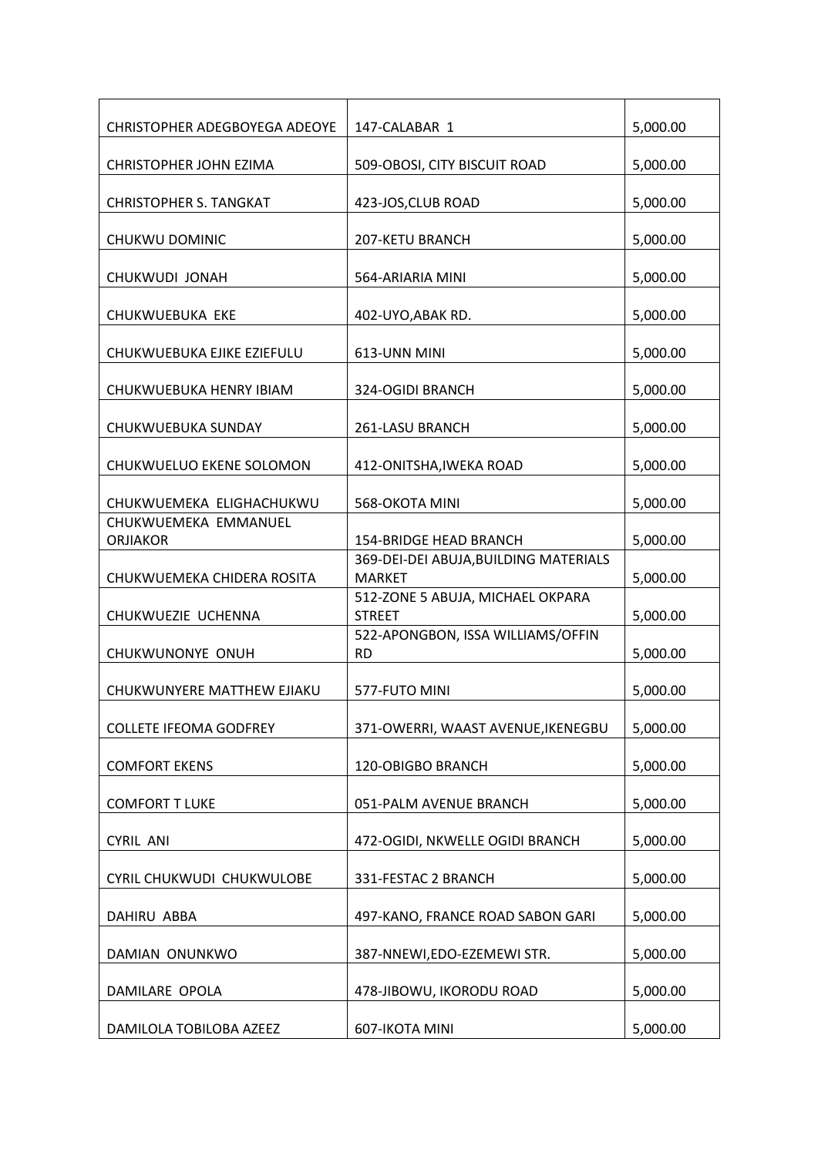| <b>CHRISTOPHER ADEGBOYEGA ADEOYE</b>    | 147-CALABAR 1                                          | 5,000.00 |
|-----------------------------------------|--------------------------------------------------------|----------|
| CHRISTOPHER JOHN EZIMA                  | 509-OBOSI, CITY BISCUIT ROAD                           | 5,000.00 |
| <b>CHRISTOPHER S. TANGKAT</b>           | 423-JOS, CLUB ROAD                                     | 5,000.00 |
| CHUKWU DOMINIC                          | 207-KETU BRANCH                                        | 5,000.00 |
| CHUKWUDI JONAH                          | 564-ARIARIA MINI                                       | 5,000.00 |
| CHUKWUEBUKA EKE                         | 402-UYO, ABAK RD.                                      | 5,000.00 |
| CHUKWUEBUKA EJIKE EZIEFULU              | 613-UNN MINI                                           | 5,000.00 |
| CHUKWUEBUKA HENRY IBIAM                 | 324-OGIDI BRANCH                                       | 5,000.00 |
| CHUKWUEBUKA SUNDAY                      | 261-LASU BRANCH                                        | 5,000.00 |
| CHUKWUELUO EKENE SOLOMON                | 412-ONITSHA, IWEKA ROAD                                | 5,000.00 |
| CHUKWUEMEKA ELIGHACHUKWU                | 568-OKOTA MINI                                         | 5,000.00 |
| CHUKWUEMEKA EMMANUEL<br><b>ORJIAKOR</b> | <b>154-BRIDGE HEAD BRANCH</b>                          | 5,000.00 |
| CHUKWUEMEKA CHIDERA ROSITA              | 369-DEI-DEI ABUJA, BUILDING MATERIALS<br><b>MARKET</b> | 5,000.00 |
| CHUKWUEZIE UCHENNA                      | 512-ZONE 5 ABUJA, MICHAEL OKPARA<br><b>STREET</b>      | 5,000.00 |
| CHUKWUNONYE ONUH                        | 522-APONGBON, ISSA WILLIAMS/OFFIN<br><b>RD</b>         | 5,000.00 |
| CHUKWUNYERE MATTHEW EJIAKU              | 577-FUTO MINI                                          | 5,000.00 |
| <b>COLLETE IFEOMA GODFREY</b>           | 371-OWERRI, WAAST AVENUE, IKENEGBU                     | 5,000.00 |
| <b>COMFORT EKENS</b>                    | 120-OBIGBO BRANCH                                      | 5,000.00 |
| <b>COMFORT T LUKE</b>                   | 051-PALM AVENUE BRANCH                                 | 5,000.00 |
| <b>CYRIL ANI</b>                        | 472-OGIDI, NKWELLE OGIDI BRANCH                        | 5,000.00 |
| CYRIL CHUKWUDI CHUKWULOBE               | 331-FESTAC 2 BRANCH                                    | 5,000.00 |
| DAHIRU ABBA                             | 497-KANO, FRANCE ROAD SABON GARI                       | 5,000.00 |
| DAMIAN ONUNKWO                          | 387-NNEWI, EDO-EZEMEWI STR.                            | 5,000.00 |
| DAMILARE OPOLA                          | 478-JIBOWU, IKORODU ROAD                               | 5,000.00 |
| DAMILOLA TOBILOBA AZEEZ                 | 607-IKOTA MINI                                         | 5,000.00 |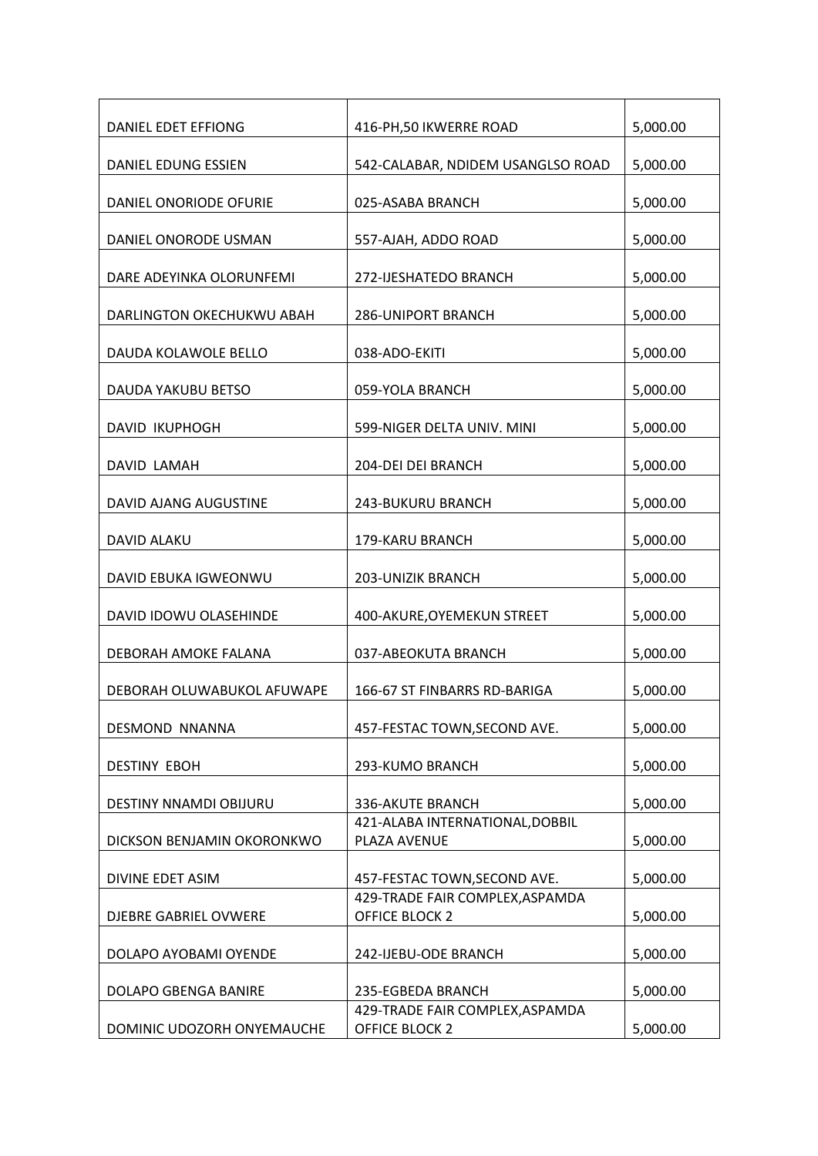| DANIEL EDET EFFIONG           | 416-PH, 50 IKWERRE ROAD                                  | 5,000.00 |
|-------------------------------|----------------------------------------------------------|----------|
| DANIEL EDUNG ESSIEN           | 542-CALABAR, NDIDEM USANGLSO ROAD                        | 5,000.00 |
| DANIEL ONORIODE OFURIE        | 025-ASABA BRANCH                                         | 5,000.00 |
| DANIEL ONORODE USMAN          | 557-AJAH, ADDO ROAD                                      | 5,000.00 |
| DARE ADEYINKA OLORUNFEMI      | 272-IJESHATEDO BRANCH                                    | 5,000.00 |
| DARLINGTON OKECHUKWU ABAH     | <b>286-UNIPORT BRANCH</b>                                | 5,000.00 |
| DAUDA KOLAWOLE BELLO          | 038-ADO-EKITI                                            | 5,000.00 |
| DAUDA YAKUBU BETSO            | 059-YOLA BRANCH                                          | 5,000.00 |
| <b>DAVID IKUPHOGH</b>         | 599-NIGER DELTA UNIV. MINI                               | 5,000.00 |
| DAVID LAMAH                   | 204-DEI DEI BRANCH                                       | 5,000.00 |
| DAVID AJANG AUGUSTINE         | 243-BUKURU BRANCH                                        | 5,000.00 |
| DAVID ALAKU                   | 179-KARU BRANCH                                          | 5,000.00 |
| DAVID EBUKA IGWEONWU          | 203-UNIZIK BRANCH                                        | 5,000.00 |
| DAVID IDOWU OLASEHINDE        | 400-AKURE, OYEMEKUN STREET                               | 5,000.00 |
| DEBORAH AMOKE FALANA          | 037-ABEOKUTA BRANCH                                      | 5,000.00 |
| DEBORAH OLUWABUKOL AFUWAPE    | 166-67 ST FINBARRS RD-BARIGA                             | 5,000.00 |
| DESMOND NNANNA                | 457-FESTAC TOWN, SECOND AVE.                             | 5,000.00 |
| <b>DESTINY EBOH</b>           | 293-KUMO BRANCH                                          | 5,000.00 |
| <b>DESTINY NNAMDI OBIJURU</b> | 336-AKUTE BRANCH                                         | 5,000.00 |
| DICKSON BENJAMIN OKORONKWO    | 421-ALABA INTERNATIONAL, DOBBIL<br>PLAZA AVENUE          | 5,000.00 |
| DIVINE EDET ASIM              | 457-FESTAC TOWN, SECOND AVE.                             | 5,000.00 |
| DJEBRE GABRIEL OVWERE         | 429-TRADE FAIR COMPLEX, ASPAMDA<br><b>OFFICE BLOCK 2</b> | 5,000.00 |
| DOLAPO AYOBAMI OYENDE         | 242-IJEBU-ODE BRANCH                                     | 5,000.00 |
| DOLAPO GBENGA BANIRE          | 235-EGBEDA BRANCH                                        | 5,000.00 |
| DOMINIC UDOZORH ONYEMAUCHE    | 429-TRADE FAIR COMPLEX, ASPAMDA<br><b>OFFICE BLOCK 2</b> | 5,000.00 |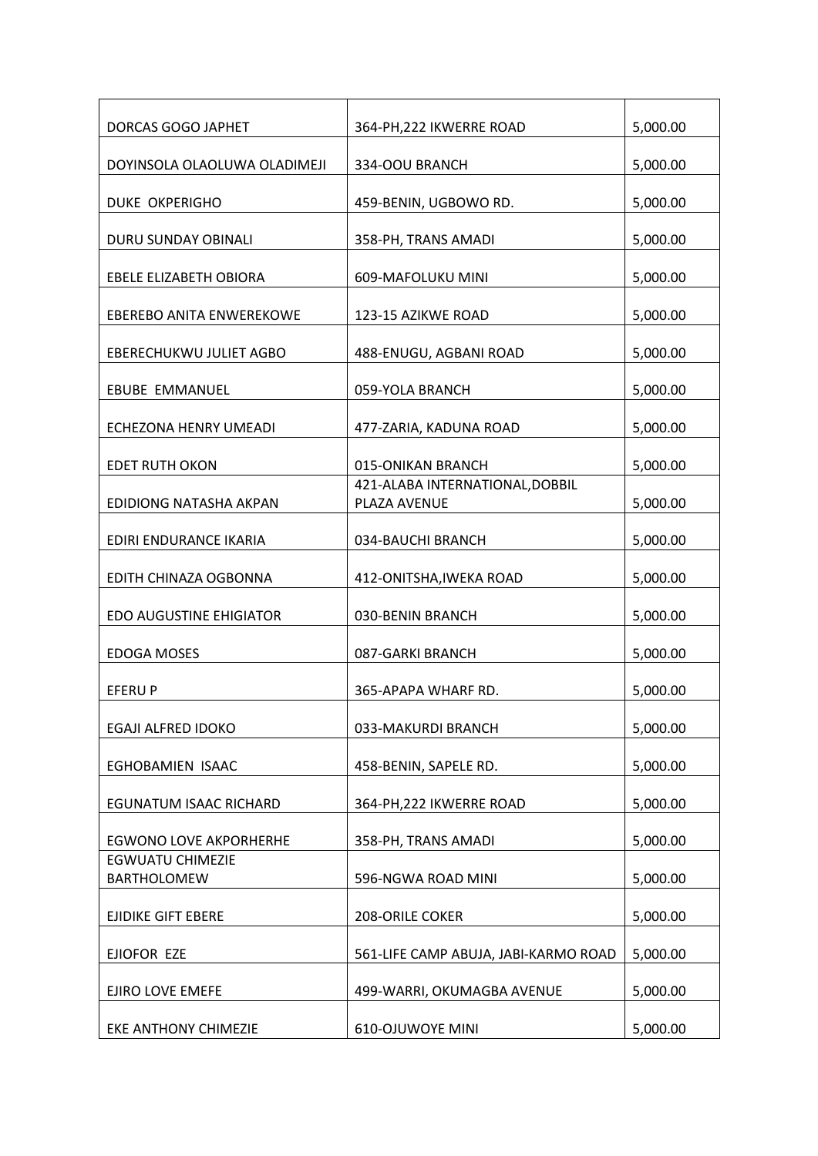| DORCAS GOGO JAPHET                            | 364-PH, 222 IKWERRE ROAD                        | 5,000.00 |
|-----------------------------------------------|-------------------------------------------------|----------|
| DOYINSOLA OLAOLUWA OLADIMEJI                  | 334-OOU BRANCH                                  | 5,000.00 |
| <b>DUKE OKPERIGHO</b>                         | 459-BENIN, UGBOWO RD.                           | 5,000.00 |
| DURU SUNDAY OBINALI                           | 358-PH, TRANS AMADI                             | 5,000.00 |
| EBELE ELIZABETH OBIORA                        | 609-MAFOLUKU MINI                               | 5,000.00 |
| EBEREBO ANITA ENWEREKOWE                      | 123-15 AZIKWE ROAD                              | 5,000.00 |
| EBERECHUKWU JULIET AGBO                       | 488-ENUGU, AGBANI ROAD                          | 5,000.00 |
| <b>EBUBE EMMANUEL</b>                         | 059-YOLA BRANCH                                 | 5,000.00 |
| ECHEZONA HENRY UMEADI                         | 477-ZARIA, KADUNA ROAD                          | 5,000.00 |
| <b>EDET RUTH OKON</b>                         | 015-ONIKAN BRANCH                               | 5,000.00 |
| EDIDIONG NATASHA AKPAN                        | 421-ALABA INTERNATIONAL, DOBBIL<br>PLAZA AVENUE | 5,000.00 |
| EDIRI ENDURANCE IKARIA                        | 034-BAUCHI BRANCH                               | 5,000.00 |
| EDITH CHINAZA OGBONNA                         | 412-ONITSHA, IWEKA ROAD                         | 5,000.00 |
| <b>EDO AUGUSTINE EHIGIATOR</b>                | 030-BENIN BRANCH                                | 5,000.00 |
| <b>EDOGA MOSES</b>                            | 087-GARKI BRANCH                                | 5,000.00 |
| <b>EFERUP</b>                                 | 365-APAPA WHARF RD.                             | 5,000.00 |
| EGAJI ALFRED IDOKO                            | 033-MAKURDI BRANCH                              | 5,000.00 |
| EGHOBAMIEN ISAAC                              | 458-BENIN, SAPELE RD.                           | 5,000.00 |
| <b>EGUNATUM ISAAC RICHARD</b>                 | 364-PH, 222 IKWERRE ROAD                        | 5,000.00 |
| <b>EGWONO LOVE AKPORHERHE</b>                 | 358-PH, TRANS AMADI                             | 5,000.00 |
| <b>EGWUATU CHIMEZIE</b><br><b>BARTHOLOMEW</b> | 596-NGWA ROAD MINI                              | 5,000.00 |
| <b>EJIDIKE GIFT EBERE</b>                     | 208-ORILE COKER                                 | 5,000.00 |
| EJIOFOR EZE                                   | 561-LIFE CAMP ABUJA, JABI-KARMO ROAD            | 5,000.00 |
| EJIRO LOVE EMEFE                              | 499-WARRI, OKUMAGBA AVENUE                      | 5,000.00 |
| EKE ANTHONY CHIMEZIE                          | <b>610-OJUWOYE MINI</b>                         | 5,000.00 |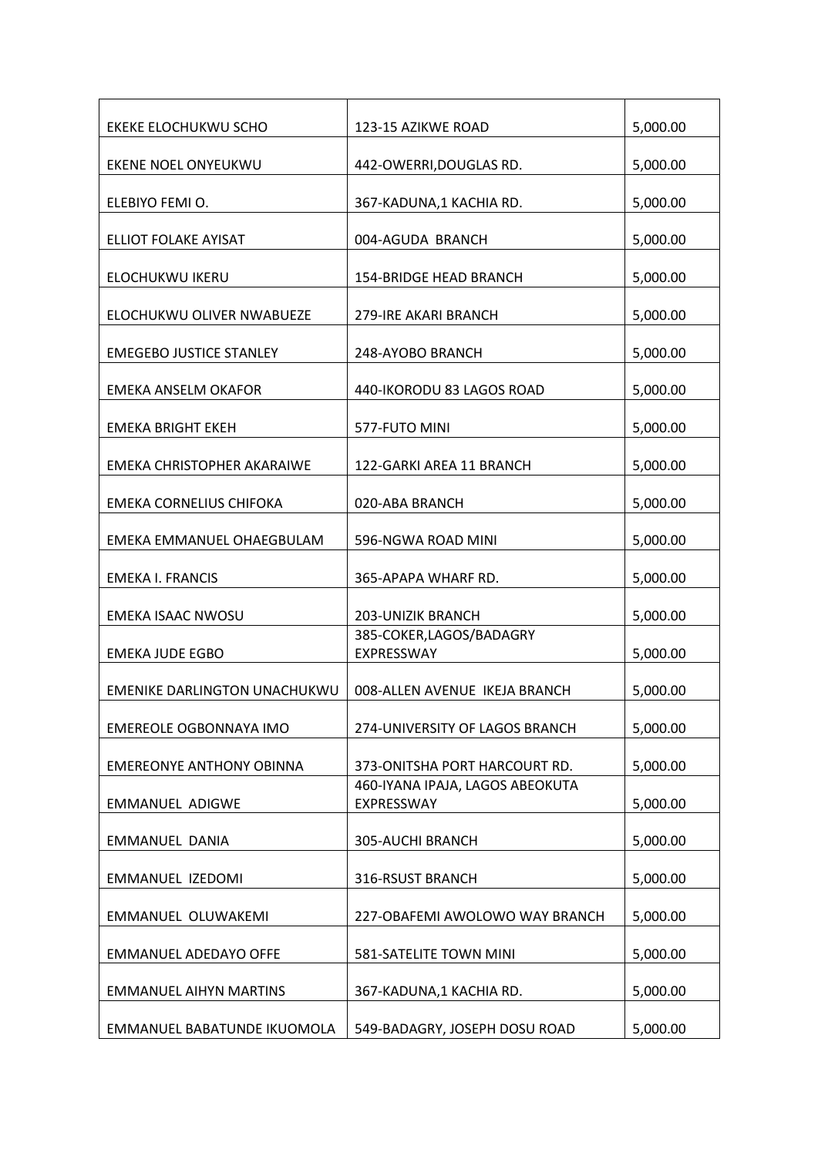| EKEKE ELOCHUKWU SCHO              | 123-15 AZIKWE ROAD                            | 5,000.00 |
|-----------------------------------|-----------------------------------------------|----------|
| EKENE NOEL ONYEUKWU               | 442-OWERRI, DOUGLAS RD.                       | 5,000.00 |
| ELEBIYO FEMI O.                   | 367-KADUNA,1 KACHIA RD.                       | 5,000.00 |
| <b>ELLIOT FOLAKE AYISAT</b>       | 004-AGUDA BRANCH                              | 5,000.00 |
| ELOCHUKWU IKERU                   | <b>154-BRIDGE HEAD BRANCH</b>                 | 5,000.00 |
| ELOCHUKWU OLIVER NWABUEZE         | 279-IRE AKARI BRANCH                          | 5,000.00 |
| <b>EMEGEBO JUSTICE STANLEY</b>    | 248-AYOBO BRANCH                              | 5,000.00 |
| EMEKA ANSELM OKAFOR               | 440-IKORODU 83 LAGOS ROAD                     | 5,000.00 |
| EMEKA BRIGHT EKEH                 | 577-FUTO MINI                                 | 5,000.00 |
| <b>EMEKA CHRISTOPHER AKARAIWE</b> | 122-GARKI AREA 11 BRANCH                      | 5,000.00 |
| EMEKA CORNELIUS CHIFOKA           | 020-ABA BRANCH                                | 5,000.00 |
| EMEKA EMMANUEL OHAEGBULAM         | 596-NGWA ROAD MINI                            | 5,000.00 |
| <b>EMEKA I. FRANCIS</b>           | 365-APAPA WHARF RD.                           | 5,000.00 |
| <b>EMEKA ISAAC NWOSU</b>          | <b>203-UNIZIK BRANCH</b>                      | 5,000.00 |
| <b>EMEKA JUDE EGBO</b>            | 385-COKER, LAGOS/BADAGRY<br>EXPRESSWAY        | 5,000.00 |
| EMENIKE DARLINGTON UNACHUKWU      | 008-ALLEN AVENUE IKEJA BRANCH                 | 5,000.00 |
| EMEREOLE OGBONNAYA IMO            | 274-UNIVERSITY OF LAGOS BRANCH                | 5,000.00 |
| <b>EMEREONYE ANTHONY OBINNA</b>   | 373-ONITSHA PORT HARCOURT RD.                 | 5,000.00 |
| <b>EMMANUEL ADIGWE</b>            | 460-IYANA IPAJA, LAGOS ABEOKUTA<br>EXPRESSWAY | 5,000.00 |
| <b>EMMANUEL DANIA</b>             | 305-AUCHI BRANCH                              | 5,000.00 |
| EMMANUEL IZEDOMI                  | 316-RSUST BRANCH                              | 5,000.00 |
| EMMANUEL OLUWAKEMI                | 227-OBAFEMI AWOLOWO WAY BRANCH                | 5,000.00 |
| <b>EMMANUEL ADEDAYO OFFE</b>      | 581-SATELITE TOWN MINI                        | 5,000.00 |
| <b>EMMANUEL AIHYN MARTINS</b>     | 367-KADUNA,1 KACHIA RD.                       | 5,000.00 |
| EMMANUEL BABATUNDE IKUOMOLA       | 549-BADAGRY, JOSEPH DOSU ROAD                 | 5,000.00 |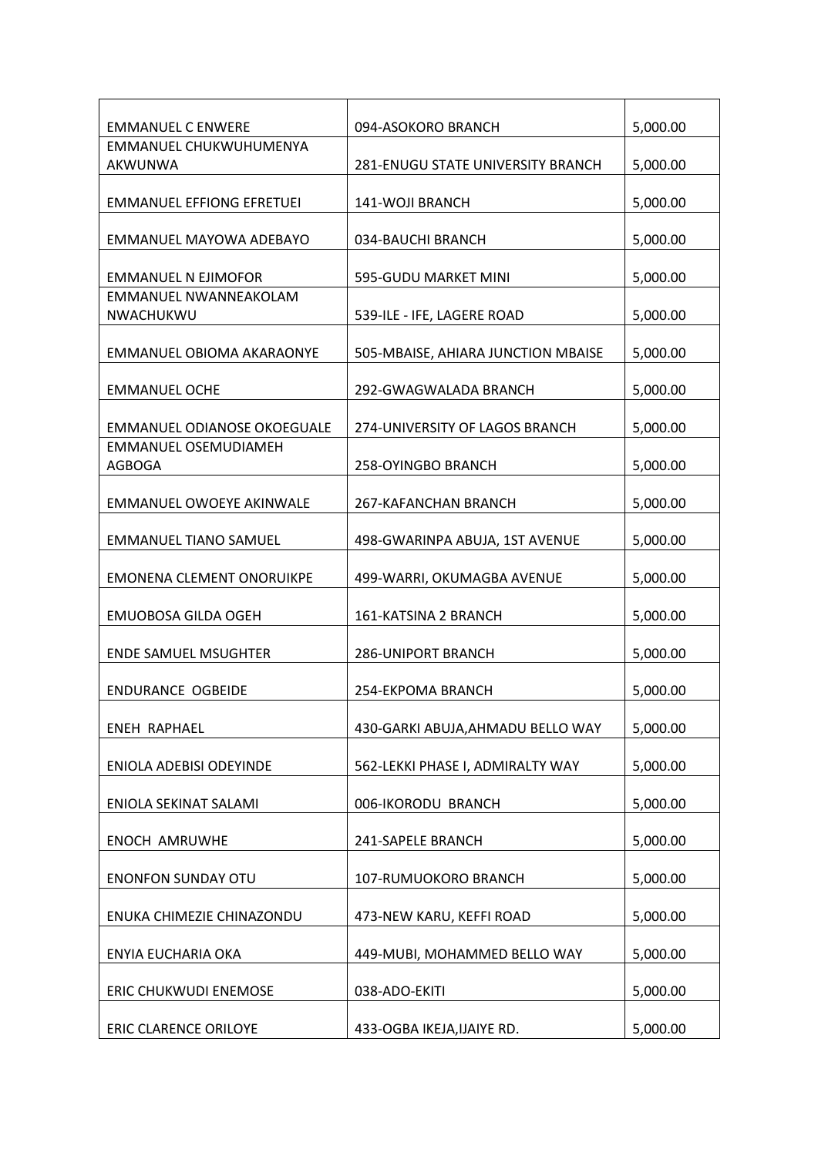| <b>EMMANUEL C ENWERE</b>           | 094-ASOKORO BRANCH                 | 5,000.00 |
|------------------------------------|------------------------------------|----------|
| EMMANUEL CHUKWUHUMENYA             |                                    |          |
| AKWUNWA                            | 281-ENUGU STATE UNIVERSITY BRANCH  | 5,000.00 |
|                                    |                                    |          |
| <b>EMMANUEL EFFIONG EFRETUEI</b>   | 141-WOJI BRANCH                    | 5,000.00 |
|                                    |                                    |          |
| EMMANUEL MAYOWA ADEBAYO            | 034-BAUCHI BRANCH                  | 5,000.00 |
|                                    |                                    |          |
| <b>EMMANUEL N EJIMOFOR</b>         | 595-GUDU MARKET MINI               | 5,000.00 |
| EMMANUEL NWANNEAKOLAM              |                                    |          |
|                                    |                                    |          |
| NWACHUKWU                          | 539-ILE - IFE, LAGERE ROAD         | 5,000.00 |
|                                    |                                    |          |
| EMMANUEL OBIOMA AKARAONYE          | 505-MBAISE, AHIARA JUNCTION MBAISE | 5,000.00 |
|                                    |                                    |          |
| <b>EMMANUEL OCHE</b>               | 292-GWAGWALADA BRANCH              | 5,000.00 |
|                                    |                                    |          |
| <b>EMMANUEL ODIANOSE OKOEGUALE</b> | 274-UNIVERSITY OF LAGOS BRANCH     | 5,000.00 |
| <b>EMMANUEL OSEMUDIAMEH</b>        |                                    |          |
| AGBOGA                             | <b>258-OYINGBO BRANCH</b>          | 5,000.00 |
|                                    |                                    |          |
| EMMANUEL OWOEYE AKINWALE           | 267-KAFANCHAN BRANCH               | 5,000.00 |
|                                    |                                    |          |
| <b>EMMANUEL TIANO SAMUEL</b>       |                                    | 5,000.00 |
|                                    | 498-GWARINPA ABUJA, 1ST AVENUE     |          |
|                                    |                                    |          |
| <b>EMONENA CLEMENT ONORUIKPE</b>   | 499-WARRI, OKUMAGBA AVENUE         | 5,000.00 |
|                                    |                                    |          |
| <b>EMUOBOSA GILDA OGEH</b>         | 161-KATSINA 2 BRANCH               | 5,000.00 |
|                                    |                                    |          |
| <b>ENDE SAMUEL MSUGHTER</b>        | <b>286-UNIPORT BRANCH</b>          | 5,000.00 |
|                                    |                                    |          |
| <b>ENDURANCE OGBEIDE</b>           | 254-EKPOMA BRANCH                  | 5,000.00 |
|                                    |                                    |          |
| <b>ENEH RAPHAEL</b>                | 430-GARKI ABUJA, AHMADU BELLO WAY  | 5,000.00 |
|                                    |                                    |          |
| ENIOLA ADEBISI ODEYINDE            | 562-LEKKI PHASE I, ADMIRALTY WAY   | 5,000.00 |
|                                    |                                    |          |
| ENIOLA SEKINAT SALAMI              | 006-IKORODU BRANCH                 | 5,000.00 |
|                                    |                                    |          |
| ENOCH AMRUWHE                      | 241-SAPELE BRANCH                  | 5,000.00 |
|                                    |                                    |          |
|                                    |                                    |          |
| <b>ENONFON SUNDAY OTU</b>          | 107-RUMUOKORO BRANCH               | 5,000.00 |
|                                    |                                    |          |
| ENUKA CHIMEZIE CHINAZONDU          | 473-NEW KARU, KEFFI ROAD           | 5,000.00 |
|                                    |                                    |          |
| ENYIA EUCHARIA OKA                 | 449-MUBI, MOHAMMED BELLO WAY       | 5,000.00 |
|                                    |                                    |          |
| ERIC CHUKWUDI ENEMOSE              | 038-ADO-EKITI                      | 5,000.00 |
|                                    |                                    |          |
| <b>ERIC CLARENCE ORILOYE</b>       | 433-OGBA IKEJA, IJAIYE RD.         | 5,000.00 |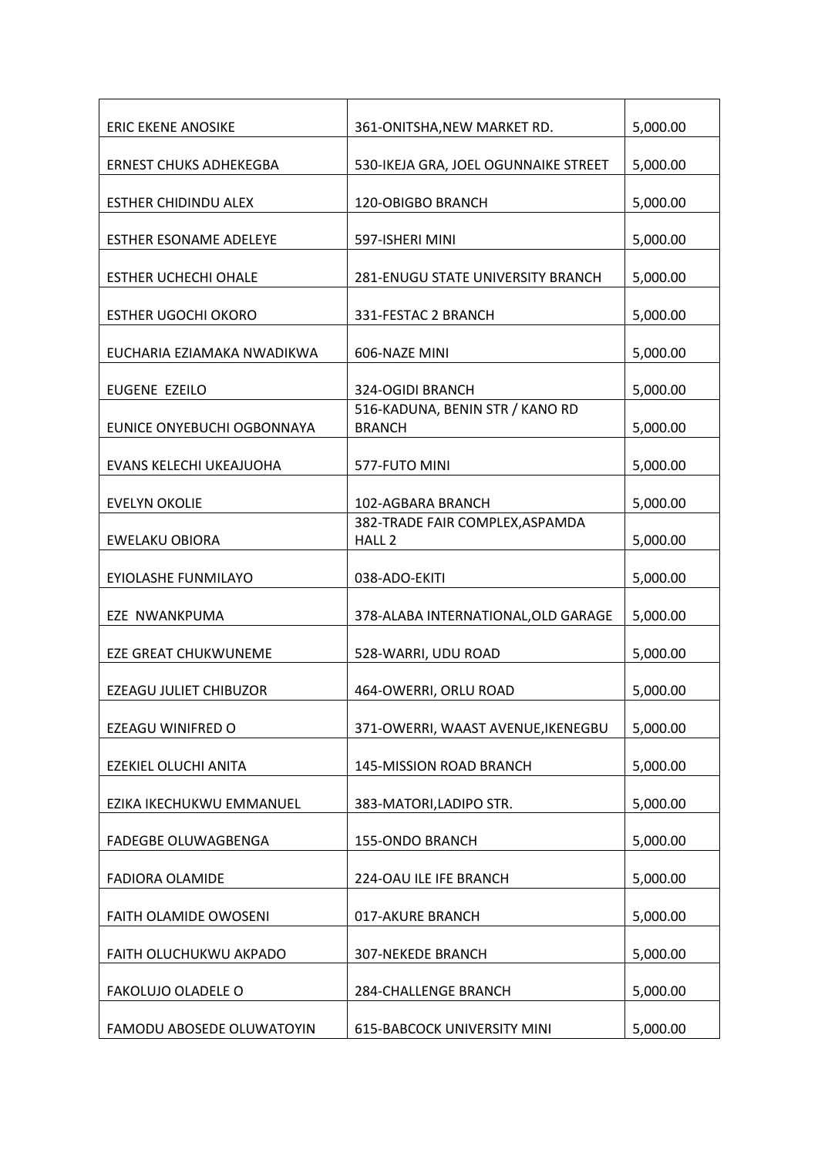| <b>ERIC EKENE ANOSIKE</b>     | 361-ONITSHA, NEW MARKET RD.                          | 5,000.00 |
|-------------------------------|------------------------------------------------------|----------|
| <b>ERNEST CHUKS ADHEKEGBA</b> | 530-IKEJA GRA, JOEL OGUNNAIKE STREET                 | 5,000.00 |
| <b>ESTHER CHIDINDU ALEX</b>   | 120-OBIGBO BRANCH                                    | 5,000.00 |
| ESTHER ESONAME ADELEYE        | 597-ISHERI MINI                                      | 5,000.00 |
| <b>ESTHER UCHECHI OHALE</b>   | <b>281-ENUGU STATE UNIVERSITY BRANCH</b>             | 5,000.00 |
| <b>ESTHER UGOCHI OKORO</b>    | 331-FESTAC 2 BRANCH                                  | 5,000.00 |
| EUCHARIA EZIAMAKA NWADIKWA    | 606-NAZE MINI                                        | 5,000.00 |
| EUGENE EZEILO                 | 324-OGIDI BRANCH                                     | 5,000.00 |
| EUNICE ONYEBUCHI OGBONNAYA    | 516-KADUNA, BENIN STR / KANO RD<br><b>BRANCH</b>     | 5,000.00 |
| EVANS KELECHI UKEAJUOHA       | 577-FUTO MINI                                        | 5,000.00 |
| <b>EVELYN OKOLIE</b>          | 102-AGBARA BRANCH                                    | 5,000.00 |
| EWELAKU OBIORA                | 382-TRADE FAIR COMPLEX, ASPAMDA<br>HALL <sub>2</sub> | 5,000.00 |
| EYIOLASHE FUNMILAYO           | 038-ADO-EKITI                                        | 5,000.00 |
| EZE NWANKPUMA                 | 378-ALABA INTERNATIONAL, OLD GARAGE                  | 5,000.00 |
| EZE GREAT CHUKWUNEME          | 528-WARRI, UDU ROAD                                  | 5,000.00 |
| <b>EZEAGU JULIET CHIBUZOR</b> | 464-OWERRI, ORLU ROAD                                | 5,000.00 |
| <b>EZEAGU WINIFRED O</b>      | 371-OWERRI, WAAST AVENUE, IKENEGBU                   | 5,000.00 |
| EZEKIEL OLUCHI ANITA          | 145-MISSION ROAD BRANCH                              | 5,000.00 |
| EZIKA IKECHUKWU EMMANUEL      | 383-MATORI, LADIPO STR.                              | 5,000.00 |
| FADEGBE OLUWAGBENGA           | 155-ONDO BRANCH                                      | 5,000.00 |
| <b>FADIORA OLAMIDE</b>        | 224-OAU ILE IFE BRANCH                               | 5,000.00 |
| FAITH OLAMIDE OWOSENI         | 017-AKURE BRANCH                                     | 5,000.00 |
| FAITH OLUCHUKWU AKPADO        | 307-NEKEDE BRANCH                                    | 5,000.00 |
| FAKOLUJO OLADELE O            | 284-CHALLENGE BRANCH                                 | 5,000.00 |
| FAMODU ABOSEDE OLUWATOYIN     | <b>615-BABCOCK UNIVERSITY MINI</b>                   | 5,000.00 |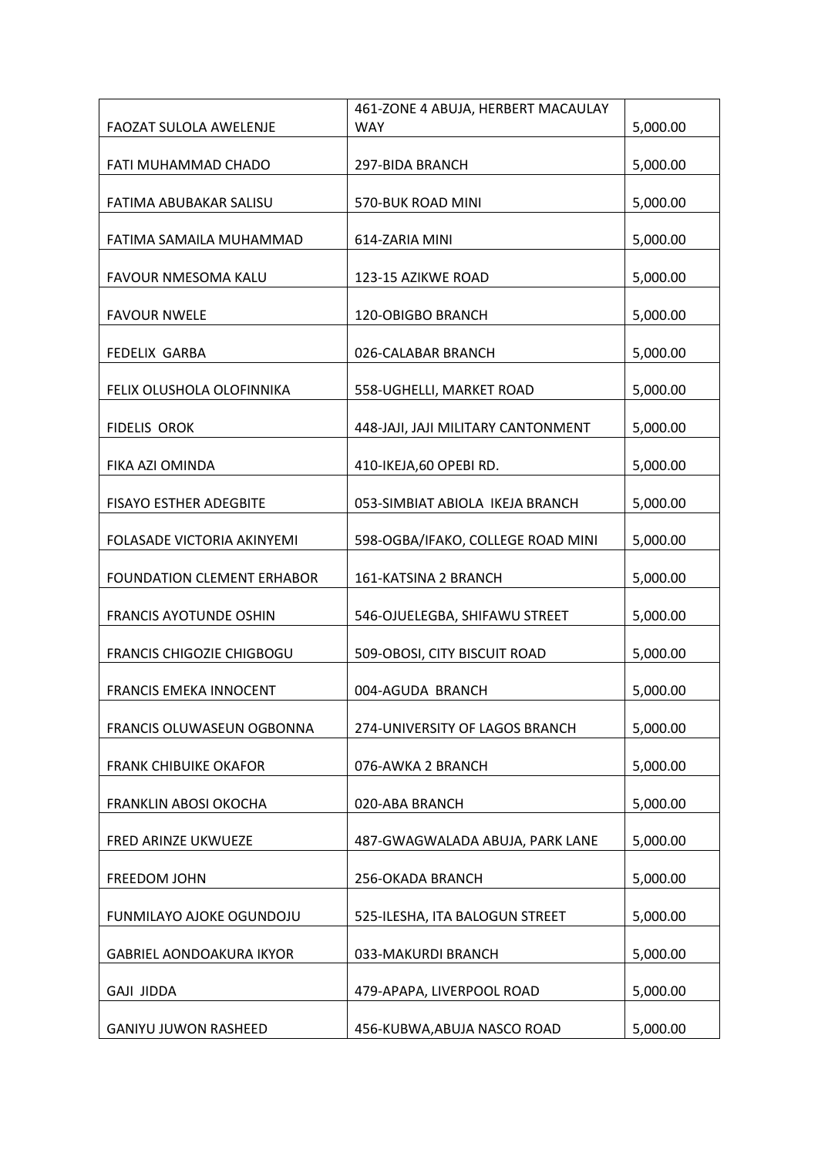|                                   | 461-ZONE 4 ABUJA, HERBERT MACAULAY |          |
|-----------------------------------|------------------------------------|----------|
| FAOZAT SULOLA AWELENJE            | <b>WAY</b>                         | 5,000.00 |
| FATI MUHAMMAD CHADO               |                                    |          |
|                                   | 297-BIDA BRANCH                    | 5,000.00 |
| FATIMA ABUBAKAR SALISU            | 570-BUK ROAD MINI                  | 5,000.00 |
|                                   |                                    |          |
| FATIMA SAMAILA MUHAMMAD           | 614-ZARIA MINI                     | 5,000.00 |
| FAVOUR NMESOMA KALU               | 123-15 AZIKWE ROAD                 | 5,000.00 |
| <b>FAVOUR NWELE</b>               | 120-OBIGBO BRANCH                  | 5,000.00 |
| <b>FEDELIX GARBA</b>              | 026-CALABAR BRANCH                 | 5,000.00 |
| FELIX OLUSHOLA OLOFINNIKA         | 558-UGHELLI, MARKET ROAD           | 5,000.00 |
| <b>FIDELIS OROK</b>               | 448-JAJI, JAJI MILITARY CANTONMENT | 5,000.00 |
| FIKA AZI OMINDA                   | 410-IKEJA,60 OPEBI RD.             | 5,000.00 |
|                                   |                                    |          |
| <b>FISAYO ESTHER ADEGBITE</b>     | 053-SIMBIAT ABIOLA IKEJA BRANCH    | 5,000.00 |
| FOLASADE VICTORIA AKINYEMI        | 598-OGBA/IFAKO, COLLEGE ROAD MINI  | 5,000.00 |
| <b>FOUNDATION CLEMENT ERHABOR</b> | 161-KATSINA 2 BRANCH               | 5,000.00 |
| <b>FRANCIS AYOTUNDE OSHIN</b>     | 546-OJUELEGBA, SHIFAWU STREET      | 5,000.00 |
| <b>FRANCIS CHIGOZIE CHIGBOGU</b>  | 509-OBOSI, CITY BISCUIT ROAD       | 5,000.00 |
| <b>FRANCIS EMEKA INNOCENT</b>     | 004-AGUDA BRANCH                   | 5,000.00 |
| FRANCIS OLUWASEUN OGBONNA         | 274-UNIVERSITY OF LAGOS BRANCH     | 5,000.00 |
| <b>FRANK CHIBUIKE OKAFOR</b>      | 076-AWKA 2 BRANCH                  | 5,000.00 |
| FRANKLIN ABOSI OKOCHA             | 020-ABA BRANCH                     | 5,000.00 |
| FRED ARINZE UKWUEZE               | 487-GWAGWALADA ABUJA, PARK LANE    | 5,000.00 |
| FREEDOM JOHN                      | 256-OKADA BRANCH                   | 5,000.00 |
| FUNMILAYO AJOKE OGUNDOJU          | 525-ILESHA, ITA BALOGUN STREET     | 5,000.00 |
|                                   |                                    |          |
| <b>GABRIEL AONDOAKURA IKYOR</b>   | 033-MAKURDI BRANCH                 | 5,000.00 |
| <b>GAJI JIDDA</b>                 | 479-APAPA, LIVERPOOL ROAD          | 5,000.00 |
| <b>GANIYU JUWON RASHEED</b>       | 456-KUBWA, ABUJA NASCO ROAD        | 5,000.00 |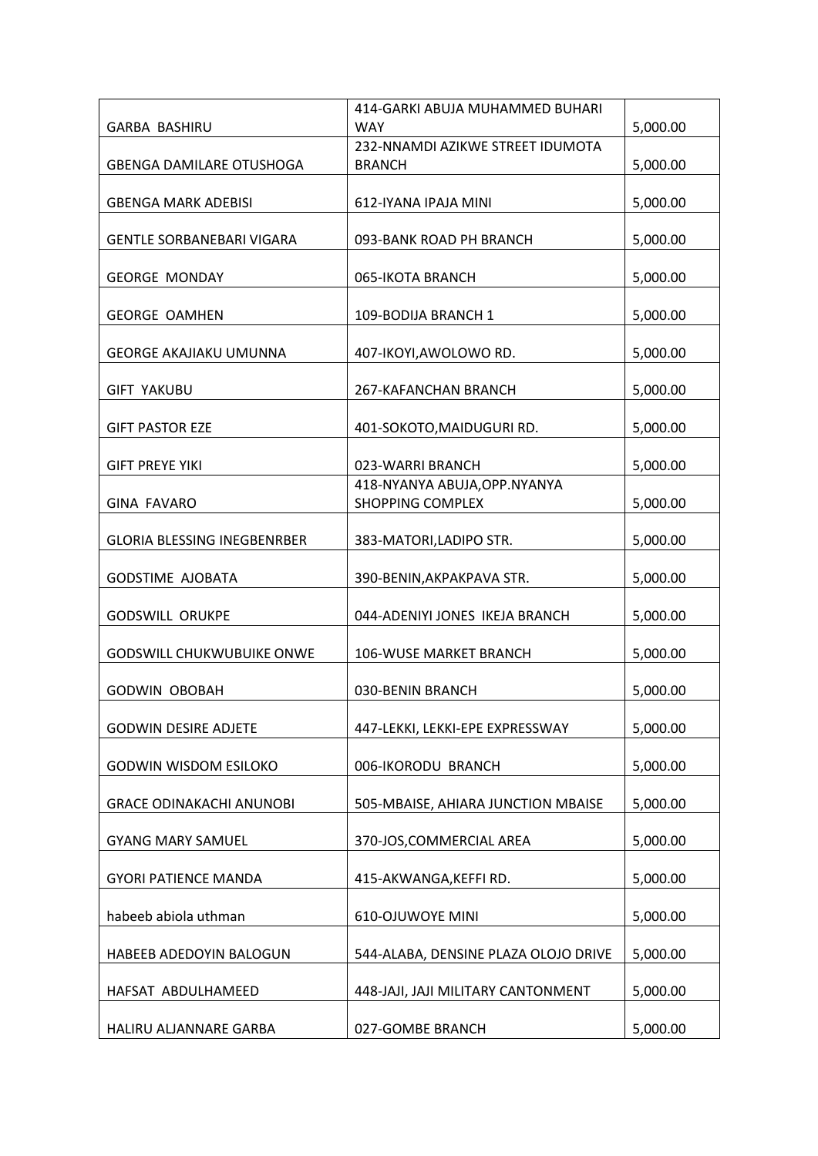| <b>WAY</b><br>5,000.00<br><b>GARBA BASHIRU</b><br>232-NNAMDI AZIKWE STREET IDUMOTA<br>5,000.00<br><b>GBENGA DAMILARE OTUSHOGA</b><br><b>BRANCH</b><br><b>GBENGA MARK ADEBISI</b><br>612-IYANA IPAJA MINI<br>5,000.00 |                                  | 414-GARKI ABUJA MUHAMMED BUHARI |          |
|----------------------------------------------------------------------------------------------------------------------------------------------------------------------------------------------------------------------|----------------------------------|---------------------------------|----------|
|                                                                                                                                                                                                                      |                                  |                                 |          |
|                                                                                                                                                                                                                      |                                  |                                 |          |
|                                                                                                                                                                                                                      |                                  |                                 |          |
|                                                                                                                                                                                                                      |                                  |                                 |          |
|                                                                                                                                                                                                                      |                                  |                                 |          |
|                                                                                                                                                                                                                      | <b>GENTLE SORBANEBARI VIGARA</b> | 093-BANK ROAD PH BRANCH         | 5,000.00 |
|                                                                                                                                                                                                                      |                                  |                                 |          |
| 5,000.00<br><b>GEORGE MONDAY</b><br>065-IKOTA BRANCH                                                                                                                                                                 |                                  |                                 |          |
| <b>GEORGE OAMHEN</b><br>109-BODIJA BRANCH 1                                                                                                                                                                          |                                  |                                 |          |
| 5,000.00                                                                                                                                                                                                             |                                  |                                 |          |
| <b>GEORGE AKAJIAKU UMUNNA</b><br>407-IKOYI, AWOLOWO RD.<br>5,000.00                                                                                                                                                  |                                  |                                 |          |
|                                                                                                                                                                                                                      |                                  |                                 |          |
| <b>GIFT YAKUBU</b><br>267-KAFANCHAN BRANCH<br>5,000.00                                                                                                                                                               |                                  |                                 |          |
| 5,000.00<br><b>GIFT PASTOR EZE</b><br>401-SOKOTO, MAIDUGURI RD.                                                                                                                                                      |                                  |                                 |          |
|                                                                                                                                                                                                                      |                                  |                                 |          |
| <b>GIFT PREYE YIKI</b><br>023-WARRI BRANCH<br>5,000.00                                                                                                                                                               |                                  |                                 |          |
| 418-NYANYA ABUJA, OPP. NYANYA                                                                                                                                                                                        |                                  |                                 |          |
| <b>GINA FAVARO</b><br><b>SHOPPING COMPLEX</b><br>5,000.00                                                                                                                                                            |                                  |                                 |          |
|                                                                                                                                                                                                                      |                                  |                                 |          |
| 5,000.00<br><b>GLORIA BLESSING INEGBENRBER</b><br>383-MATORI, LADIPO STR.                                                                                                                                            |                                  |                                 |          |
| <b>GODSTIME AJOBATA</b><br>5,000.00<br>390-BENIN, AKPAKPAVA STR.                                                                                                                                                     |                                  |                                 |          |
|                                                                                                                                                                                                                      |                                  |                                 |          |
| <b>GODSWILL ORUKPE</b><br>044-ADENIYI JONES IKEJA BRANCH<br>5,000.00                                                                                                                                                 |                                  |                                 |          |
|                                                                                                                                                                                                                      |                                  |                                 |          |
| <b>GODSWILL CHUKWUBUIKE ONWE</b><br>106-WUSE MARKET BRANCH<br>5,000.00                                                                                                                                               |                                  |                                 |          |
|                                                                                                                                                                                                                      |                                  |                                 |          |
| 5,000.00<br><b>GODWIN OBOBAH</b><br>030-BENIN BRANCH                                                                                                                                                                 |                                  |                                 |          |
| 5,000.00<br><b>GODWIN DESIRE ADJETE</b><br>447-LEKKI, LEKKI-EPE EXPRESSWAY                                                                                                                                           |                                  |                                 |          |
|                                                                                                                                                                                                                      |                                  |                                 |          |
| 5,000.00<br><b>GODWIN WISDOM ESILOKO</b><br>006-IKORODU BRANCH                                                                                                                                                       |                                  |                                 |          |
|                                                                                                                                                                                                                      |                                  |                                 |          |
| <b>GRACE ODINAKACHI ANUNOBI</b><br>5,000.00<br>505-MBAISE, AHIARA JUNCTION MBAISE                                                                                                                                    |                                  |                                 |          |
| <b>GYANG MARY SAMUEL</b><br>5,000.00<br>370-JOS, COMMERCIAL AREA                                                                                                                                                     |                                  |                                 |          |
|                                                                                                                                                                                                                      |                                  |                                 |          |
| 5,000.00<br><b>GYORI PATIENCE MANDA</b><br>415-AKWANGA, KEFFI RD.                                                                                                                                                    |                                  |                                 |          |
|                                                                                                                                                                                                                      |                                  |                                 |          |
| habeeb abiola uthman<br><b>610-OJUWOYE MINI</b><br>5,000.00                                                                                                                                                          |                                  |                                 |          |
| HABEEB ADEDOYIN BALOGUN<br>5,000.00<br>544-ALABA, DENSINE PLAZA OLOJO DRIVE                                                                                                                                          |                                  |                                 |          |
|                                                                                                                                                                                                                      |                                  |                                 |          |
| HAFSAT ABDULHAMEED<br>5,000.00<br>448-JAJI, JAJI MILITARY CANTONMENT                                                                                                                                                 |                                  |                                 |          |
| 5,000.00<br>HALIRU ALJANNARE GARBA<br>027-GOMBE BRANCH                                                                                                                                                               |                                  |                                 |          |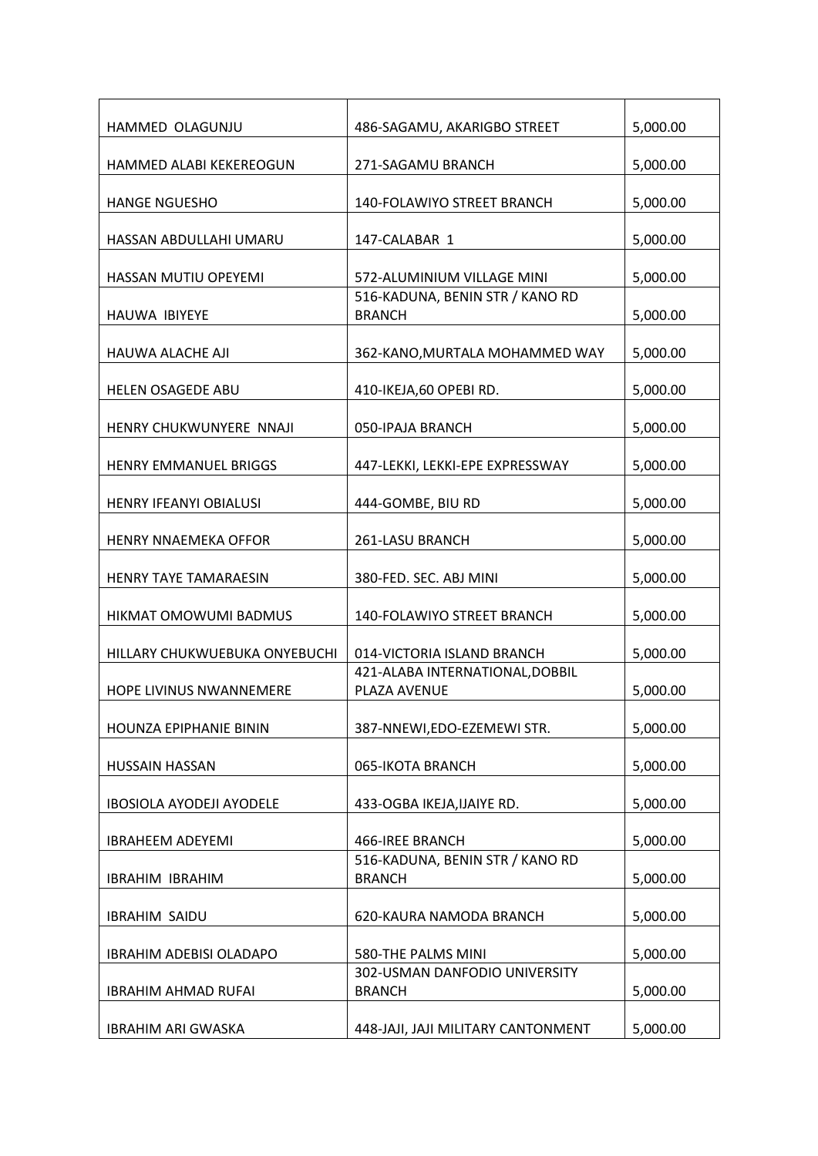| HAMMED OLAGUNJU                 | 486-SAGAMU, AKARIGBO STREET                      | 5,000.00 |
|---------------------------------|--------------------------------------------------|----------|
| <b>HAMMED ALABI KEKEREOGUN</b>  | 271-SAGAMU BRANCH                                | 5,000.00 |
| <b>HANGE NGUESHO</b>            | 140-FOLAWIYO STREET BRANCH                       | 5,000.00 |
| HASSAN ABDULLAHI UMARU          | 147-CALABAR 1                                    | 5,000.00 |
| HASSAN MUTIU OPEYEMI            | 572-ALUMINIUM VILLAGE MINI                       | 5,000.00 |
| <b>HAUWA IBIYEYE</b>            | 516-KADUNA, BENIN STR / KANO RD<br><b>BRANCH</b> | 5,000.00 |
| HAUWA ALACHE AJI                | 362-KANO, MURTALA MOHAMMED WAY                   | 5,000.00 |
| <b>HELEN OSAGEDE ABU</b>        | 410-IKEJA,60 OPEBI RD.                           | 5,000.00 |
| HENRY CHUKWUNYERE NNAJI         | 050-IPAJA BRANCH                                 | 5,000.00 |
| HENRY EMMANUEL BRIGGS           | 447-LEKKI, LEKKI-EPE EXPRESSWAY                  | 5,000.00 |
| <b>HENRY IFEANYI OBIALUSI</b>   | 444-GOMBE, BIU RD                                | 5,000.00 |
| <b>HENRY NNAEMEKA OFFOR</b>     | 261-LASU BRANCH                                  | 5,000.00 |
| <b>HENRY TAYE TAMARAESIN</b>    | 380-FED. SEC. ABJ MINI                           | 5,000.00 |
| HIKMAT OMOWUMI BADMUS           | 140-FOLAWIYO STREET BRANCH                       | 5,000.00 |
| HILLARY CHUKWUEBUKA ONYEBUCHI   | 014-VICTORIA ISLAND BRANCH                       | 5,000.00 |
| HOPE LIVINUS NWANNEMERE         | 421-ALABA INTERNATIONAL, DOBBIL<br>PLAZA AVENUE  | 5,000.00 |
| HOUNZA EPIPHANIE BININ          | 387-NNEWI, EDO-EZEMEWI STR.                      | 5,000.00 |
| HUSSAIN HASSAN                  | 065-IKOTA BRANCH                                 | 5,000.00 |
| <b>IBOSIOLA AYODEJI AYODELE</b> | 433-OGBA IKEJA, IJAIYE RD.                       | 5,000.00 |
| <b>IBRAHEEM ADEYEMI</b>         | 466-IREE BRANCH                                  | 5,000.00 |
| <b>IBRAHIM IBRAHIM</b>          | 516-KADUNA, BENIN STR / KANO RD<br><b>BRANCH</b> | 5,000.00 |
| <b>IBRAHIM SAIDU</b>            | 620-KAURA NAMODA BRANCH                          | 5,000.00 |
| IBRAHIM ADEBISI OLADAPO         | 580-THE PALMS MINI                               | 5,000.00 |
| <b>IBRAHIM AHMAD RUFAI</b>      | 302-USMAN DANFODIO UNIVERSITY<br><b>BRANCH</b>   | 5,000.00 |
| <b>IBRAHIM ARI GWASKA</b>       | 448-JAJI, JAJI MILITARY CANTONMENT               | 5,000.00 |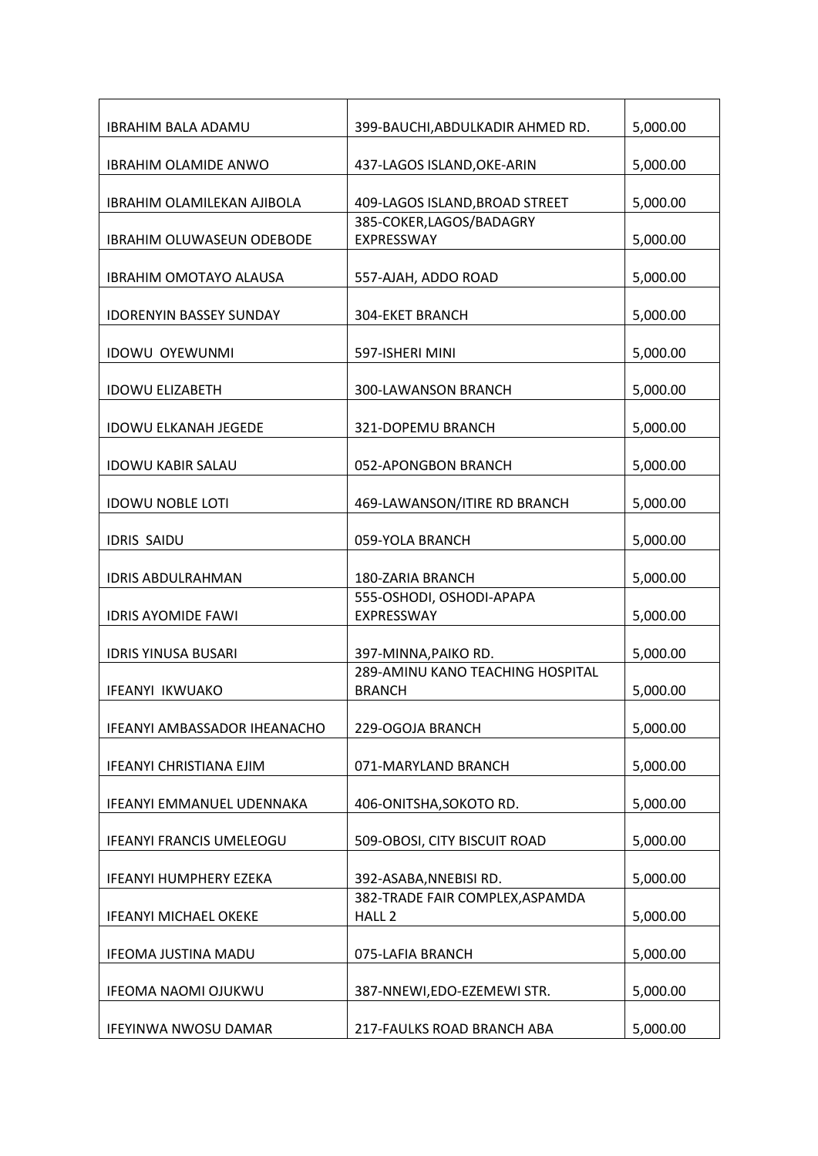| <b>IBRAHIM BALA ADAMU</b>         | 399-BAUCHI, ABDULKADIR AHMED RD.                     | 5,000.00 |
|-----------------------------------|------------------------------------------------------|----------|
| <b>IBRAHIM OLAMIDE ANWO</b>       | 437-LAGOS ISLAND, OKE-ARIN                           | 5,000.00 |
| <b>IBRAHIM OLAMILEKAN AJIBOLA</b> | 409-LAGOS ISLAND, BROAD STREET                       | 5,000.00 |
| <b>IBRAHIM OLUWASEUN ODEBODE</b>  | 385-COKER, LAGOS/BADAGRY<br>EXPRESSWAY               | 5,000.00 |
| <b>IBRAHIM OMOTAYO ALAUSA</b>     | 557-AJAH, ADDO ROAD                                  | 5,000.00 |
| <b>IDORENYIN BASSEY SUNDAY</b>    | <b>304-EKET BRANCH</b>                               | 5,000.00 |
| <b>IDOWU OYEWUNMI</b>             | 597-ISHERI MINI                                      | 5,000.00 |
| <b>IDOWU ELIZABETH</b>            | 300-LAWANSON BRANCH                                  | 5,000.00 |
| <b>IDOWU ELKANAH JEGEDE</b>       | 321-DOPEMU BRANCH                                    | 5,000.00 |
| <b>IDOWU KABIR SALAU</b>          | 052-APONGBON BRANCH                                  | 5,000.00 |
| <b>IDOWU NOBLE LOTI</b>           | 469-LAWANSON/ITIRE RD BRANCH                         | 5,000.00 |
| <b>IDRIS SAIDU</b>                | 059-YOLA BRANCH                                      | 5,000.00 |
| <b>IDRIS ABDULRAHMAN</b>          | 180-ZARIA BRANCH                                     | 5,000.00 |
| <b>IDRIS AYOMIDE FAWI</b>         | 555-OSHODI, OSHODI-APAPA<br>EXPRESSWAY               | 5,000.00 |
| <b>IDRIS YINUSA BUSARI</b>        | 397-MINNA, PAIKO RD.                                 | 5,000.00 |
| <b>IFEANYI IKWUAKO</b>            | 289-AMINU KANO TEACHING HOSPITAL<br><b>BRANCH</b>    | 5,000.00 |
| IFEANYI AMBASSADOR IHEANACHO      | 229-OGOJA BRANCH                                     | 5,000.00 |
| IFEANYI CHRISTIANA EJIM           | 071-MARYLAND BRANCH                                  | 5,000.00 |
| <b>IFEANYI EMMANUEL UDENNAKA</b>  | 406-ONITSHA, SOKOTO RD.                              | 5,000.00 |
| <b>IFEANYI FRANCIS UMELEOGU</b>   | 509-OBOSI, CITY BISCUIT ROAD                         | 5,000.00 |
| <b>IFEANYI HUMPHERY EZEKA</b>     | 392-ASABA, NNEBISI RD.                               | 5,000.00 |
| <b>IFEANYI MICHAEL OKEKE</b>      | 382-TRADE FAIR COMPLEX, ASPAMDA<br>HALL <sub>2</sub> | 5,000.00 |
| <b>IFEOMA JUSTINA MADU</b>        | 075-LAFIA BRANCH                                     | 5,000.00 |
| IFEOMA NAOMI OJUKWU               | 387-NNEWI, EDO-EZEMEWI STR.                          | 5,000.00 |
| IFEYINWA NWOSU DAMAR              | 217-FAULKS ROAD BRANCH ABA                           | 5,000.00 |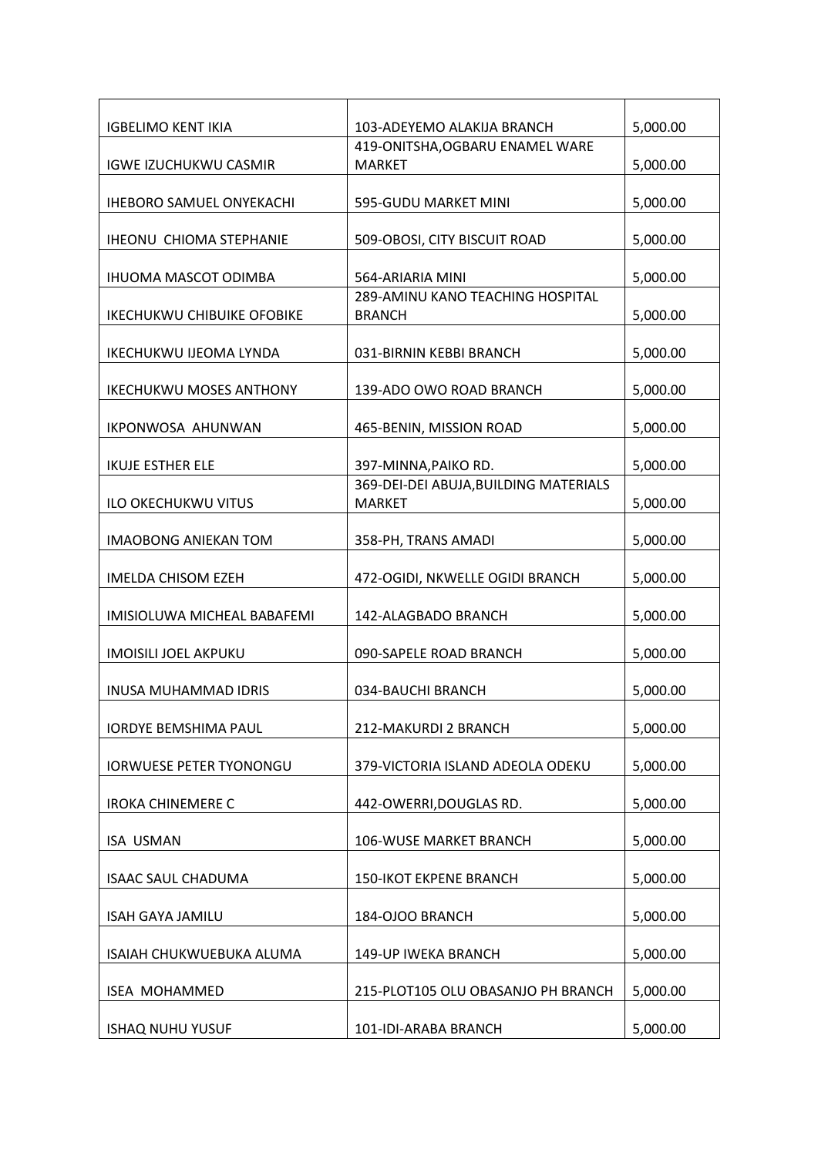| <b>IGBELIMO KENT IKIA</b>         | 103-ADEYEMO ALAKIJA BRANCH            | 5,000.00 |
|-----------------------------------|---------------------------------------|----------|
|                                   | 419-ONITSHA, OGBARU ENAMEL WARE       |          |
| <b>IGWE IZUCHUKWU CASMIR</b>      | <b>MARKET</b>                         | 5,000.00 |
|                                   |                                       |          |
| <b>IHEBORO SAMUEL ONYEKACHI</b>   | 595-GUDU MARKET MINI                  | 5,000.00 |
|                                   |                                       |          |
| <b>IHEONU CHIOMA STEPHANIE</b>    | 509-OBOSI, CITY BISCUIT ROAD          | 5,000.00 |
|                                   |                                       |          |
|                                   | 564-ARIARIA MINI                      |          |
| <b>IHUOMA MASCOT ODIMBA</b>       |                                       | 5,000.00 |
|                                   | 289-AMINU KANO TEACHING HOSPITAL      |          |
| <b>IKECHUKWU CHIBUIKE OFOBIKE</b> | <b>BRANCH</b>                         | 5,000.00 |
|                                   |                                       |          |
| <b>IKECHUKWU IJEOMA LYNDA</b>     | 031-BIRNIN KEBBI BRANCH               | 5,000.00 |
|                                   |                                       |          |
| <b>IKECHUKWU MOSES ANTHONY</b>    | 139-ADO OWO ROAD BRANCH               | 5,000.00 |
|                                   |                                       |          |
| <b>IKPONWOSA AHUNWAN</b>          | 465-BENIN, MISSION ROAD               | 5,000.00 |
|                                   |                                       |          |
| <b>IKUJE ESTHER ELE</b>           | 397-MINNA, PAIKO RD.                  | 5,000.00 |
|                                   | 369-DEI-DEI ABUJA, BUILDING MATERIALS |          |
| <b>ILO OKECHUKWU VITUS</b>        | <b>MARKET</b>                         | 5,000.00 |
|                                   |                                       |          |
|                                   |                                       |          |
| <b>IMAOBONG ANIEKAN TOM</b>       | 358-PH, TRANS AMADI                   | 5,000.00 |
|                                   |                                       |          |
| <b>IMELDA CHISOM EZEH</b>         | 472-OGIDI, NKWELLE OGIDI BRANCH       | 5,000.00 |
|                                   |                                       |          |
| IMISIOLUWA MICHEAL BABAFEMI       | 142-ALAGBADO BRANCH                   | 5,000.00 |
|                                   |                                       |          |
| <b>IMOISILI JOEL AKPUKU</b>       | 090-SAPELE ROAD BRANCH                | 5,000.00 |
|                                   |                                       |          |
| <b>INUSA MUHAMMAD IDRIS</b>       | 034-BAUCHI BRANCH                     | 5,000.00 |
|                                   |                                       |          |
| <b>IORDYE BEMSHIMA PAUL</b>       | 212-MAKURDI 2 BRANCH                  | 5,000.00 |
|                                   |                                       |          |
| <b>IORWUESE PETER TYONONGU</b>    | 379-VICTORIA ISLAND ADEOLA ODEKU      | 5,000.00 |
|                                   |                                       |          |
| <b>IROKA CHINEMERE C</b>          | 442-OWERRI, DOUGLAS RD.               | 5,000.00 |
|                                   |                                       |          |
| <b>ISA USMAN</b>                  | 106-WUSE MARKET BRANCH                | 5,000.00 |
|                                   |                                       |          |
|                                   |                                       | 5,000.00 |
| <b>ISAAC SAUL CHADUMA</b>         | <b>150-IKOT EKPENE BRANCH</b>         |          |
|                                   |                                       |          |
| <b>ISAH GAYA JAMILU</b>           | 184-OJOO BRANCH                       | 5,000.00 |
|                                   |                                       |          |
| ISAIAH CHUKWUEBUKA ALUMA          | 149-UP IWEKA BRANCH                   | 5,000.00 |
|                                   |                                       |          |
| <b>ISEA MOHAMMED</b>              | 215-PLOT105 OLU OBASANJO PH BRANCH    | 5,000.00 |
|                                   |                                       |          |
| <b>ISHAQ NUHU YUSUF</b>           | 101-IDI-ARABA BRANCH                  | 5,000.00 |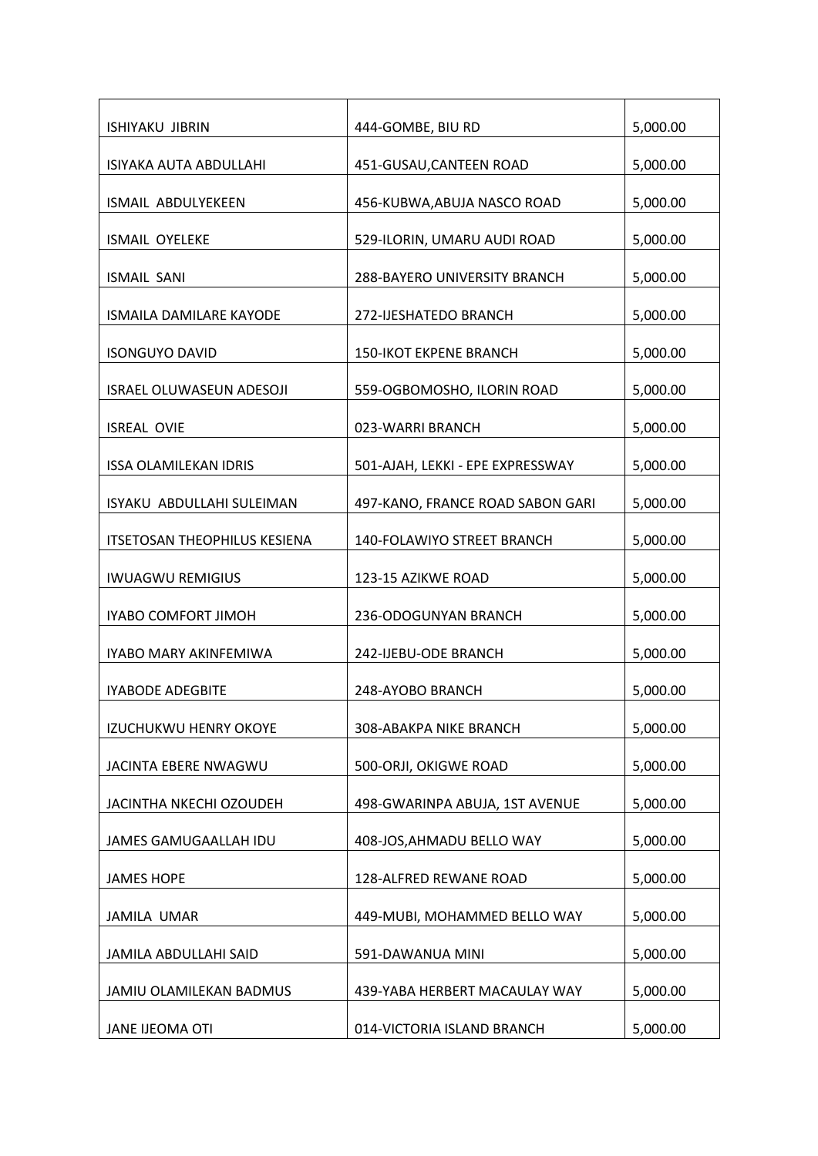| <b>ISHIYAKU JIBRIN</b>              | 444-GOMBE, BIU RD                | 5,000.00 |
|-------------------------------------|----------------------------------|----------|
| ISIYAKA AUTA ABDULLAHI              | 451-GUSAU, CANTEEN ROAD          | 5,000.00 |
| <b>ISMAIL ABDULYEKEEN</b>           | 456-KUBWA, ABUJA NASCO ROAD      | 5,000.00 |
| <b>ISMAIL OYELEKE</b>               | 529-ILORIN, UMARU AUDI ROAD      | 5,000.00 |
| <b>ISMAIL SANI</b>                  | 288-BAYERO UNIVERSITY BRANCH     | 5,000.00 |
| <b>ISMAILA DAMILARE KAYODE</b>      | 272-IJESHATEDO BRANCH            | 5,000.00 |
| <b>ISONGUYO DAVID</b>               | <b>150-IKOT EKPENE BRANCH</b>    | 5,000.00 |
| <b>ISRAEL OLUWASEUN ADESOJI</b>     | 559-OGBOMOSHO, ILORIN ROAD       | 5,000.00 |
| <b>ISREAL OVIE</b>                  | 023-WARRI BRANCH                 | 5,000.00 |
| <b>ISSA OLAMILEKAN IDRIS</b>        | 501-AJAH, LEKKI - EPE EXPRESSWAY | 5,000.00 |
| ISYAKU ABDULLAHI SULEIMAN           | 497-KANO, FRANCE ROAD SABON GARI | 5,000.00 |
| <b>ITSETOSAN THEOPHILUS KESIENA</b> | 140-FOLAWIYO STREET BRANCH       | 5,000.00 |
| <b>IWUAGWU REMIGIUS</b>             | 123-15 AZIKWE ROAD               | 5,000.00 |
| IYABO COMFORT JIMOH                 | 236-ODOGUNYAN BRANCH             | 5,000.00 |
| IYABO MARY AKINFEMIWA               | 242-IJEBU-ODE BRANCH             | 5,000.00 |
| <b>IYABODE ADEGBITE</b>             | 248-AYOBO BRANCH                 | 5,000.00 |
| <b>IZUCHUKWU HENRY OKOYE</b>        | 308-ABAKPA NIKE BRANCH           | 5,000.00 |
| JACINTA EBERE NWAGWU                | 500-ORJI, OKIGWE ROAD            | 5,000.00 |
| JACINTHA NKECHI OZOUDEH             | 498-GWARINPA ABUJA, 1ST AVENUE   | 5,000.00 |
| JAMES GAMUGAALLAH IDU               | 408-JOS, AHMADU BELLO WAY        | 5,000.00 |
| <b>JAMES HOPE</b>                   | 128-ALFRED REWANE ROAD           | 5,000.00 |
| JAMILA UMAR                         | 449-MUBI, MOHAMMED BELLO WAY     | 5,000.00 |
| JAMILA ABDULLAHI SAID               | 591-DAWANUA MINI                 | 5,000.00 |
| JAMIU OLAMILEKAN BADMUS             | 439-YABA HERBERT MACAULAY WAY    | 5,000.00 |
| JANE IJEOMA OTI                     | 014-VICTORIA ISLAND BRANCH       | 5,000.00 |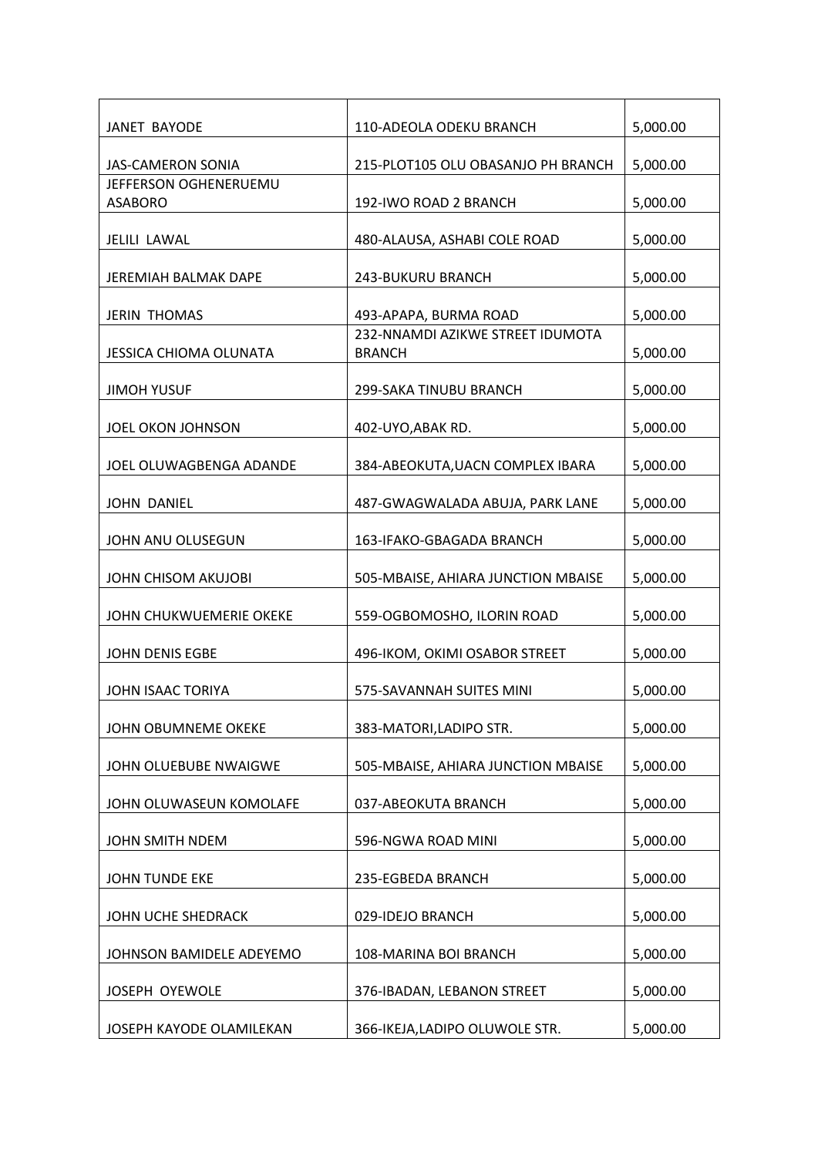| JANET BAYODE                            | 110-ADEOLA ODEKU BRANCH                           | 5,000.00 |
|-----------------------------------------|---------------------------------------------------|----------|
| <b>JAS-CAMERON SONIA</b>                | 215-PLOT105 OLU OBASANJO PH BRANCH                | 5,000.00 |
| JEFFERSON OGHENERUEMU<br><b>ASABORO</b> | 192-IWO ROAD 2 BRANCH                             | 5,000.00 |
|                                         |                                                   |          |
| JELILI LAWAL                            | 480-ALAUSA, ASHABI COLE ROAD                      | 5,000.00 |
| <b>JEREMIAH BALMAK DAPE</b>             | <b>243-BUKURU BRANCH</b>                          | 5,000.00 |
| <b>JERIN THOMAS</b>                     | 493-APAPA, BURMA ROAD                             | 5,000.00 |
| <b>JESSICA CHIOMA OLUNATA</b>           | 232-NNAMDI AZIKWE STREET IDUMOTA<br><b>BRANCH</b> | 5,000.00 |
| <b>JIMOH YUSUF</b>                      | 299-SAKA TINUBU BRANCH                            | 5,000.00 |
| JOEL OKON JOHNSON                       | 402-UYO, ABAK RD.                                 | 5,000.00 |
| JOEL OLUWAGBENGA ADANDE                 | 384-ABEOKUTA, UACN COMPLEX IBARA                  | 5,000.00 |
| <b>JOHN DANIEL</b>                      | 487-GWAGWALADA ABUJA, PARK LANE                   | 5,000.00 |
| JOHN ANU OLUSEGUN                       | 163-IFAKO-GBAGADA BRANCH                          | 5,000.00 |
| <b>JOHN CHISOM AKUJOBI</b>              | 505-MBAISE, AHIARA JUNCTION MBAISE                | 5,000.00 |
| JOHN CHUKWUEMERIE OKEKE                 | 559-OGBOMOSHO, ILORIN ROAD                        | 5,000.00 |
| <b>JOHN DENIS EGBE</b>                  | 496-IKOM, OKIMI OSABOR STREET                     | 5,000.00 |
| JOHN ISAAC TORIYA                       | 575-SAVANNAH SUITES MINI                          | 5,000.00 |
| JOHN OBUMNEME OKEKE                     | 383-MATORI, LADIPO STR.                           | 5,000.00 |
| JOHN OLUEBUBE NWAIGWE                   | 505-MBAISE, AHIARA JUNCTION MBAISE                | 5,000.00 |
| JOHN OLUWASEUN KOMOLAFE                 | 037-ABEOKUTA BRANCH                               | 5,000.00 |
| JOHN SMITH NDEM                         | 596-NGWA ROAD MINI                                | 5,000.00 |
| <b>JOHN TUNDE EKE</b>                   | 235-EGBEDA BRANCH                                 | 5,000.00 |
| JOHN UCHE SHEDRACK                      | 029-IDEJO BRANCH                                  | 5,000.00 |
| JOHNSON BAMIDELE ADEYEMO                | 108-MARINA BOI BRANCH                             | 5,000.00 |
| JOSEPH OYEWOLE                          | 376-IBADAN, LEBANON STREET                        | 5,000.00 |
| JOSEPH KAYODE OLAMILEKAN                | 366-IKEJA,LADIPO OLUWOLE STR.                     | 5,000.00 |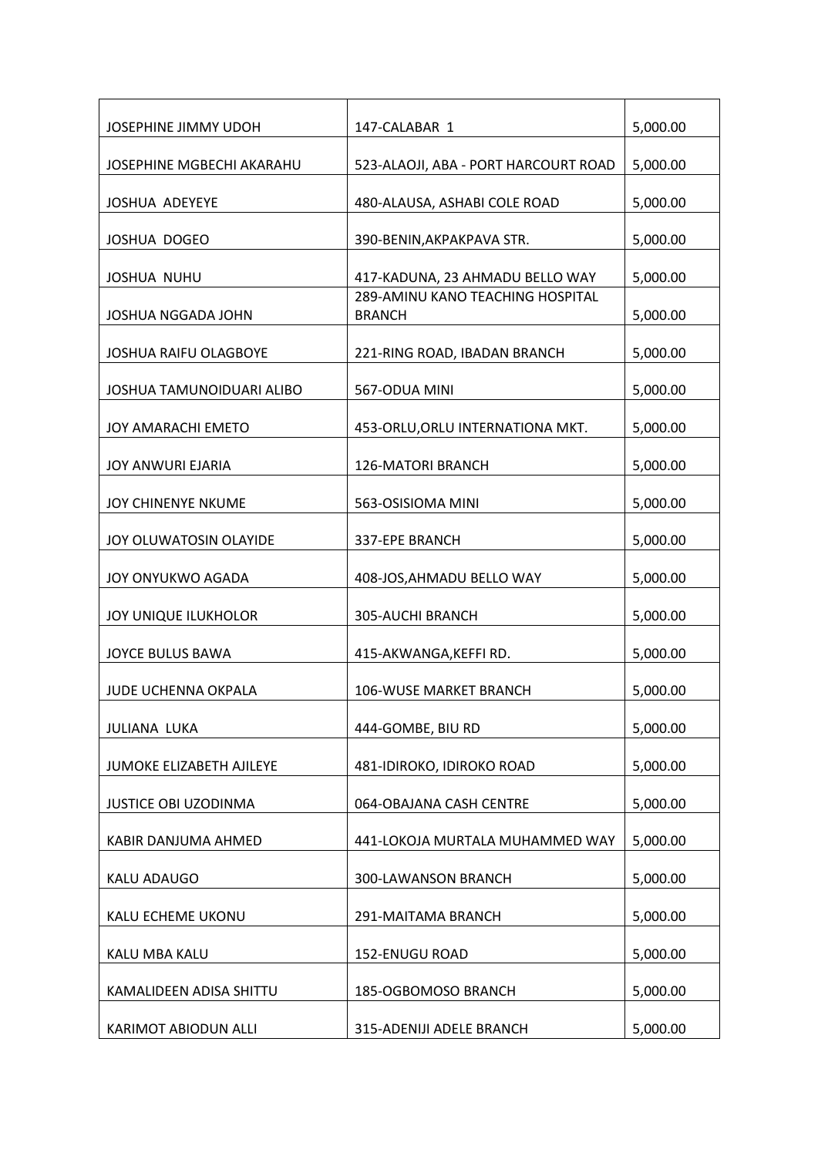| JOSEPHINE JIMMY UDOH        | 147-CALABAR 1                                     | 5,000.00 |
|-----------------------------|---------------------------------------------------|----------|
| JOSEPHINE MGBECHI AKARAHU   | 523-ALAOJI, ABA - PORT HARCOURT ROAD              | 5,000.00 |
| <b>JOSHUA ADEYEYE</b>       | 480-ALAUSA, ASHABI COLE ROAD                      | 5,000.00 |
| JOSHUA DOGEO                | 390-BENIN, AKPAKPAVA STR.                         | 5,000.00 |
| <b>JOSHUA NUHU</b>          | 417-KADUNA, 23 AHMADU BELLO WAY                   | 5,000.00 |
| JOSHUA NGGADA JOHN          | 289-AMINU KANO TEACHING HOSPITAL<br><b>BRANCH</b> | 5,000.00 |
| JOSHUA RAIFU OLAGBOYE       | 221-RING ROAD, IBADAN BRANCH                      | 5,000.00 |
| JOSHUA TAMUNOIDUARI ALIBO   | 567-ODUA MINI                                     | 5,000.00 |
| <b>JOY AMARACHI EMETO</b>   | 453-ORLU, ORLU INTERNATIONA MKT.                  | 5,000.00 |
| <b>JOY ANWURI EJARIA</b>    | 126-MATORI BRANCH                                 | 5,000.00 |
| <b>JOY CHINENYE NKUME</b>   | 563-OSISIOMA MINI                                 | 5,000.00 |
| JOY OLUWATOSIN OLAYIDE      | 337-EPE BRANCH                                    | 5,000.00 |
| JOY ONYUKWO AGADA           | 408-JOS, AHMADU BELLO WAY                         | 5,000.00 |
| JOY UNIQUE ILUKHOLOR        | 305-AUCHI BRANCH                                  | 5,000.00 |
| JOYCE BULUS BAWA            | 415-AKWANGA, KEFFI RD.                            | 5,000.00 |
| <b>JUDE UCHENNA OKPALA</b>  | <b>106-WUSE MARKET BRANCH</b>                     | 5,000.00 |
| JULIANA LUKA                | 444-GOMBE, BIU RD                                 | 5,000.00 |
| JUMOKE ELIZABETH AJILEYE    | 481-IDIROKO, IDIROKO ROAD                         | 5,000.00 |
| <b>JUSTICE OBI UZODINMA</b> | 064-OBAJANA CASH CENTRE                           | 5,000.00 |
| KABIR DANJUMA AHMED         | 441-LOKOJA MURTALA MUHAMMED WAY                   | 5,000.00 |
| KALU ADAUGO                 | 300-LAWANSON BRANCH                               | 5,000.00 |
| KALU ECHEME UKONU           | 291-MAITAMA BRANCH                                | 5,000.00 |
| KALU MBA KALU               | 152-ENUGU ROAD                                    | 5,000.00 |
| KAMALIDEEN ADISA SHITTU     | 185-OGBOMOSO BRANCH                               | 5,000.00 |
| KARIMOT ABIODUN ALLI        | 315-ADENIJI ADELE BRANCH                          | 5,000.00 |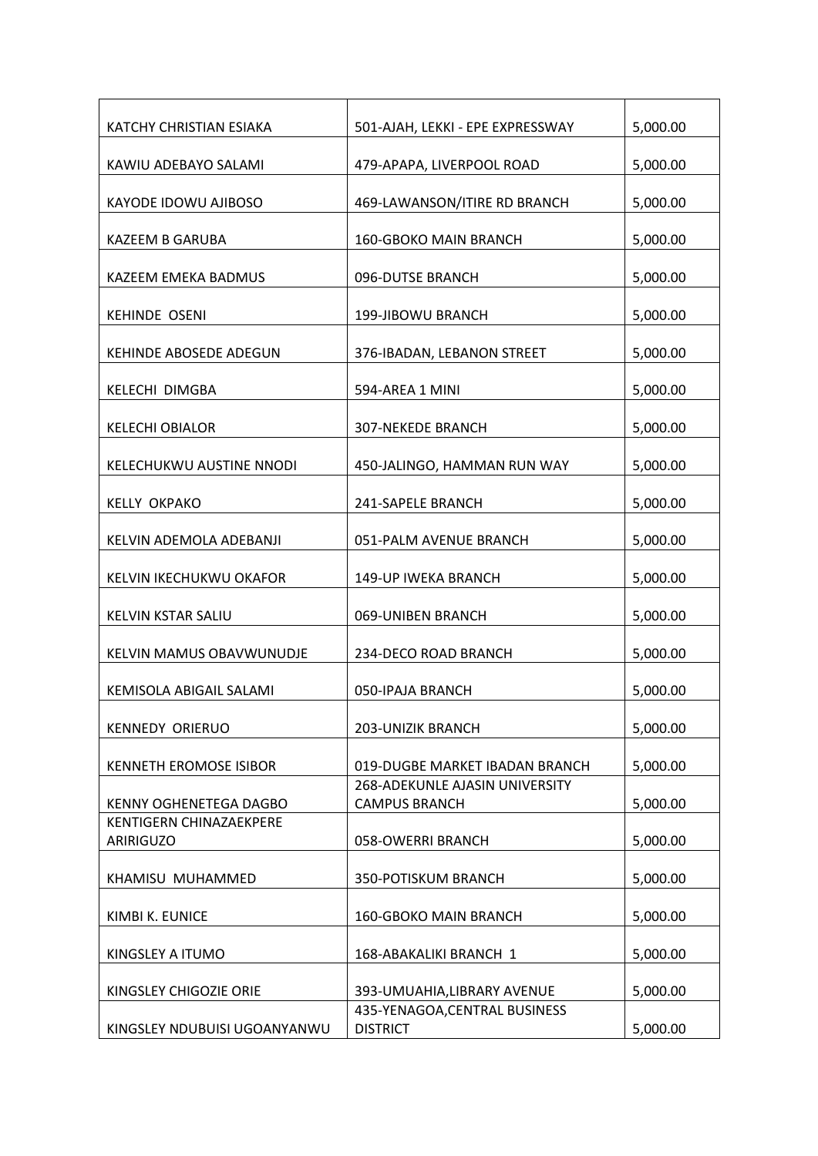| KATCHY CHRISTIAN ESIAKA                     | 501-AJAH, LEKKI - EPE EXPRESSWAY                              | 5,000.00 |
|---------------------------------------------|---------------------------------------------------------------|----------|
| KAWIU ADEBAYO SALAMI                        | 479-APAPA, LIVERPOOL ROAD                                     | 5,000.00 |
| KAYODE IDOWU AJIBOSO                        | 469-LAWANSON/ITIRE RD BRANCH                                  | 5,000.00 |
| KAZEEM B GARUBA                             | 160-GBOKO MAIN BRANCH                                         | 5,000.00 |
| KAZEEM EMEKA BADMUS                         | 096-DUTSE BRANCH                                              | 5,000.00 |
| <b>KEHINDE OSENI</b>                        | 199-JIBOWU BRANCH                                             | 5,000.00 |
| <b>KEHINDE ABOSEDE ADEGUN</b>               | 376-IBADAN, LEBANON STREET                                    | 5,000.00 |
| KELECHI DIMGBA                              | 594-AREA 1 MINI                                               | 5,000.00 |
| <b>KELECHI OBIALOR</b>                      | <b>307-NEKEDE BRANCH</b>                                      | 5,000.00 |
| KELECHUKWU AUSTINE NNODI                    | 450-JALINGO, HAMMAN RUN WAY                                   | 5,000.00 |
| <b>KELLY OKPAKO</b>                         | 241-SAPELE BRANCH                                             | 5,000.00 |
| KELVIN ADEMOLA ADEBANJI                     | 051-PALM AVENUE BRANCH                                        | 5,000.00 |
| KELVIN IKECHUKWU OKAFOR                     | 149-UP IWEKA BRANCH                                           | 5,000.00 |
| KELVIN KSTAR SALIU                          | 069-UNIBEN BRANCH                                             | 5,000.00 |
| KELVIN MAMUS OBAVWUNUDJE                    | 234-DECO ROAD BRANCH                                          | 5,000.00 |
| KEMISOLA ABIGAIL SALAMI                     | 050-IPAJA BRANCH                                              | 5,000.00 |
| <b>KENNEDY ORIERUO</b>                      | 203-UNIZIK BRANCH                                             | 5,000.00 |
| <b>KENNETH EROMOSE ISIBOR</b>               | 019-DUGBE MARKET IBADAN BRANCH                                | 5,000.00 |
| <b>KENNY OGHENETEGA DAGBO</b>               | <b>268-ADEKUNLE AJASIN UNIVERSITY</b><br><b>CAMPUS BRANCH</b> | 5,000.00 |
| <b>KENTIGERN CHINAZAEKPERE</b><br>ARIRIGUZO | 058-OWERRI BRANCH                                             | 5,000.00 |
| KHAMISU MUHAMMED                            | 350-POTISKUM BRANCH                                           | 5,000.00 |
| KIMBI K. EUNICE                             | 160-GBOKO MAIN BRANCH                                         | 5,000.00 |
| KINGSLEY A ITUMO                            | 168-ABAKALIKI BRANCH 1                                        | 5,000.00 |
| KINGSLEY CHIGOZIE ORIE                      | 393-UMUAHIA, LIBRARY AVENUE                                   | 5,000.00 |
| KINGSLEY NDUBUISI UGOANYANWU                | 435-YENAGOA, CENTRAL BUSINESS<br><b>DISTRICT</b>              | 5,000.00 |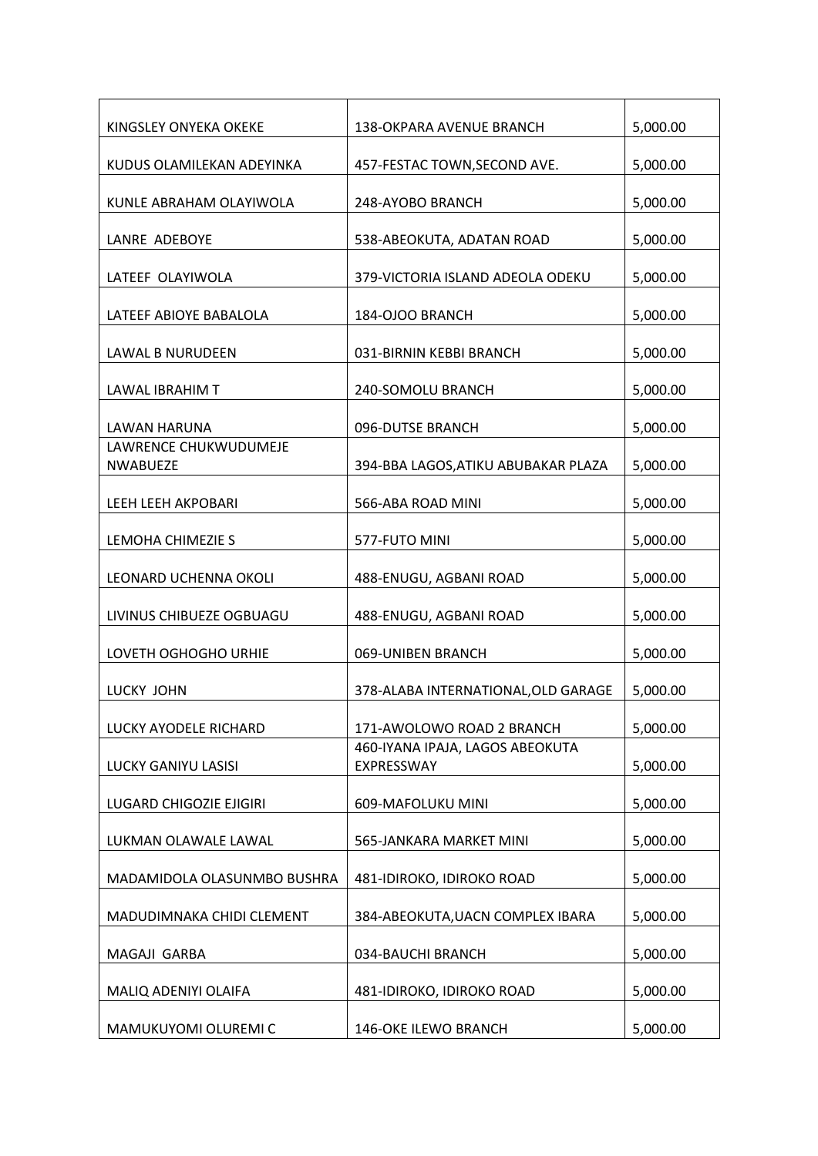| KINGSLEY ONYEKA OKEKE                    | 138-OKPARA AVENUE BRANCH                      | 5,000.00 |
|------------------------------------------|-----------------------------------------------|----------|
|                                          |                                               |          |
| KUDUS OLAMILEKAN ADEYINKA                | 457-FESTAC TOWN, SECOND AVE.                  | 5,000.00 |
| KUNLE ABRAHAM OLAYIWOLA                  | 248-AYOBO BRANCH                              | 5,000.00 |
| LANRE ADEBOYE                            | 538-ABEOKUTA, ADATAN ROAD                     | 5,000.00 |
| LATEEF OLAYIWOLA                         | 379-VICTORIA ISLAND ADEOLA ODEKU              | 5,000.00 |
| LATEEF ABIOYE BABALOLA                   | 184-OJOO BRANCH                               | 5,000.00 |
| <b>LAWAL B NURUDEEN</b>                  | 031-BIRNIN KEBBI BRANCH                       | 5,000.00 |
| LAWAL IBRAHIM T                          | 240-SOMOLU BRANCH                             | 5,000.00 |
| <b>LAWAN HARUNA</b>                      | 096-DUTSE BRANCH                              | 5,000.00 |
| LAWRENCE CHUKWUDUMEJE<br><b>NWABUEZE</b> | 394-BBA LAGOS, ATIKU ABUBAKAR PLAZA           | 5,000.00 |
| <b>LEEH LEEH AKPOBARI</b>                | 566-ABA ROAD MINI                             | 5,000.00 |
| LEMOHA CHIMEZIE S                        | 577-FUTO MINI                                 | 5,000.00 |
| LEONARD UCHENNA OKOLI                    | 488-ENUGU, AGBANI ROAD                        | 5,000.00 |
| LIVINUS CHIBUEZE OGBUAGU                 | 488-ENUGU, AGBANI ROAD                        | 5,000.00 |
| LOVETH OGHOGHO URHIE                     | 069-UNIBEN BRANCH                             | 5,000.00 |
| <b>LUCKY JOHN</b>                        | 378-ALABA INTERNATIONAL, OLD GARAGE           | 5,000.00 |
| <b>LUCKY AYODELE RICHARD</b>             | 171-AWOLOWO ROAD 2 BRANCH                     | 5,000.00 |
| LUCKY GANIYU LASISI                      | 460-IYANA IPAJA, LAGOS ABEOKUTA<br>EXPRESSWAY | 5,000.00 |
| LUGARD CHIGOZIE EJIGIRI                  | 609-MAFOLUKU MINI                             | 5,000.00 |
| LUKMAN OLAWALE LAWAL                     | 565-JANKARA MARKET MINI                       | 5,000.00 |
| MADAMIDOLA OLASUNMBO BUSHRA              | 481-IDIROKO, IDIROKO ROAD                     | 5,000.00 |
| MADUDIMNAKA CHIDI CLEMENT                | 384-ABEOKUTA, UACN COMPLEX IBARA              | 5,000.00 |
| MAGAJI GARBA                             | 034-BAUCHI BRANCH                             | 5,000.00 |
| MALIQ ADENIYI OLAIFA                     | 481-IDIROKO, IDIROKO ROAD                     | 5,000.00 |
| MAMUKUYOMI OLUREMI C                     | 146-OKE ILEWO BRANCH                          | 5,000.00 |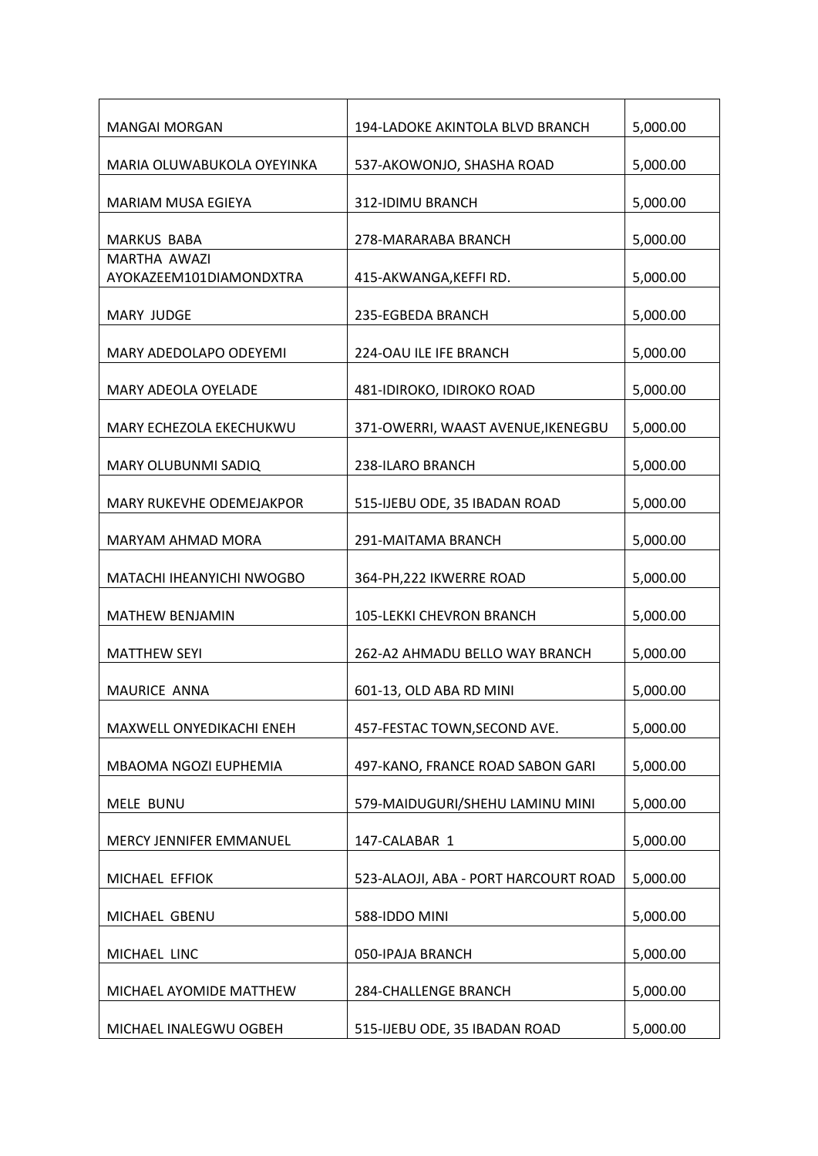| <b>MANGAI MORGAN</b>                    | 194-LADOKE AKINTOLA BLVD BRANCH      | 5,000.00 |
|-----------------------------------------|--------------------------------------|----------|
| MARIA OLUWABUKOLA OYEYINKA              | 537-AKOWONJO, SHASHA ROAD            | 5,000.00 |
| MARIAM MUSA EGIEYA                      | 312-IDIMU BRANCH                     | 5,000.00 |
| <b>MARKUS BABA</b>                      | 278-MARARABA BRANCH                  | 5,000.00 |
| MARTHA AWAZI<br>AYOKAZEEM101DIAMONDXTRA | 415-AKWANGA, KEFFI RD.               | 5,000.00 |
| <b>MARY JUDGE</b>                       | 235-EGBEDA BRANCH                    | 5,000.00 |
| MARY ADEDOLAPO ODEYEMI                  | 224-OAU ILE IFE BRANCH               | 5,000.00 |
| <b>MARY ADEOLA OYELADE</b>              | 481-IDIROKO, IDIROKO ROAD            | 5,000.00 |
| MARY ECHEZOLA EKECHUKWU                 | 371-OWERRI, WAAST AVENUE, IKENEGBU   | 5,000.00 |
| MARY OLUBUNMI SADIQ                     | 238-ILARO BRANCH                     | 5,000.00 |
| MARY RUKEVHE ODEMEJAKPOR                | 515-IJEBU ODE, 35 IBADAN ROAD        | 5,000.00 |
| MARYAM AHMAD MORA                       | 291-MAITAMA BRANCH                   | 5,000.00 |
| MATACHI IHEANYICHI NWOGBO               | 364-PH, 222 IKWERRE ROAD             | 5,000.00 |
| <b>MATHEW BENJAMIN</b>                  | <b>105-LEKKI CHEVRON BRANCH</b>      | 5,000.00 |
| <b>MATTHEW SEYI</b>                     | 262-A2 AHMADU BELLO WAY BRANCH       | 5,000.00 |
| MAURICE ANNA                            | 601-13, OLD ABA RD MINI              | 5,000.00 |
| MAXWELL ONYEDIKACHI ENEH                | 457-FESTAC TOWN, SECOND AVE.         | 5,000.00 |
| MBAOMA NGOZI EUPHEMIA                   | 497-KANO, FRANCE ROAD SABON GARI     | 5,000.00 |
| MELE BUNU                               | 579-MAIDUGURI/SHEHU LAMINU MINI      | 5,000.00 |
| MERCY JENNIFER EMMANUEL                 | 147-CALABAR 1                        | 5,000.00 |
| MICHAEL EFFIOK                          | 523-ALAOJI, ABA - PORT HARCOURT ROAD | 5,000.00 |
| MICHAEL GBENU                           | 588-IDDO MINI                        | 5,000.00 |
| MICHAEL LINC                            | 050-IPAJA BRANCH                     | 5,000.00 |
| MICHAEL AYOMIDE MATTHEW                 | 284-CHALLENGE BRANCH                 | 5,000.00 |
| MICHAEL INALEGWU OGBEH                  | 515-IJEBU ODE, 35 IBADAN ROAD        | 5,000.00 |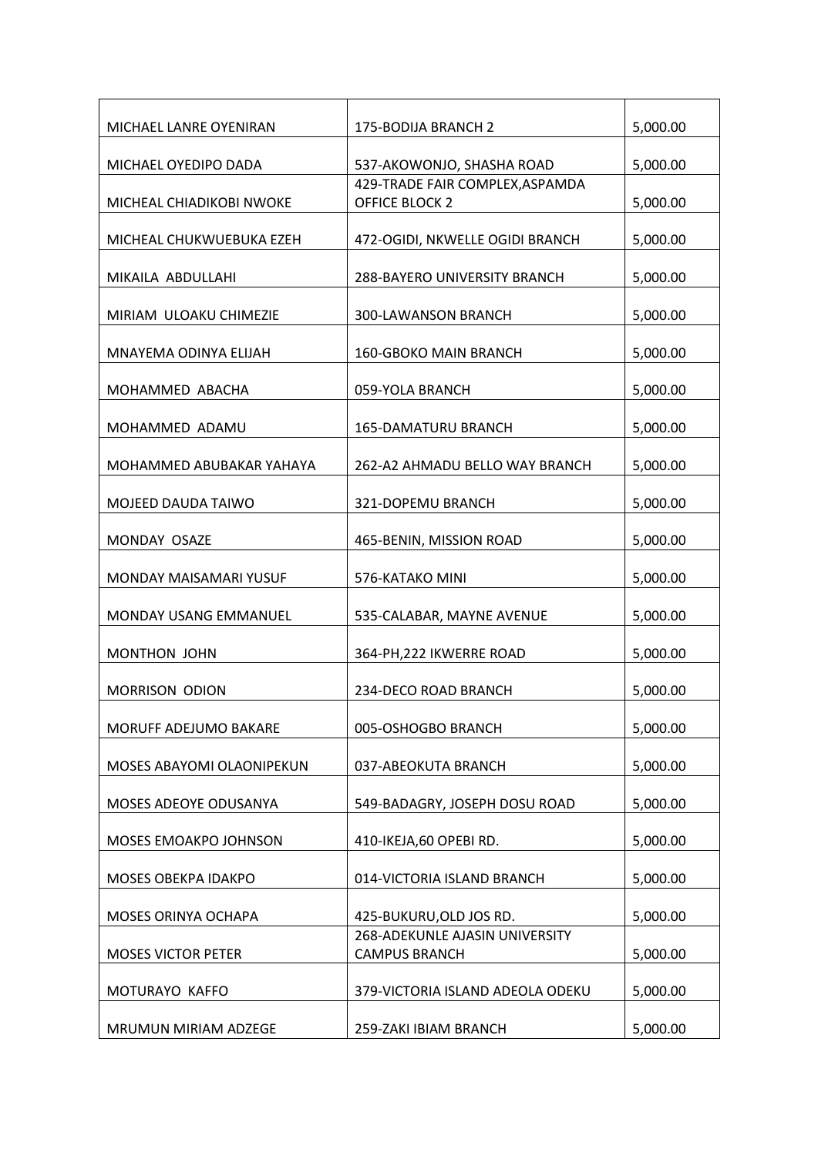| MICHAEL LANRE OYENIRAN    | 175-BODIJA BRANCH 2                                    | 5,000.00 |
|---------------------------|--------------------------------------------------------|----------|
| MICHAEL OYEDIPO DADA      | 537-AKOWONJO, SHASHA ROAD                              | 5,000.00 |
|                           | 429-TRADE FAIR COMPLEX, ASPAMDA                        |          |
| MICHEAL CHIADIKOBI NWOKE  | <b>OFFICE BLOCK 2</b>                                  | 5,000.00 |
| MICHEAL CHUKWUEBUKA EZEH  | 472-OGIDI, NKWELLE OGIDI BRANCH                        | 5,000.00 |
| MIKAILA ABDULLAHI         | 288-BAYERO UNIVERSITY BRANCH                           | 5,000.00 |
| MIRIAM ULOAKU CHIMEZIE    | <b>300-LAWANSON BRANCH</b>                             | 5,000.00 |
| MNAYEMA ODINYA ELIJAH     | 160-GBOKO MAIN BRANCH                                  | 5,000.00 |
| MOHAMMED ABACHA           | 059-YOLA BRANCH                                        | 5,000.00 |
| MOHAMMED ADAMU            | <b>165-DAMATURU BRANCH</b>                             | 5,000.00 |
| MOHAMMED ABUBAKAR YAHAYA  | 262-A2 AHMADU BELLO WAY BRANCH                         | 5,000.00 |
| MOJEED DAUDA TAIWO        | 321-DOPEMU BRANCH                                      | 5,000.00 |
| MONDAY OSAZE              | 465-BENIN, MISSION ROAD                                | 5,000.00 |
| MONDAY MAISAMARI YUSUF    | 576-KATAKO MINI                                        | 5,000.00 |
| MONDAY USANG EMMANUEL     | 535-CALABAR, MAYNE AVENUE                              | 5,000.00 |
| MONTHON JOHN              | 364-PH, 222 IKWERRE ROAD                               | 5,000.00 |
| <b>MORRISON ODION</b>     | 234-DECO ROAD BRANCH                                   | 5,000.00 |
| MORUFF ADEJUMO BAKARE     | 005-OSHOGBO BRANCH                                     | 5,000.00 |
| MOSES ABAYOMI OLAONIPEKUN | 037-ABEOKUTA BRANCH                                    | 5,000.00 |
| MOSES ADEOYE ODUSANYA     | 549-BADAGRY, JOSEPH DOSU ROAD                          | 5,000.00 |
| MOSES EMOAKPO JOHNSON     | 410-IKEJA,60 OPEBI RD.                                 | 5,000.00 |
| MOSES OBEKPA IDAKPO       | 014-VICTORIA ISLAND BRANCH                             | 5,000.00 |
| MOSES ORINYA OCHAPA       | 425-BUKURU, OLD JOS RD.                                | 5,000.00 |
| <b>MOSES VICTOR PETER</b> | 268-ADEKUNLE AJASIN UNIVERSITY<br><b>CAMPUS BRANCH</b> | 5,000.00 |
| MOTURAYO KAFFO            | 379-VICTORIA ISLAND ADEOLA ODEKU                       | 5,000.00 |
| MRUMUN MIRIAM ADZEGE      | 259-ZAKI IBIAM BRANCH                                  | 5,000.00 |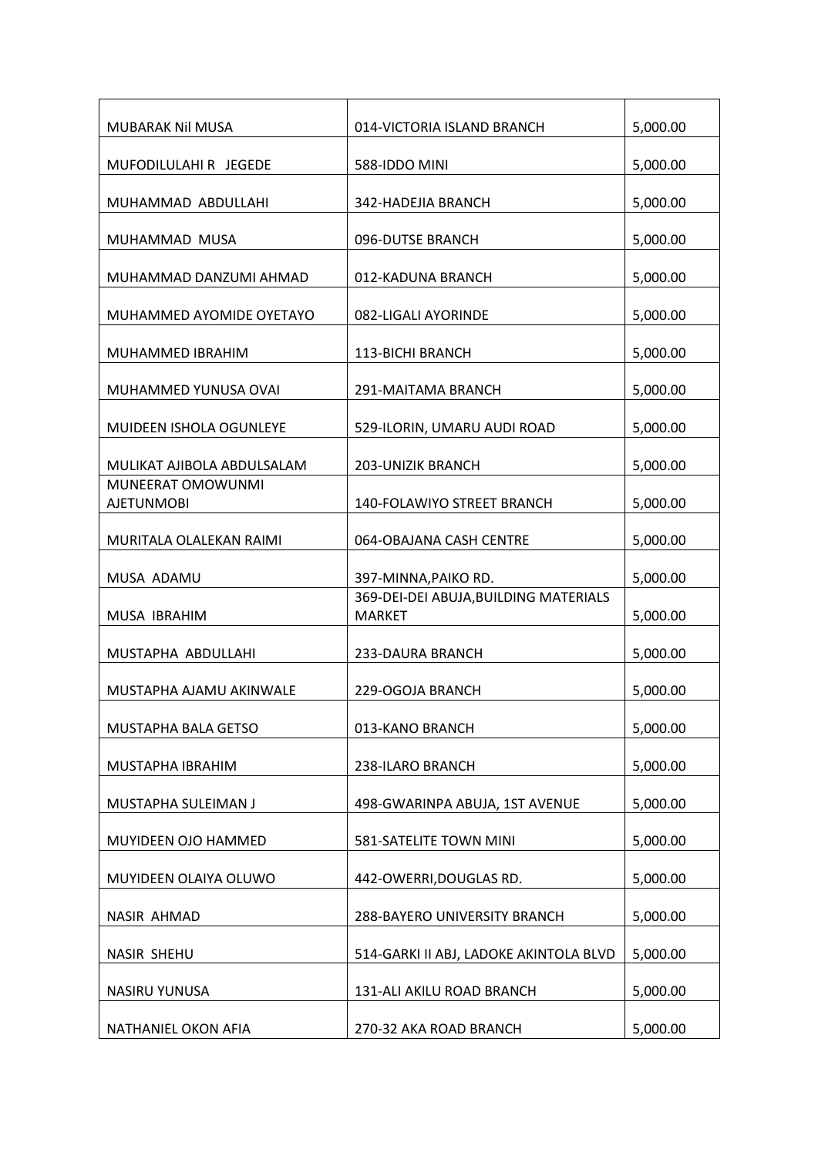| MUBARAK Nil MUSA                       | 014-VICTORIA ISLAND BRANCH                             | 5,000.00 |
|----------------------------------------|--------------------------------------------------------|----------|
| MUFODILULAHI R JEGEDE                  | 588-IDDO MINI                                          | 5,000.00 |
| MUHAMMAD ABDULLAHI                     | 342-HADEJIA BRANCH                                     | 5,000.00 |
| MUHAMMAD MUSA                          | 096-DUTSE BRANCH                                       | 5,000.00 |
| MUHAMMAD DANZUMI AHMAD                 | 012-KADUNA BRANCH                                      | 5,000.00 |
| MUHAMMED AYOMIDE OYETAYO               | 082-LIGALI AYORINDE                                    | 5,000.00 |
| MUHAMMED IBRAHIM                       | 113-BICHI BRANCH                                       | 5,000.00 |
| MUHAMMED YUNUSA OVAI                   | 291-MAITAMA BRANCH                                     | 5,000.00 |
| MUIDEEN ISHOLA OGUNLEYE                | 529-ILORIN, UMARU AUDI ROAD                            | 5,000.00 |
| MULIKAT AJIBOLA ABDULSALAM             | <b>203-UNIZIK BRANCH</b>                               | 5,000.00 |
| MUNEERAT OMOWUNMI<br><b>AJETUNMOBI</b> | 140-FOLAWIYO STREET BRANCH                             | 5,000.00 |
| MURITALA OLALEKAN RAIMI                | 064-OBAJANA CASH CENTRE                                | 5,000.00 |
| MUSA ADAMU                             | 397-MINNA, PAIKO RD.                                   | 5,000.00 |
| MUSA IBRAHIM                           | 369-DEI-DEI ABUJA, BUILDING MATERIALS<br><b>MARKET</b> | 5,000.00 |
|                                        |                                                        |          |
| MUSTAPHA ABDULLAHI                     | 233-DAURA BRANCH                                       | 5,000.00 |
| MUSTAPHA AJAMU AKINWALE                | 229-OGOJA BRANCH                                       | 5,000.00 |
| MUSTAPHA BALA GETSO                    | 013-KANO BRANCH                                        | 5,000.00 |
| MUSTAPHA IBRAHIM                       | 238-ILARO BRANCH                                       | 5,000.00 |
| MUSTAPHA SULEIMAN J                    | 498-GWARINPA ABUJA, 1ST AVENUE                         | 5,000.00 |
| MUYIDEEN OJO HAMMED                    | 581-SATELITE TOWN MINI                                 | 5,000.00 |
| MUYIDEEN OLAIYA OLUWO                  | 442-OWERRI, DOUGLAS RD.                                | 5,000.00 |
| NASIR AHMAD                            | 288-BAYERO UNIVERSITY BRANCH                           | 5,000.00 |
| <b>NASIR SHEHU</b>                     | 514-GARKI II ABJ, LADOKE AKINTOLA BLVD                 | 5,000.00 |
| NASIRU YUNUSA                          | 131-ALI AKILU ROAD BRANCH                              | 5,000.00 |
| NATHANIEL OKON AFIA                    | 270-32 AKA ROAD BRANCH                                 | 5,000.00 |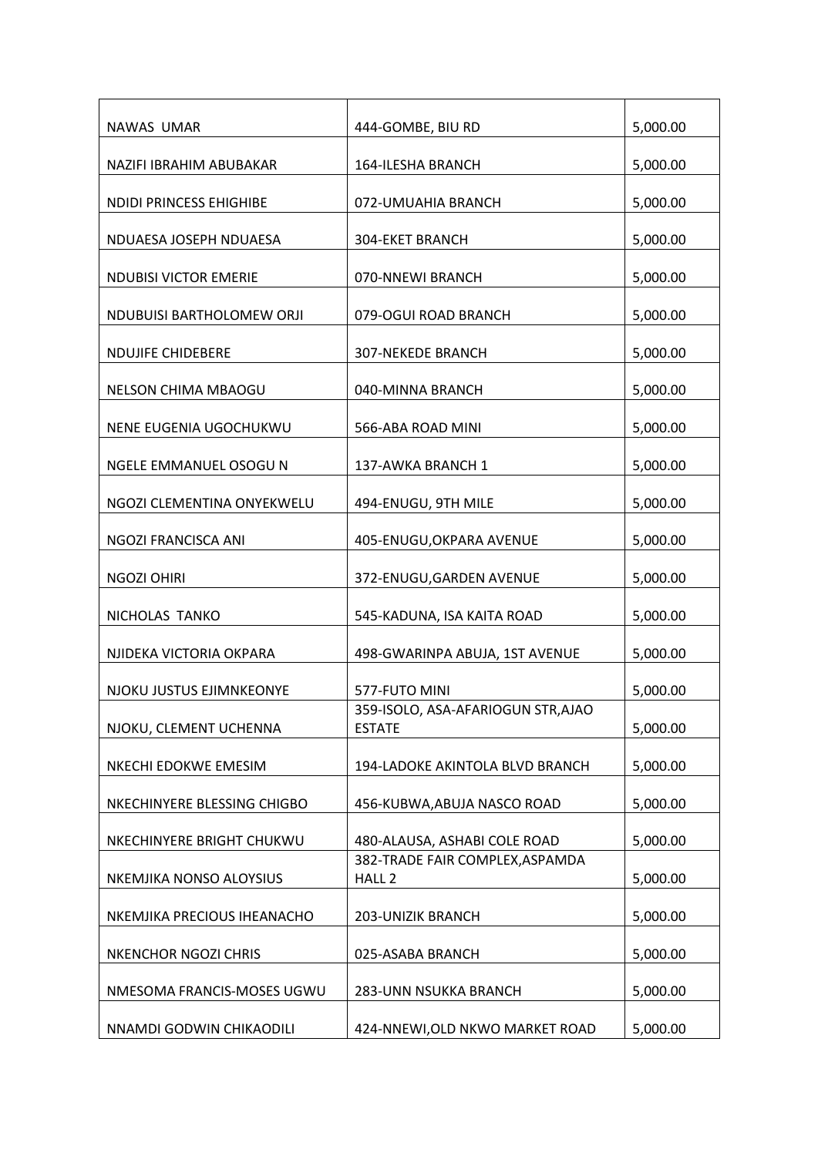| NAWAS UMAR                     | 444-GOMBE, BIU RD                                    | 5,000.00 |
|--------------------------------|------------------------------------------------------|----------|
| NAZIFI IBRAHIM ABUBAKAR        | 164-ILESHA BRANCH                                    | 5,000.00 |
| <b>NDIDI PRINCESS EHIGHIBE</b> | 072-UMUAHIA BRANCH                                   | 5,000.00 |
| NDUAESA JOSEPH NDUAESA         | <b>304-EKET BRANCH</b>                               | 5,000.00 |
| <b>NDUBISI VICTOR EMERIE</b>   | 070-NNEWI BRANCH                                     | 5,000.00 |
| NDUBUISI BARTHOLOMEW ORJI      | 079-OGUI ROAD BRANCH                                 | 5,000.00 |
| <b>NDUJIFE CHIDEBERE</b>       | <b>307-NEKEDE BRANCH</b>                             | 5,000.00 |
| <b>NELSON CHIMA MBAOGU</b>     | 040-MINNA BRANCH                                     | 5,000.00 |
| NENE EUGENIA UGOCHUKWU         | 566-ABA ROAD MINI                                    | 5,000.00 |
| NGELE EMMANUEL OSOGU N         | 137-AWKA BRANCH 1                                    | 5,000.00 |
| NGOZI CLEMENTINA ONYEKWELU     | 494-ENUGU, 9TH MILE                                  | 5,000.00 |
| NGOZI FRANCISCA ANI            | 405-ENUGU, OKPARA AVENUE                             | 5,000.00 |
| <b>NGOZI OHIRI</b>             | 372-ENUGU, GARDEN AVENUE                             | 5,000.00 |
| NICHOLAS TANKO                 | 545-KADUNA, ISA KAITA ROAD                           | 5,000.00 |
| NJIDEKA VICTORIA OKPARA        | 498-GWARINPA ABUJA, 1ST AVENUE                       | 5,000.00 |
| NJOKU JUSTUS EJIMNKEONYE       | 577-FUTO MINI                                        | 5,000.00 |
| NJOKU, CLEMENT UCHENNA         | 359-ISOLO, ASA-AFARIOGUN STR, AJAO<br><b>ESTATE</b>  | 5,000.00 |
| NKECHI EDOKWE EMESIM           | 194-LADOKE AKINTOLA BLVD BRANCH                      | 5,000.00 |
| NKECHINYERE BLESSING CHIGBO    | 456-KUBWA, ABUJA NASCO ROAD                          | 5,000.00 |
| NKECHINYERE BRIGHT CHUKWU      | 480-ALAUSA, ASHABI COLE ROAD                         | 5,000.00 |
| NKEMJIKA NONSO ALOYSIUS        | 382-TRADE FAIR COMPLEX, ASPAMDA<br>HALL <sub>2</sub> | 5,000.00 |
| NKEMJIKA PRECIOUS IHEANACHO    | <b>203-UNIZIK BRANCH</b>                             | 5,000.00 |
| NKENCHOR NGOZI CHRIS           | 025-ASABA BRANCH                                     | 5,000.00 |
| NMESOMA FRANCIS-MOSES UGWU     | 283-UNN NSUKKA BRANCH                                | 5,000.00 |
| NNAMDI GODWIN CHIKAODILI       | 424-NNEWI, OLD NKWO MARKET ROAD                      | 5,000.00 |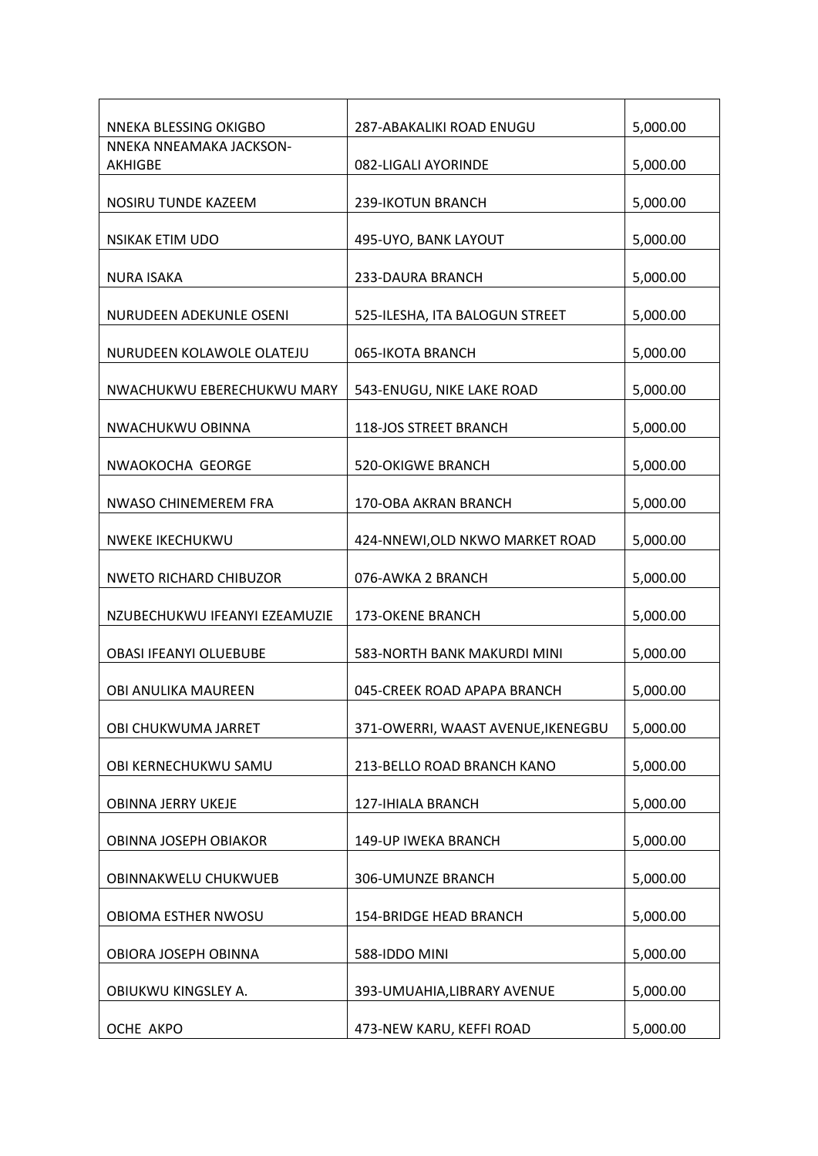| NNEKA BLESSING OKIGBO         | 287-ABAKALIKI ROAD ENUGU           | 5,000.00 |
|-------------------------------|------------------------------------|----------|
| NNEKA NNEAMAKA JACKSON-       |                                    |          |
| <b>AKHIGBE</b>                | 082-LIGALI AYORINDE                | 5,000.00 |
| NOSIRU TUNDE KAZEEM           | <b>239-IKOTUN BRANCH</b>           | 5,000.00 |
| NSIKAK ETIM UDO               | 495-UYO, BANK LAYOUT               | 5,000.00 |
| <b>NURA ISAKA</b>             | 233-DAURA BRANCH                   | 5,000.00 |
| NURUDEEN ADEKUNLE OSENI       | 525-ILESHA, ITA BALOGUN STREET     | 5,000.00 |
| NURUDEEN KOLAWOLE OLATEJU     | 065-IKOTA BRANCH                   | 5,000.00 |
| NWACHUKWU EBERECHUKWU MARY    | 543-ENUGU, NIKE LAKE ROAD          | 5,000.00 |
| NWACHUKWU OBINNA              | 118-JOS STREET BRANCH              | 5,000.00 |
| NWAOKOCHA GEORGE              | <b>520-OKIGWE BRANCH</b>           | 5,000.00 |
| NWASO CHINEMEREM FRA          | 170-OBA AKRAN BRANCH               | 5,000.00 |
| <b>NWEKE IKECHUKWU</b>        | 424-NNEWI, OLD NKWO MARKET ROAD    | 5,000.00 |
| <b>NWETO RICHARD CHIBUZOR</b> | 076-AWKA 2 BRANCH                  | 5,000.00 |
| NZUBECHUKWU IFEANYI EZEAMUZIE | 173-OKENE BRANCH                   | 5,000.00 |
| <b>OBASI IFEANYI OLUEBUBE</b> | 583-NORTH BANK MAKURDI MINI        | 5,000.00 |
| OBI ANULIKA MAUREEN           | 045-CREEK ROAD APAPA BRANCH        | 5,000.00 |
| OBI CHUKWUMA JARRET           | 371-OWERRI, WAAST AVENUE, IKENEGBU | 5,000.00 |
| OBI KERNECHUKWU SAMU          | 213-BELLO ROAD BRANCH KANO         | 5,000.00 |
| OBINNA JERRY UKEJE            | 127-IHIALA BRANCH                  | 5,000.00 |
| OBINNA JOSEPH OBIAKOR         | 149-UP IWEKA BRANCH                | 5,000.00 |
| OBINNAKWELU CHUKWUEB          | 306-UMUNZE BRANCH                  | 5,000.00 |
| OBIOMA ESTHER NWOSU           | <b>154-BRIDGE HEAD BRANCH</b>      | 5,000.00 |
| OBIORA JOSEPH OBINNA          | 588-IDDO MINI                      | 5,000.00 |
| OBIUKWU KINGSLEY A.           | 393-UMUAHIA, LIBRARY AVENUE        | 5,000.00 |
| OCHE AKPO                     | 473-NEW KARU, KEFFI ROAD           | 5,000.00 |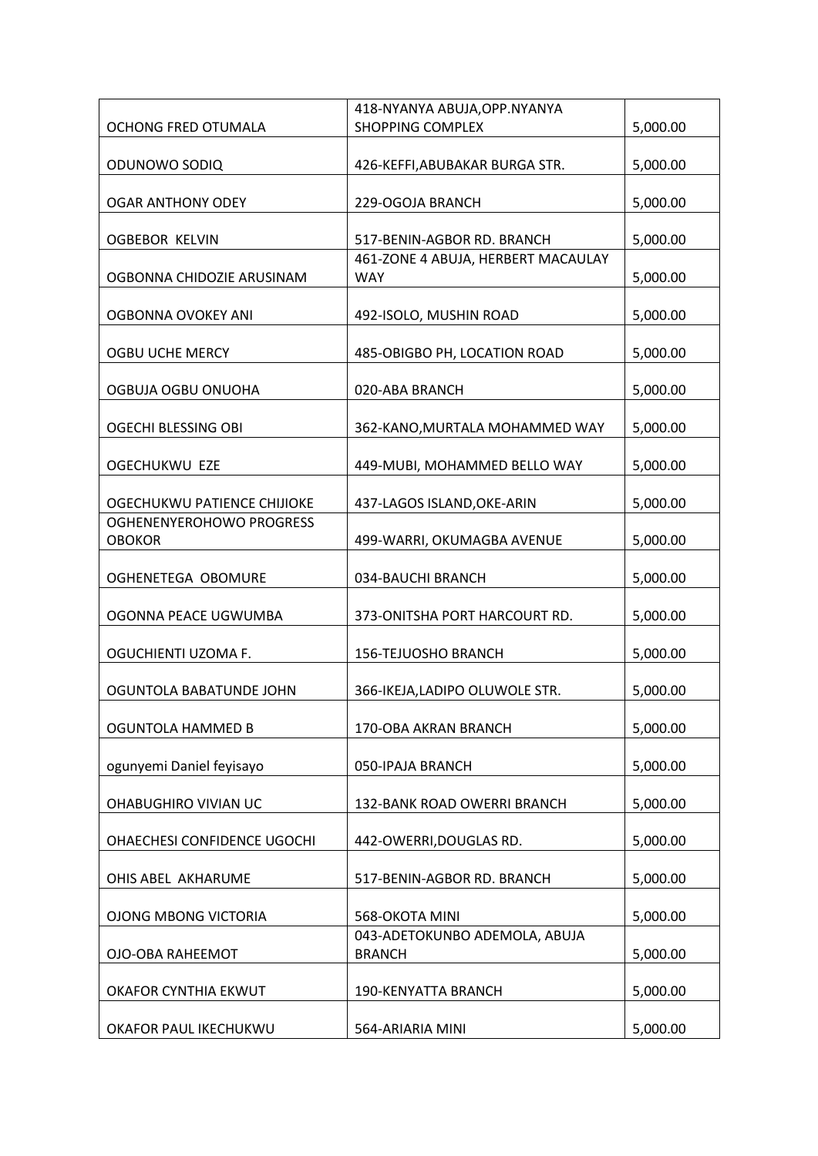| 418-NYANYA ABUJA, OPP. NYANYA                  |                                                                                                                                                |
|------------------------------------------------|------------------------------------------------------------------------------------------------------------------------------------------------|
| <b>SHOPPING COMPLEX</b>                        | 5,000.00                                                                                                                                       |
| 426-KEFFI, ABUBAKAR BURGA STR.                 | 5,000.00                                                                                                                                       |
|                                                |                                                                                                                                                |
| 229-OGOJA BRANCH                               | 5,000.00                                                                                                                                       |
| 517-BENIN-AGBOR RD. BRANCH                     | 5,000.00                                                                                                                                       |
| 461-ZONE 4 ABUJA, HERBERT MACAULAY             |                                                                                                                                                |
|                                                | 5,000.00                                                                                                                                       |
| 492-ISOLO, MUSHIN ROAD                         | 5,000.00                                                                                                                                       |
| 485-OBIGBO PH, LOCATION ROAD                   | 5,000.00                                                                                                                                       |
| 020-ABA BRANCH                                 | 5,000.00                                                                                                                                       |
| 362-KANO, MURTALA MOHAMMED WAY                 | 5,000.00                                                                                                                                       |
|                                                | 5,000.00                                                                                                                                       |
|                                                |                                                                                                                                                |
| 437-LAGOS ISLAND, OKE-ARIN                     | 5,000.00                                                                                                                                       |
|                                                |                                                                                                                                                |
|                                                | 5,000.00                                                                                                                                       |
| 034-BAUCHI BRANCH                              | 5,000.00                                                                                                                                       |
| 373-ONITSHA PORT HARCOURT RD.                  | 5,000.00                                                                                                                                       |
|                                                |                                                                                                                                                |
|                                                | 5,000.00                                                                                                                                       |
| 366-IKEJA,LADIPO OLUWOLE STR.                  | 5,000.00                                                                                                                                       |
| 170-OBA AKRAN BRANCH                           | 5,000.00                                                                                                                                       |
| 050-IPAJA BRANCH                               | 5,000.00                                                                                                                                       |
| 132-BANK ROAD OWERRI BRANCH                    | 5,000.00                                                                                                                                       |
|                                                |                                                                                                                                                |
|                                                | 5,000.00                                                                                                                                       |
| 517-BENIN-AGBOR RD. BRANCH                     | 5,000.00                                                                                                                                       |
| 568-OKOTA MINI                                 | 5,000.00                                                                                                                                       |
| 043-ADETOKUNBO ADEMOLA, ABUJA<br><b>BRANCH</b> | 5,000.00                                                                                                                                       |
| 190-KENYATTA BRANCH                            | 5,000.00                                                                                                                                       |
|                                                | 5,000.00                                                                                                                                       |
|                                                | <b>WAY</b><br>449-MUBI, MOHAMMED BELLO WAY<br>499-WARRI, OKUMAGBA AVENUE<br>156-TEJUOSHO BRANCH<br>442-OWERRI, DOUGLAS RD.<br>564-ARIARIA MINI |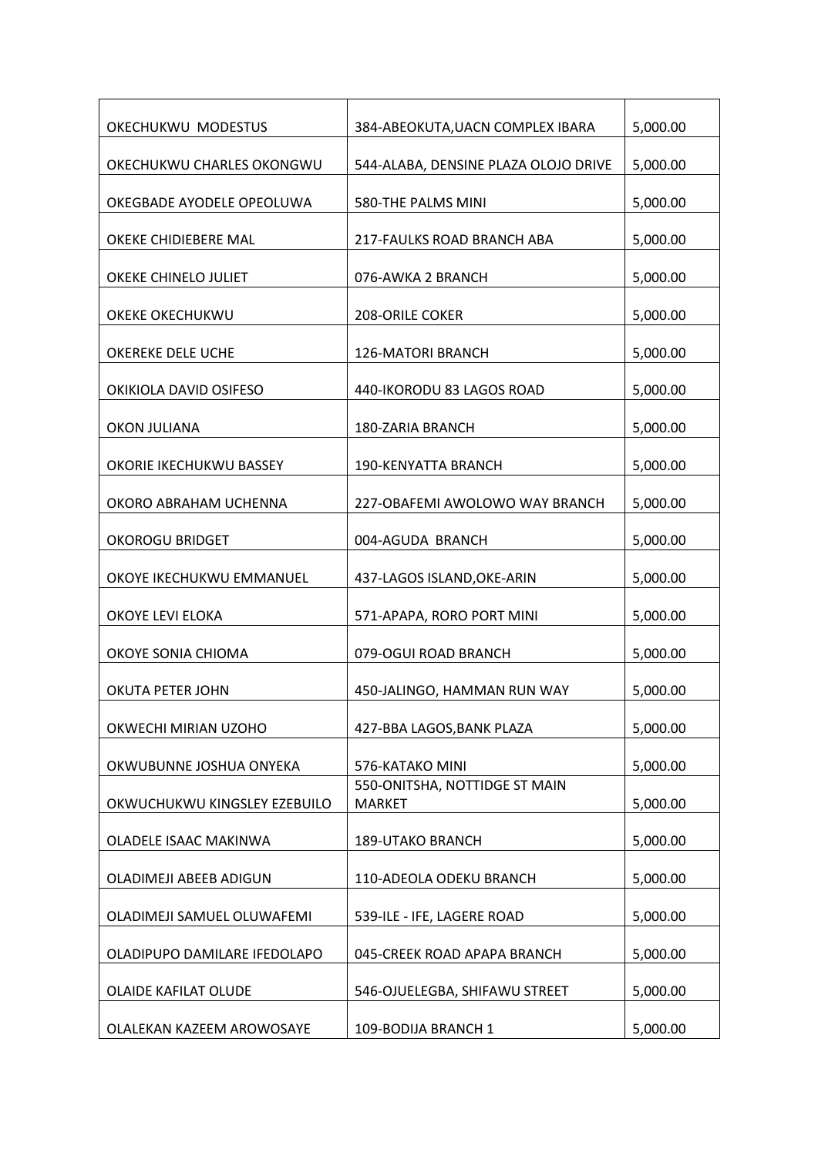| OKECHUKWU MODESTUS           | 384-ABEOKUTA, UACN COMPLEX IBARA               | 5,000.00 |
|------------------------------|------------------------------------------------|----------|
| OKECHUKWU CHARLES OKONGWU    | 544-ALABA, DENSINE PLAZA OLOJO DRIVE           | 5,000.00 |
| OKEGBADE AYODELE OPEOLUWA    | 580-THE PALMS MINI                             | 5,000.00 |
| OKEKE CHIDIEBERE MAL         | 217-FAULKS ROAD BRANCH ABA                     | 5,000.00 |
| OKEKE CHINELO JULIET         | 076-AWKA 2 BRANCH                              | 5,000.00 |
| OKEKE OKECHUKWU              | <b>208-ORILE COKER</b>                         | 5,000.00 |
| OKEREKE DELE UCHE            | <b>126-MATORI BRANCH</b>                       |          |
|                              |                                                | 5,000.00 |
| OKIKIOLA DAVID OSIFESO       | 440-IKORODU 83 LAGOS ROAD                      | 5,000.00 |
| <b>OKON JULIANA</b>          | 180-ZARIA BRANCH                               | 5,000.00 |
| OKORIE IKECHUKWU BASSEY      | 190-KENYATTA BRANCH                            | 5,000.00 |
| OKORO ABRAHAM UCHENNA        | 227-OBAFEMI AWOLOWO WAY BRANCH                 | 5,000.00 |
| <b>OKOROGU BRIDGET</b>       | 004-AGUDA BRANCH                               | 5,000.00 |
| OKOYE IKECHUKWU EMMANUEL     | 437-LAGOS ISLAND, OKE-ARIN                     | 5,000.00 |
| OKOYE LEVI ELOKA             | 571-APAPA, RORO PORT MINI                      | 5,000.00 |
| OKOYE SONIA CHIOMA           | 079-OGUI ROAD BRANCH                           | 5,000.00 |
| <b>OKUTA PETER JOHN</b>      | 450-JALINGO, HAMMAN RUN WAY                    | 5,000.00 |
| OKWECHI MIRIAN UZOHO         | 427-BBA LAGOS, BANK PLAZA                      | 5,000.00 |
| OKWUBUNNE JOSHUA ONYEKA      | 576-KATAKO MINI                                | 5,000.00 |
| OKWUCHUKWU KINGSLEY EZEBUILO | 550-ONITSHA, NOTTIDGE ST MAIN<br><b>MARKET</b> | 5,000.00 |
| OLADELE ISAAC MAKINWA        | <b>189-UTAKO BRANCH</b>                        | 5,000.00 |
| OLADIMEJI ABEEB ADIGUN       | 110-ADEOLA ODEKU BRANCH                        | 5,000.00 |
| OLADIMEJI SAMUEL OLUWAFEMI   | 539-ILE - IFE, LAGERE ROAD                     | 5,000.00 |
| OLADIPUPO DAMILARE IFEDOLAPO | 045-CREEK ROAD APAPA BRANCH                    | 5,000.00 |
| OLAIDE KAFILAT OLUDE         | 546-OJUELEGBA, SHIFAWU STREET                  | 5,000.00 |
| OLALEKAN KAZEEM AROWOSAYE    | 109-BODIJA BRANCH 1                            | 5,000.00 |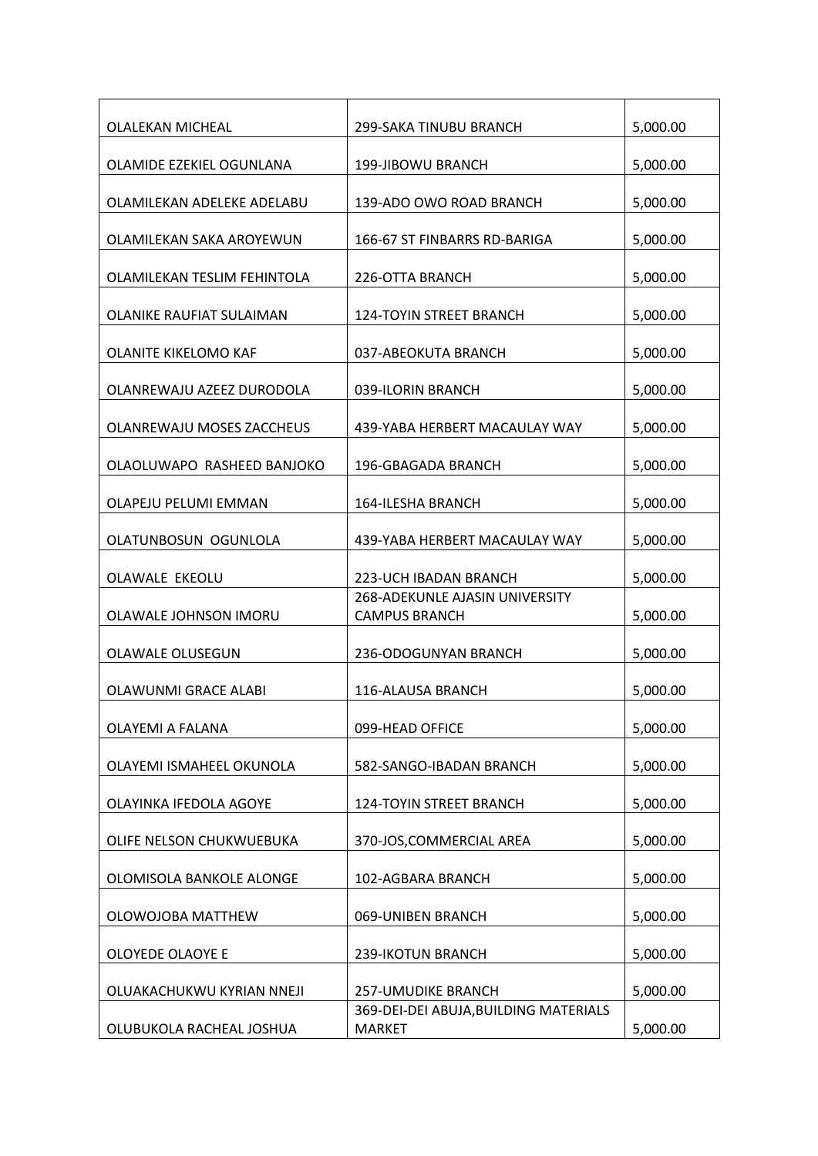| <b>OLALEKAN MICHEAL</b>          | 299-SAKA TINUBU BRANCH                                 | 5,000.00 |
|----------------------------------|--------------------------------------------------------|----------|
| OLAMIDE EZEKIEL OGUNLANA         | 199-JIBOWU BRANCH                                      | 5,000.00 |
| OLAMILEKAN ADELEKE ADELABU       | 139-ADO OWO ROAD BRANCH                                | 5,000.00 |
| OLAMILEKAN SAKA AROYEWUN         | 166-67 ST FINBARRS RD-BARIGA                           | 5,000.00 |
| OLAMILEKAN TESLIM FEHINTOLA      | 226-OTTA BRANCH                                        | 5,000.00 |
| OLANIKE RAUFIAT SULAIMAN         | <b>124-TOYIN STREET BRANCH</b>                         | 5,000.00 |
| OLANITE KIKELOMO KAF             | 037-ABEOKUTA BRANCH                                    | 5,000.00 |
| OLANREWAJU AZEEZ DURODOLA        | 039-ILORIN BRANCH                                      | 5,000.00 |
| <b>OLANREWAJU MOSES ZACCHEUS</b> | 439-YABA HERBERT MACAULAY WAY                          | 5,000.00 |
| OLAOLUWAPO RASHEED BANJOKO       | 196-GBAGADA BRANCH                                     | 5,000.00 |
| OLAPEJU PELUMI EMMAN             | 164-ILESHA BRANCH                                      | 5,000.00 |
| OLATUNBOSUN OGUNLOLA             | 439-YABA HERBERT MACAULAY WAY                          | 5,000.00 |
| OLAWALE EKEOLU                   | 223-UCH IBADAN BRANCH                                  | 5,000.00 |
| OLAWALE JOHNSON IMORU            | 268-ADEKUNLE AJASIN UNIVERSITY<br><b>CAMPUS BRANCH</b> | 5,000.00 |
| <b>OLAWALE OLUSEGUN</b>          | 236-ODOGUNYAN BRANCH                                   | 5,000.00 |
| OLAWUNMI GRACE ALABI             | 116-ALAUSA BRANCH                                      | 5,000.00 |
| OLAYEMI A FALANA                 | 099-HEAD OFFICE                                        | 5,000.00 |
| OLAYEMI ISMAHEEL OKUNOLA         | 582-SANGO-IBADAN BRANCH                                | 5,000.00 |
| OLAYINKA IFEDOLA AGOYE           | 124-TOYIN STREET BRANCH                                | 5,000.00 |
| OLIFE NELSON CHUKWUEBUKA         | 370-JOS, COMMERCIAL AREA                               | 5,000.00 |
| OLOMISOLA BANKOLE ALONGE         | 102-AGBARA BRANCH                                      | 5,000.00 |
| OLOWOJOBA MATTHEW                | 069-UNIBEN BRANCH                                      | 5,000.00 |
| OLOYEDE OLAOYE E                 | 239-IKOTUN BRANCH                                      | 5,000.00 |
| OLUAKACHUKWU KYRIAN NNEJI        | 257-UMUDIKE BRANCH                                     | 5,000.00 |
| OLUBUKOLA RACHEAL JOSHUA         | 369-DEI-DEI ABUJA, BUILDING MATERIALS<br><b>MARKET</b> | 5,000.00 |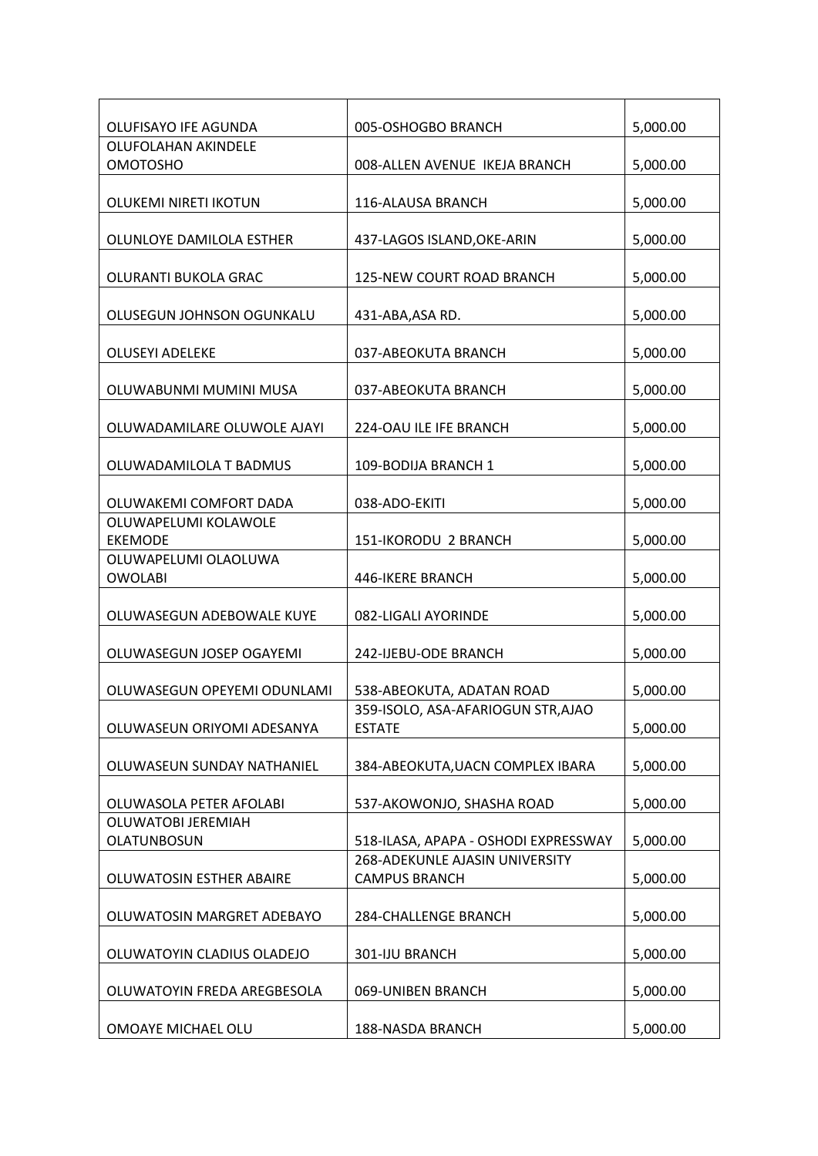| OLUFISAYO IFE AGUNDA        | 005-OSHOGBO BRANCH                   | 5,000.00 |
|-----------------------------|--------------------------------------|----------|
| OLUFOLAHAN AKINDELE         |                                      |          |
| <b>OMOTOSHO</b>             | 008-ALLEN AVENUE IKEJA BRANCH        | 5,000.00 |
|                             |                                      |          |
| OLUKEMI NIRETI IKOTUN       | 116-ALAUSA BRANCH                    | 5,000.00 |
|                             |                                      |          |
| OLUNLOYE DAMILOLA ESTHER    | 437-LAGOS ISLAND, OKE-ARIN           | 5,000.00 |
|                             |                                      |          |
| OLURANTI BUKOLA GRAC        | 125-NEW COURT ROAD BRANCH            | 5,000.00 |
|                             |                                      |          |
| OLUSEGUN JOHNSON OGUNKALU   | 431-ABA, ASA RD.                     | 5,000.00 |
|                             |                                      |          |
| <b>OLUSEYI ADELEKE</b>      | 037-ABEOKUTA BRANCH                  | 5,000.00 |
|                             |                                      |          |
| OLUWABUNMI MUMINI MUSA      | 037-ABEOKUTA BRANCH                  | 5,000.00 |
|                             |                                      |          |
| OLUWADAMILARE OLUWOLE AJAYI | 224-OAU ILE IFE BRANCH               | 5,000.00 |
|                             |                                      |          |
| OLUWADAMILOLA T BADMUS      | 109-BODIJA BRANCH 1                  | 5,000.00 |
|                             |                                      |          |
| OLUWAKEMI COMFORT DADA      | 038-ADO-EKITI                        | 5,000.00 |
| OLUWAPELUMI KOLAWOLE        |                                      |          |
| <b>EKEMODE</b>              | 151-IKORODU 2 BRANCH                 | 5,000.00 |
| OLUWAPELUMI OLAOLUWA        |                                      |          |
| <b>OWOLABI</b>              | 446-IKERE BRANCH                     | 5,000.00 |
|                             |                                      |          |
| OLUWASEGUN ADEBOWALE KUYE   | 082-LIGALI AYORINDE                  | 5,000.00 |
|                             |                                      |          |
| OLUWASEGUN JOSEP OGAYEMI    | 242-IJEBU-ODE BRANCH                 | 5,000.00 |
|                             |                                      |          |
| OLUWASEGUN OPEYEMI ODUNLAMI | 538-ABEOKUTA, ADATAN ROAD            | 5,000.00 |
|                             | 359-ISOLO, ASA-AFARIOGUN STR, AJAO   |          |
| OLUWASEUN ORIYOMI ADESANYA  | <b>ESTATE</b>                        | 5,000.00 |
|                             |                                      |          |
| OLUWASEUN SUNDAY NATHANIEL  | 384-ABEOKUTA, UACN COMPLEX IBARA     | 5,000.00 |
|                             |                                      |          |
| OLUWASOLA PETER AFOLABI     | 537-AKOWONJO, SHASHA ROAD            | 5,000.00 |
| OLUWATOBI JEREMIAH          |                                      |          |
| <b>OLATUNBOSUN</b>          | 518-ILASA, APAPA - OSHODI EXPRESSWAY | 5,000.00 |
|                             | 268-ADEKUNLE AJASIN UNIVERSITY       |          |
| OLUWATOSIN ESTHER ABAIRE    | <b>CAMPUS BRANCH</b>                 | 5,000.00 |
|                             |                                      |          |
| OLUWATOSIN MARGRET ADEBAYO  | <b>284-CHALLENGE BRANCH</b>          | 5,000.00 |
|                             |                                      |          |
| OLUWATOYIN CLADIUS OLADEJO  | 301-IJU BRANCH                       | 5,000.00 |
|                             |                                      |          |
| OLUWATOYIN FREDA AREGBESOLA | 069-UNIBEN BRANCH                    | 5,000.00 |
|                             |                                      |          |
| OMOAYE MICHAEL OLU          | 188-NASDA BRANCH                     | 5,000.00 |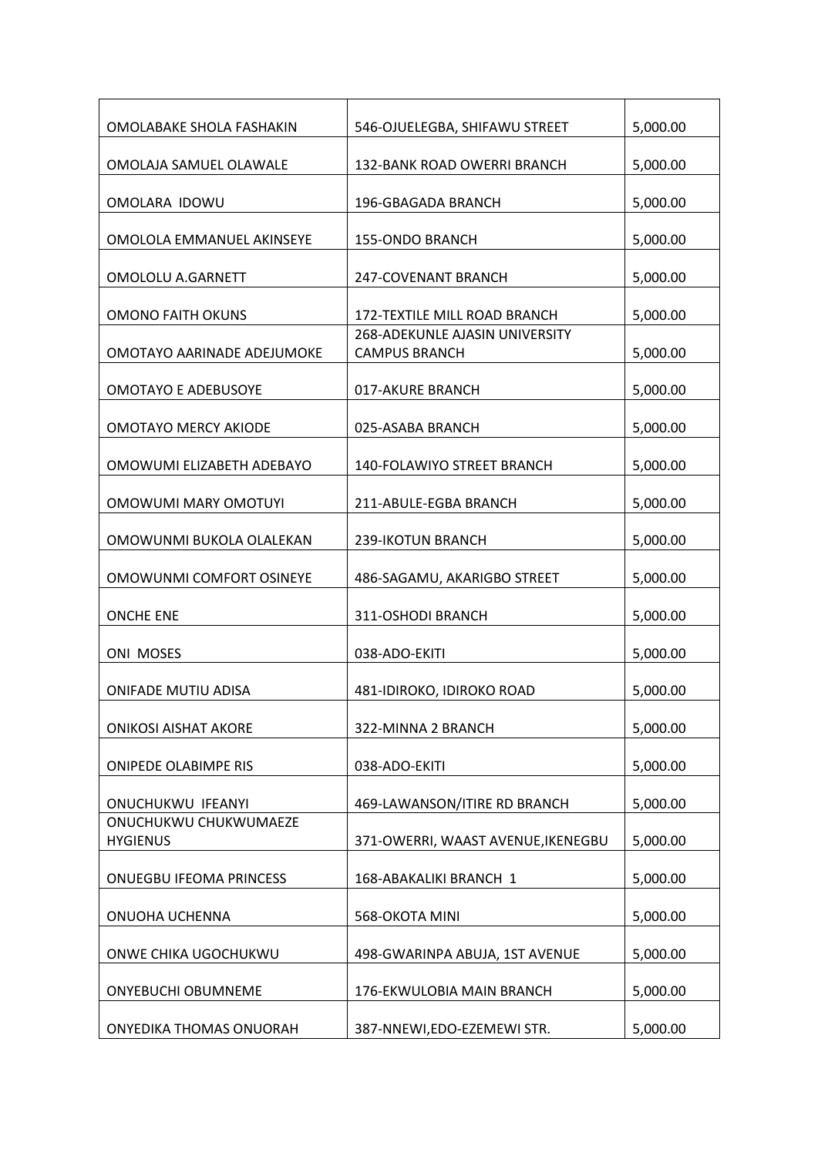| OMOLABAKE SHOLA FASHAKIN                 | 546-OJUELEGBA, SHIFAWU STREET                          | 5,000.00 |
|------------------------------------------|--------------------------------------------------------|----------|
| OMOLAJA SAMUEL OLAWALE                   | 132-BANK ROAD OWERRI BRANCH                            | 5,000.00 |
| OMOLARA IDOWU                            | 196-GBAGADA BRANCH                                     | 5,000.00 |
| OMOLOLA EMMANUEL AKINSEYE                | <b>155-ONDO BRANCH</b>                                 | 5,000.00 |
| <b>OMOLOLU A.GARNETT</b>                 | 247-COVENANT BRANCH                                    | 5,000.00 |
| <b>OMONO FAITH OKUNS</b>                 | 172-TEXTILE MILL ROAD BRANCH                           | 5,000.00 |
| OMOTAYO AARINADE ADEJUMOKE               | 268-ADEKUNLE AJASIN UNIVERSITY<br><b>CAMPUS BRANCH</b> | 5,000.00 |
| <b>OMOTAYO E ADEBUSOYE</b>               | 017-AKURE BRANCH                                       | 5,000.00 |
| <b>OMOTAYO MERCY AKIODE</b>              | 025-ASABA BRANCH                                       | 5,000.00 |
| OMOWUMI ELIZABETH ADEBAYO                | 140-FOLAWIYO STREET BRANCH                             | 5,000.00 |
| OMOWUMI MARY OMOTUYI                     | 211-ABULE-EGBA BRANCH                                  | 5,000.00 |
| OMOWUNMI BUKOLA OLALEKAN                 | 239-IKOTUN BRANCH                                      | 5,000.00 |
| OMOWUNMI COMFORT OSINEYE                 | 486-SAGAMU, AKARIGBO STREET                            | 5,000.00 |
| <b>ONCHE ENE</b>                         | 311-OSHODI BRANCH                                      | 5,000.00 |
| <b>ONI MOSES</b>                         | 038-ADO-EKITI                                          | 5,000.00 |
| <b>ONIFADE MUTIU ADISA</b>               | 481-IDIROKO, IDIROKO ROAD                              | 5,000.00 |
| <b>ONIKOSI AISHAT AKORE</b>              | 322-MINNA 2 BRANCH                                     | 5,000.00 |
| <b>ONIPEDE OLABIMPE RIS</b>              | 038-ADO-EKITI                                          | 5,000.00 |
| <b>ONUCHUKWU IFEANYI</b>                 | 469-LAWANSON/ITIRE RD BRANCH                           | 5,000.00 |
| ONUCHUKWU CHUKWUMAEZE<br><b>HYGIENUS</b> | 371-OWERRI, WAAST AVENUE, IKENEGBU                     | 5,000.00 |
| <b>ONUEGBU IFEOMA PRINCESS</b>           | 168-ABAKALIKI BRANCH 1                                 | 5,000.00 |
| ONUOHA UCHENNA                           | 568-OKOTA MINI                                         | 5,000.00 |
| ONWE CHIKA UGOCHUKWU                     | 498-GWARINPA ABUJA, 1ST AVENUE                         | 5,000.00 |
| <b>ONYEBUCHI OBUMNEME</b>                | 176-EKWULOBIA MAIN BRANCH                              | 5,000.00 |
| ONYEDIKA THOMAS ONUORAH                  | 387-NNEWI, EDO-EZEMEWI STR.                            | 5,000.00 |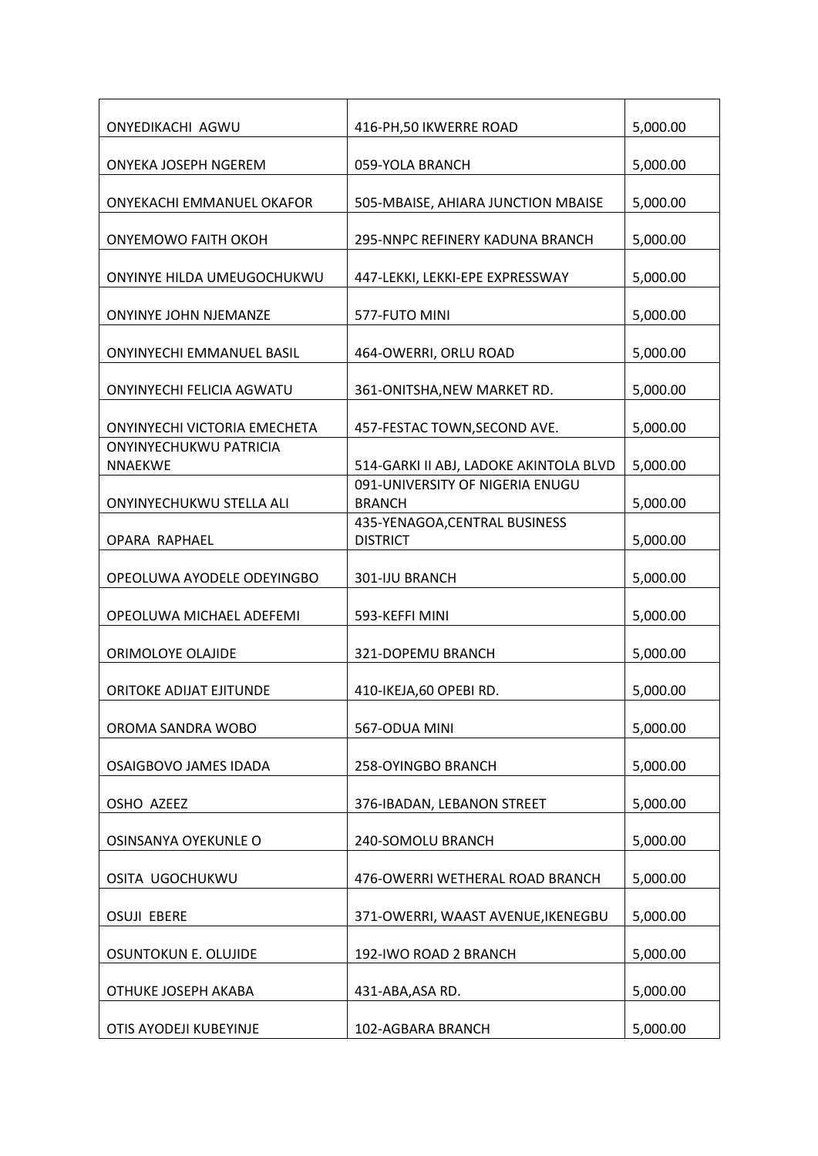| 416-PH, 50 IKWERRE ROAD            | 5,000.00                                                                                                                                                                                                                                                                                                                                                                                                      |
|------------------------------------|---------------------------------------------------------------------------------------------------------------------------------------------------------------------------------------------------------------------------------------------------------------------------------------------------------------------------------------------------------------------------------------------------------------|
| 059-YOLA BRANCH                    | 5,000.00                                                                                                                                                                                                                                                                                                                                                                                                      |
| 505-MBAISE, AHIARA JUNCTION MBAISE | 5,000.00                                                                                                                                                                                                                                                                                                                                                                                                      |
| 295-NNPC REFINERY KADUNA BRANCH    | 5,000.00                                                                                                                                                                                                                                                                                                                                                                                                      |
| 447-LEKKI, LEKKI-EPE EXPRESSWAY    | 5,000.00                                                                                                                                                                                                                                                                                                                                                                                                      |
| 577-FUTO MINI                      | 5,000.00                                                                                                                                                                                                                                                                                                                                                                                                      |
| 464-OWERRI, ORLU ROAD              | 5,000.00                                                                                                                                                                                                                                                                                                                                                                                                      |
| 361-ONITSHA, NEW MARKET RD.        | 5,000.00                                                                                                                                                                                                                                                                                                                                                                                                      |
|                                    | 5,000.00                                                                                                                                                                                                                                                                                                                                                                                                      |
|                                    | 5,000.00                                                                                                                                                                                                                                                                                                                                                                                                      |
| 091-UNIVERSITY OF NIGERIA ENUGU    | 5,000.00                                                                                                                                                                                                                                                                                                                                                                                                      |
| 435-YENAGOA, CENTRAL BUSINESS      | 5,000.00                                                                                                                                                                                                                                                                                                                                                                                                      |
|                                    | 5,000.00                                                                                                                                                                                                                                                                                                                                                                                                      |
|                                    | 5,000.00                                                                                                                                                                                                                                                                                                                                                                                                      |
|                                    | 5,000.00                                                                                                                                                                                                                                                                                                                                                                                                      |
|                                    | 5,000.00                                                                                                                                                                                                                                                                                                                                                                                                      |
|                                    | 5,000.00                                                                                                                                                                                                                                                                                                                                                                                                      |
|                                    | 5,000.00                                                                                                                                                                                                                                                                                                                                                                                                      |
|                                    | 5,000.00                                                                                                                                                                                                                                                                                                                                                                                                      |
|                                    | 5,000.00                                                                                                                                                                                                                                                                                                                                                                                                      |
|                                    | 5,000.00                                                                                                                                                                                                                                                                                                                                                                                                      |
|                                    |                                                                                                                                                                                                                                                                                                                                                                                                               |
|                                    | 5,000.00                                                                                                                                                                                                                                                                                                                                                                                                      |
|                                    | 5,000.00                                                                                                                                                                                                                                                                                                                                                                                                      |
|                                    | 5,000.00                                                                                                                                                                                                                                                                                                                                                                                                      |
|                                    | 457-FESTAC TOWN, SECOND AVE.<br>514-GARKI II ABJ, LADOKE AKINTOLA BLVD<br><b>BRANCH</b><br><b>DISTRICT</b><br>301-IJU BRANCH<br>593-KEFFI MINI<br>321-DOPEMU BRANCH<br>410-IKEJA,60 OPEBI RD.<br>567-ODUA MINI<br>258-OYINGBO BRANCH<br>376-IBADAN, LEBANON STREET<br>240-SOMOLU BRANCH<br>476-OWERRI WETHERAL ROAD BRANCH<br>371-OWERRI, WAAST AVENUE, IKENEGBU<br>192-IWO ROAD 2 BRANCH<br>431-ABA, ASA RD. |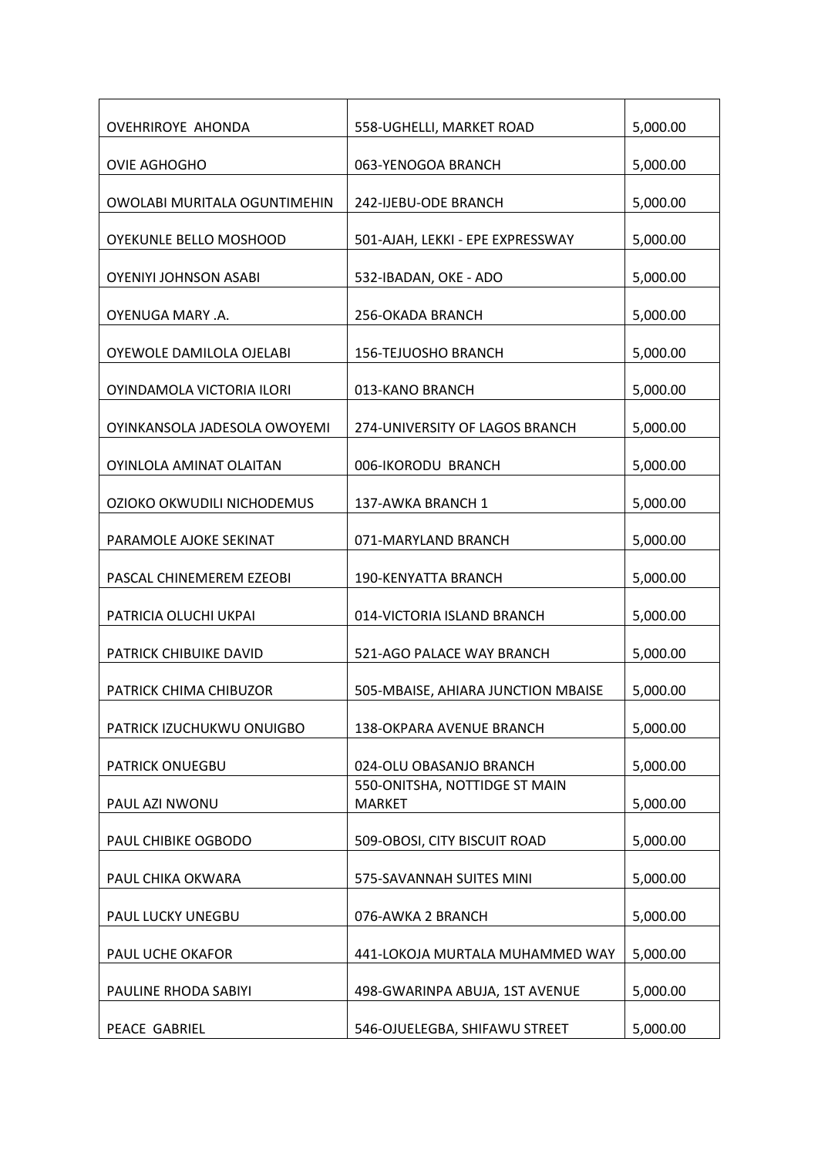| <b>OVEHRIROYE AHONDA</b>      | 558-UGHELLI, MARKET ROAD                       | 5,000.00 |
|-------------------------------|------------------------------------------------|----------|
| <b>OVIE AGHOGHO</b>           | 063-YENOGOA BRANCH                             | 5,000.00 |
| OWOLABI MURITALA OGUNTIMEHIN  | 242-IJEBU-ODE BRANCH                           | 5,000.00 |
| <b>OYEKUNLE BELLO MOSHOOD</b> | 501-AJAH, LEKKI - EPE EXPRESSWAY               | 5,000.00 |
| <b>OYENIYI JOHNSON ASABI</b>  | 532-IBADAN, OKE - ADO                          | 5,000.00 |
| OYENUGA MARY .A.              | 256-OKADA BRANCH                               | 5,000.00 |
| OYEWOLE DAMILOLA OJELABI      | 156-TEJUOSHO BRANCH                            | 5,000.00 |
| OYINDAMOLA VICTORIA ILORI     | 013-KANO BRANCH                                | 5,000.00 |
| OYINKANSOLA JADESOLA OWOYEMI  | 274-UNIVERSITY OF LAGOS BRANCH                 | 5,000.00 |
| OYINLOLA AMINAT OLAITAN       | 006-IKORODU BRANCH                             | 5,000.00 |
| OZIOKO OKWUDILI NICHODEMUS    | 137-AWKA BRANCH 1                              | 5,000.00 |
| PARAMOLE AJOKE SEKINAT        | 071-MARYLAND BRANCH                            | 5,000.00 |
| PASCAL CHINEMEREM EZEOBI      | 190-KENYATTA BRANCH                            | 5,000.00 |
| PATRICIA OLUCHI UKPAI         | 014-VICTORIA ISLAND BRANCH                     | 5,000.00 |
| PATRICK CHIBUIKE DAVID        | 521-AGO PALACE WAY BRANCH                      | 5,000.00 |
| PATRICK CHIMA CHIBUZOR        | 505-MBAISE, AHIARA JUNCTION MBAISE             | 5,000.00 |
| PATRICK IZUCHUKWU ONUIGBO     | 138-OKPARA AVENUE BRANCH                       | 5,000.00 |
| <b>PATRICK ONUEGBU</b>        | 024-OLU OBASANJO BRANCH                        | 5,000.00 |
| PAUL AZI NWONU                | 550-ONITSHA, NOTTIDGE ST MAIN<br><b>MARKET</b> | 5,000.00 |
| PAUL CHIBIKE OGBODO           | 509-OBOSI, CITY BISCUIT ROAD                   | 5,000.00 |
| PAUL CHIKA OKWARA             | 575-SAVANNAH SUITES MINI                       | 5,000.00 |
| PAUL LUCKY UNEGBU             | 076-AWKA 2 BRANCH                              | 5,000.00 |
| PAUL UCHE OKAFOR              | 441-LOKOJA MURTALA MUHAMMED WAY                | 5,000.00 |
| PAULINE RHODA SABIYI          | 498-GWARINPA ABUJA, 1ST AVENUE                 | 5,000.00 |
| PEACE GABRIEL                 | 546-OJUELEGBA, SHIFAWU STREET                  | 5,000.00 |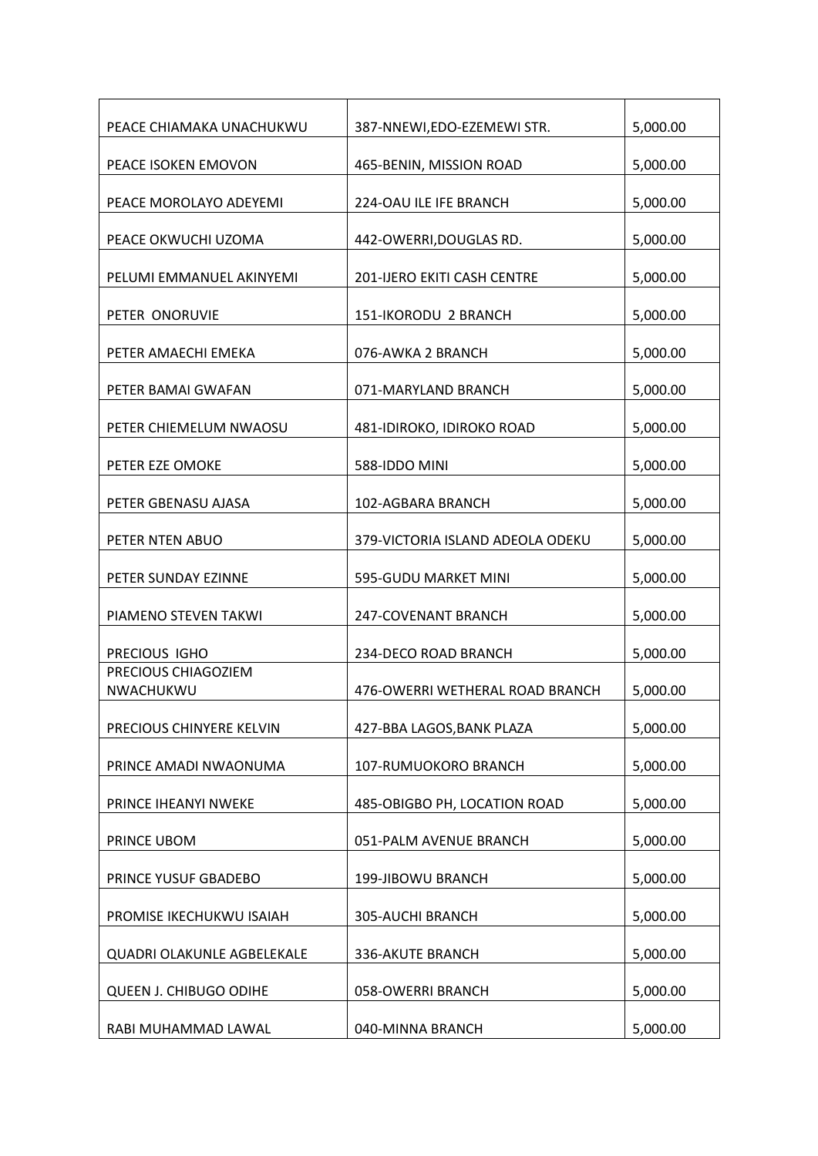| PEACE CHIAMAKA UNACHUKWU         | 387-NNEWI,EDO-EZEMEWI STR.       | 5,000.00 |
|----------------------------------|----------------------------------|----------|
| PEACE ISOKEN EMOVON              | 465-BENIN, MISSION ROAD          | 5,000.00 |
| PEACE MOROLAYO ADEYEMI           | <b>224-OAU ILE IFE BRANCH</b>    | 5,000.00 |
| PEACE OKWUCHI UZOMA              | 442-OWERRI, DOUGLAS RD.          | 5,000.00 |
| PELUMI EMMANUEL AKINYEMI         | 201-IJERO EKITI CASH CENTRE      | 5,000.00 |
| PETER ONORUVIE                   | 151-IKORODU 2 BRANCH             | 5,000.00 |
| PETER AMAECHI EMEKA              | 076-AWKA 2 BRANCH                | 5,000.00 |
| PETER BAMAI GWAFAN               | 071-MARYLAND BRANCH              | 5,000.00 |
| PETER CHIEMELUM NWAOSU           | 481-IDIROKO, IDIROKO ROAD        | 5,000.00 |
| PETER EZE OMOKE                  | 588-IDDO MINI                    | 5,000.00 |
| PETER GBENASU AJASA              | 102-AGBARA BRANCH                | 5,000.00 |
| PETER NTEN ABUO                  | 379-VICTORIA ISLAND ADEOLA ODEKU | 5,000.00 |
| PETER SUNDAY EZINNE              | 595-GUDU MARKET MINI             | 5,000.00 |
| PIAMENO STEVEN TAKWI             | 247-COVENANT BRANCH              | 5,000.00 |
| PRECIOUS IGHO                    | 234-DECO ROAD BRANCH             | 5,000.00 |
| PRECIOUS CHIAGOZIEM<br>NWACHUKWU | 476-OWERRI WETHERAL ROAD BRANCH  | 5,000.00 |
| PRECIOUS CHINYERE KELVIN         | 427-BBA LAGOS, BANK PLAZA        | 5,000.00 |
| PRINCE AMADI NWAONUMA            | 107-RUMUOKORO BRANCH             | 5,000.00 |
| PRINCE IHEANYI NWEKE             | 485-OBIGBO PH, LOCATION ROAD     | 5,000.00 |
| PRINCE UBOM                      | 051-PALM AVENUE BRANCH           | 5,000.00 |
| PRINCE YUSUF GBADEBO             | 199-JIBOWU BRANCH                | 5,000.00 |
| PROMISE IKECHUKWU ISAIAH         | 305-AUCHI BRANCH                 | 5,000.00 |
| QUADRI OLAKUNLE AGBELEKALE       | 336-AKUTE BRANCH                 | 5,000.00 |
| QUEEN J. CHIBUGO ODIHE           | 058-OWERRI BRANCH                | 5,000.00 |
| RABI MUHAMMAD LAWAL              | 040-MINNA BRANCH                 | 5,000.00 |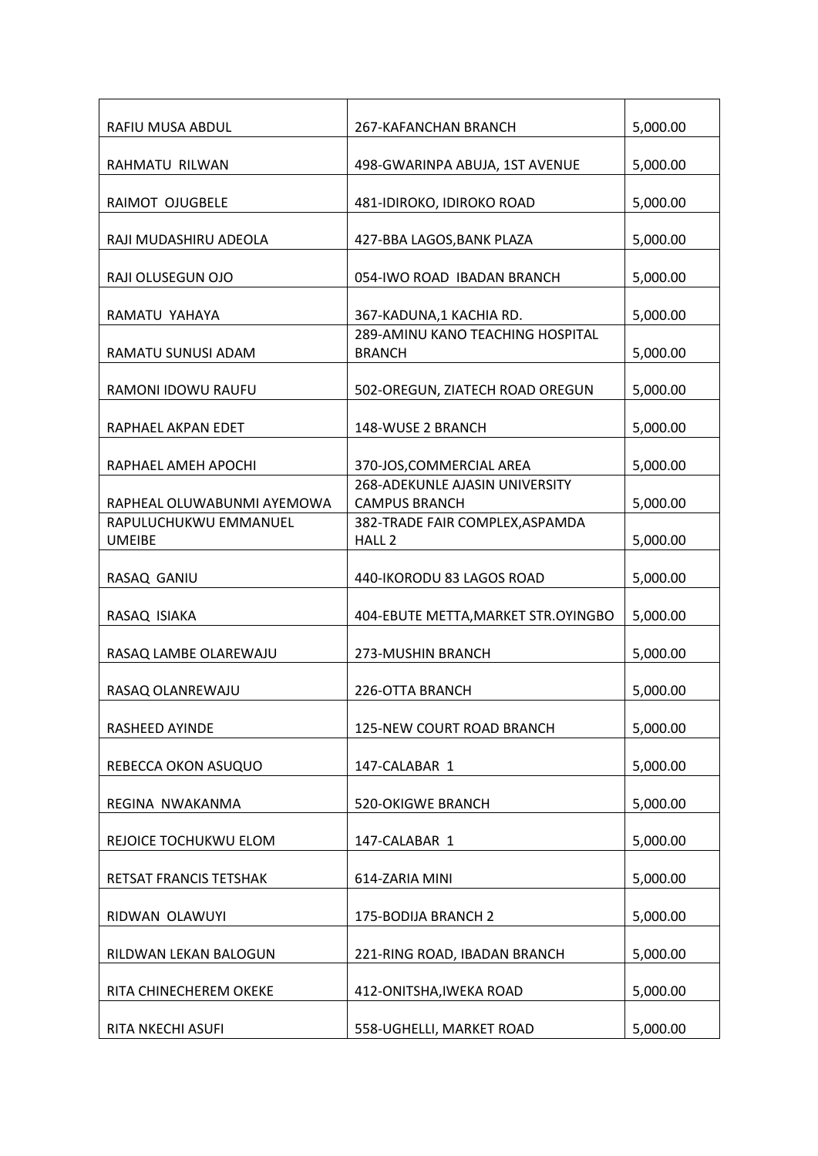| RAFIU MUSA ABDUL                       | 267-KAFANCHAN BRANCH                                          | 5,000.00 |
|----------------------------------------|---------------------------------------------------------------|----------|
| RAHMATU RILWAN                         | 498-GWARINPA ABUJA, 1ST AVENUE                                | 5,000.00 |
| RAIMOT OJUGBELE                        | 481-IDIROKO, IDIROKO ROAD                                     | 5,000.00 |
| RAJI MUDASHIRU ADEOLA                  | 427-BBA LAGOS, BANK PLAZA                                     | 5,000.00 |
| RAJI OLUSEGUN OJO                      | 054-IWO ROAD IBADAN BRANCH                                    | 5,000.00 |
| RAMATU YAHAYA                          | 367-KADUNA,1 KACHIA RD.                                       | 5,000.00 |
| RAMATU SUNUSI ADAM                     | 289-AMINU KANO TEACHING HOSPITAL<br><b>BRANCH</b>             | 5,000.00 |
| RAMONI IDOWU RAUFU                     | 502-OREGUN, ZIATECH ROAD OREGUN                               | 5,000.00 |
| RAPHAEL AKPAN EDET                     | 148-WUSE 2 BRANCH                                             | 5,000.00 |
| RAPHAEL AMEH APOCHI                    | 370-JOS, COMMERCIAL AREA                                      | 5,000.00 |
| RAPHEAL OLUWABUNMI AYEMOWA             | <b>268-ADEKUNLE AJASIN UNIVERSITY</b><br><b>CAMPUS BRANCH</b> | 5,000.00 |
| RAPULUCHUKWU EMMANUEL<br><b>UMEIBE</b> | 382-TRADE FAIR COMPLEX, ASPAMDA<br>HALL <sub>2</sub>          | 5,000.00 |
|                                        |                                                               |          |
| RASAQ GANIU                            | 440-IKORODU 83 LAGOS ROAD                                     | 5,000.00 |
| RASAQ ISIAKA                           | 404-EBUTE METTA, MARKET STR.OYINGBO                           | 5,000.00 |
| RASAQ LAMBE OLAREWAJU                  | 273-MUSHIN BRANCH                                             | 5,000.00 |
| RASAQ OLANREWAJU                       | 226-OTTA BRANCH                                               | 5,000.00 |
| RASHEED AYINDE                         | 125-NEW COURT ROAD BRANCH                                     | 5,000.00 |
| REBECCA OKON ASUQUO                    | 147-CALABAR 1                                                 | 5,000.00 |
| REGINA NWAKANMA                        | <b>520-OKIGWE BRANCH</b>                                      | 5,000.00 |
| REJOICE TOCHUKWU ELOM                  | 147-CALABAR 1                                                 | 5,000.00 |
| RETSAT FRANCIS TETSHAK                 | 614-ZARIA MINI                                                | 5,000.00 |
| RIDWAN OLAWUYI                         | 175-BODIJA BRANCH 2                                           | 5,000.00 |
| RILDWAN LEKAN BALOGUN                  | 221-RING ROAD, IBADAN BRANCH                                  | 5,000.00 |
| RITA CHINECHEREM OKEKE                 | 412-ONITSHA, IWEKA ROAD                                       | 5,000.00 |
| RITA NKECHI ASUFI                      | 558-UGHELLI, MARKET ROAD                                      | 5,000.00 |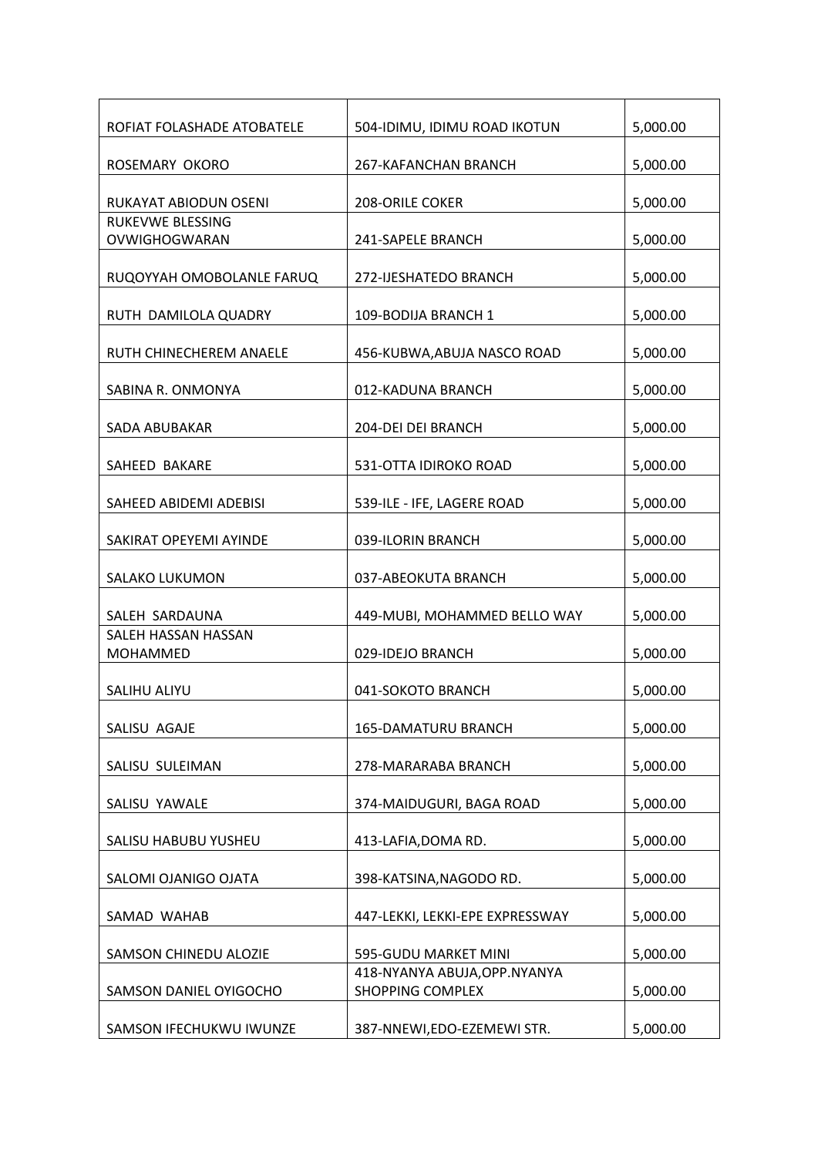| ROFIAT FOLASHADE ATOBATELE             | 504-IDIMU, IDIMU ROAD IKOTUN                             | 5,000.00 |
|----------------------------------------|----------------------------------------------------------|----------|
| ROSEMARY OKORO                         | 267-KAFANCHAN BRANCH                                     | 5,000.00 |
| RUKAYAT ABIODUN OSENI                  | <b>208-ORILE COKER</b>                                   | 5,000.00 |
| RUKEVWE BLESSING<br>OVWIGHOGWARAN      | 241-SAPELE BRANCH                                        | 5,000.00 |
| RUQOYYAH OMOBOLANLE FARUQ              | 272-IJESHATEDO BRANCH                                    | 5,000.00 |
| RUTH DAMILOLA QUADRY                   | 109-BODIJA BRANCH 1                                      | 5,000.00 |
| RUTH CHINECHEREM ANAELE                | 456-KUBWA, ABUJA NASCO ROAD                              | 5,000.00 |
| SABINA R. ONMONYA                      | 012-KADUNA BRANCH                                        | 5,000.00 |
| SADA ABUBAKAR                          | 204-DEI DEI BRANCH                                       | 5,000.00 |
| SAHEED BAKARE                          | 531-OTTA IDIROKO ROAD                                    | 5,000.00 |
| SAHEED ABIDEMI ADEBISI                 | 539-ILE - IFE, LAGERE ROAD                               | 5,000.00 |
| SAKIRAT OPEYEMI AYINDE                 | 039-ILORIN BRANCH                                        | 5,000.00 |
| <b>SALAKO LUKUMON</b>                  | 037-ABEOKUTA BRANCH                                      | 5,000.00 |
| SALEH SARDAUNA                         | 449-MUBI, MOHAMMED BELLO WAY                             | 5,000.00 |
| SALEH HASSAN HASSAN<br><b>MOHAMMED</b> | 029-IDEJO BRANCH                                         | 5,000.00 |
| SALIHU ALIYU                           | 041-SOKOTO BRANCH                                        | 5,000.00 |
| SALISU AGAJE                           | 165-DAMATURU BRANCH                                      | 5,000.00 |
| SALISU SULEIMAN                        | 278-MARARABA BRANCH                                      | 5,000.00 |
| SALISU YAWALE                          | 374-MAIDUGURI, BAGA ROAD                                 | 5,000.00 |
| SALISU HABUBU YUSHEU                   | 413-LAFIA, DOMA RD.                                      | 5,000.00 |
| SALOMI OJANIGO OJATA                   | 398-KATSINA, NAGODO RD.                                  | 5,000.00 |
| SAMAD WAHAB                            | 447-LEKKI, LEKKI-EPE EXPRESSWAY                          | 5,000.00 |
| SAMSON CHINEDU ALOZIE                  | 595-GUDU MARKET MINI                                     | 5,000.00 |
| SAMSON DANIEL OYIGOCHO                 | 418-NYANYA ABUJA, OPP. NYANYA<br><b>SHOPPING COMPLEX</b> | 5,000.00 |
| SAMSON IFECHUKWU IWUNZE                | 387-NNEWI, EDO-EZEMEWI STR.                              | 5,000.00 |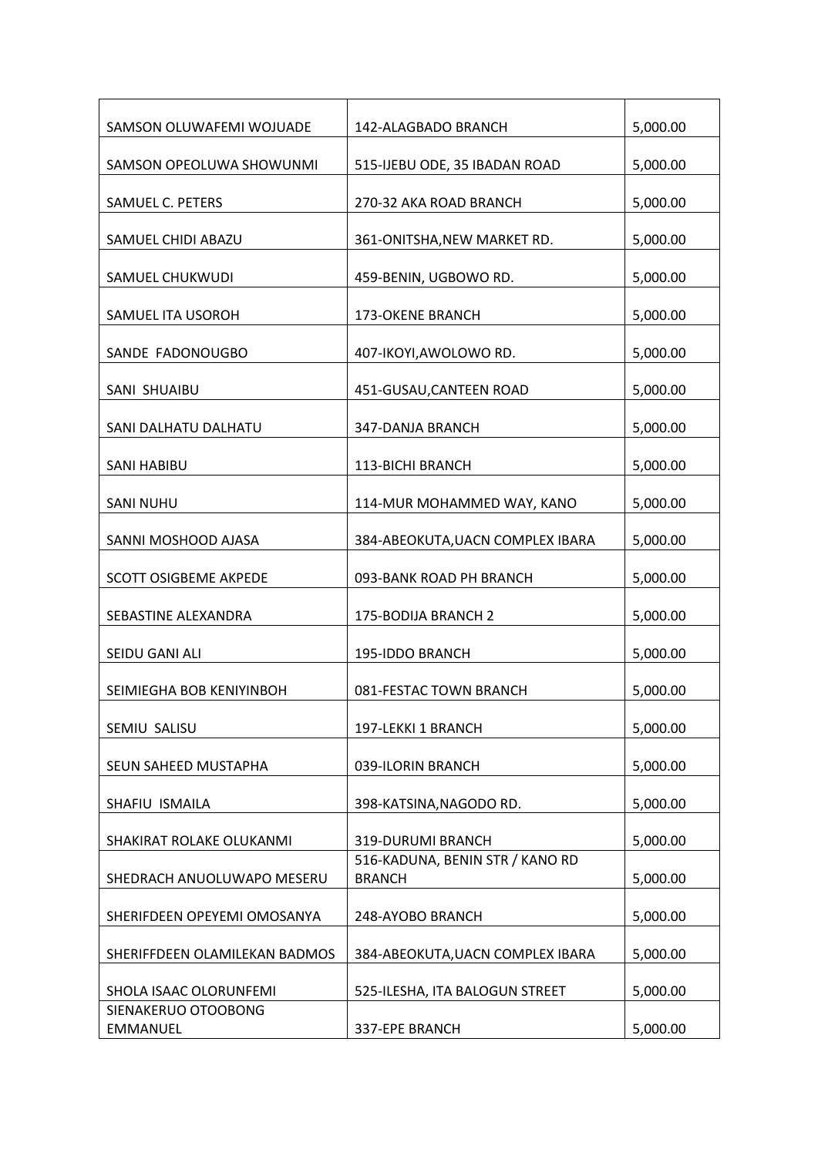| SAMSON OLUWAFEMI WOJUADE        | 142-ALAGBADO BRANCH                              | 5,000.00 |
|---------------------------------|--------------------------------------------------|----------|
| SAMSON OPEOLUWA SHOWUNMI        | 515-IJEBU ODE, 35 IBADAN ROAD                    | 5,000.00 |
| SAMUEL C. PETERS                | 270-32 AKA ROAD BRANCH                           | 5,000.00 |
| SAMUEL CHIDI ABAZU              | 361-ONITSHA, NEW MARKET RD.                      | 5,000.00 |
| SAMUEL CHUKWUDI                 | 459-BENIN, UGBOWO RD.                            | 5,000.00 |
| SAMUEL ITA USOROH               | 173-OKENE BRANCH                                 | 5,000.00 |
| SANDE FADONOUGBO                | 407-IKOYI, AWOLOWO RD.                           | 5,000.00 |
| SANI SHUAIBU                    | 451-GUSAU, CANTEEN ROAD                          | 5,000.00 |
| SANI DALHATU DALHATU            | 347-DANJA BRANCH                                 | 5,000.00 |
| <b>SANI HABIBU</b>              | 113-BICHI BRANCH                                 | 5,000.00 |
| <b>SANI NUHU</b>                | 114-MUR MOHAMMED WAY, KANO                       | 5,000.00 |
| SANNI MOSHOOD AJASA             | 384-ABEOKUTA, UACN COMPLEX IBARA                 | 5,000.00 |
| <b>SCOTT OSIGBEME AKPEDE</b>    | 093-BANK ROAD PH BRANCH                          | 5,000.00 |
| SEBASTINE ALEXANDRA             | 175-BODIJA BRANCH 2                              | 5,000.00 |
| SEIDU GANI ALI                  | 195-IDDO BRANCH                                  | 5,000.00 |
| SEIMIEGHA BOB KENIYINBOH        | 081-FESTAC TOWN BRANCH                           | 5,000.00 |
| SEMIU SALISU                    | 197-LEKKI 1 BRANCH                               | 5,000.00 |
| SEUN SAHEED MUSTAPHA            | 039-ILORIN BRANCH                                | 5,000.00 |
| SHAFIU ISMAILA                  | 398-KATSINA, NAGODO RD.                          | 5,000.00 |
| SHAKIRAT ROLAKE OLUKANMI        | 319-DURUMI BRANCH                                | 5,000.00 |
| SHEDRACH ANUOLUWAPO MESERU      | 516-KADUNA, BENIN STR / KANO RD<br><b>BRANCH</b> | 5,000.00 |
| SHERIFDEEN OPEYEMI OMOSANYA     | 248-AYOBO BRANCH                                 | 5,000.00 |
| SHERIFFDEEN OLAMILEKAN BADMOS   | 384-ABEOKUTA, UACN COMPLEX IBARA                 | 5,000.00 |
| SHOLA ISAAC OLORUNFEMI          | 525-ILESHA, ITA BALOGUN STREET                   | 5,000.00 |
| SIENAKERUO OTOOBONG<br>EMMANUEL | 337-EPE BRANCH                                   | 5,000.00 |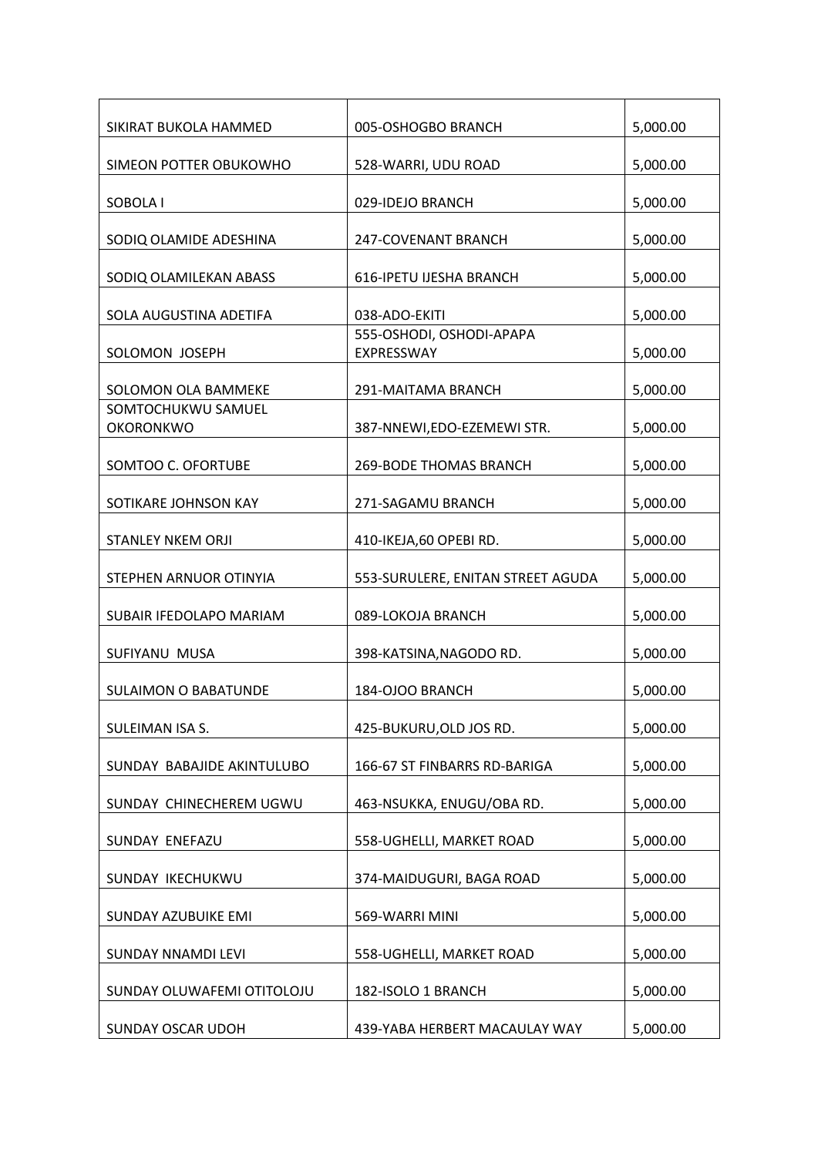| SIKIRAT BUKOLA HAMMED                  | 005-OSHOGBO BRANCH                     | 5,000.00 |
|----------------------------------------|----------------------------------------|----------|
| SIMEON POTTER OBUKOWHO                 | 528-WARRI, UDU ROAD                    | 5,000.00 |
| SOBOLA I                               | 029-IDEJO BRANCH                       | 5,000.00 |
| SODIQ OLAMIDE ADESHINA                 | 247-COVENANT BRANCH                    | 5,000.00 |
| SODIQ OLAMILEKAN ABASS                 | 616-IPETU IJESHA BRANCH                | 5,000.00 |
| SOLA AUGUSTINA ADETIFA                 | 038-ADO-EKITI                          | 5,000.00 |
| SOLOMON JOSEPH                         | 555-OSHODI, OSHODI-APAPA<br>EXPRESSWAY | 5,000.00 |
| SOLOMON OLA BAMMEKE                    | 291-MAITAMA BRANCH                     | 5,000.00 |
| SOMTOCHUKWU SAMUEL<br><b>OKORONKWO</b> | 387-NNEWI, EDO-EZEMEWI STR.            | 5,000.00 |
| SOMTOO C. OFORTUBE                     | <b>269-BODE THOMAS BRANCH</b>          | 5,000.00 |
| SOTIKARE JOHNSON KAY                   | 271-SAGAMU BRANCH                      | 5,000.00 |
| <b>STANLEY NKEM ORJI</b>               | 410-IKEJA,60 OPEBI RD.                 | 5,000.00 |
| STEPHEN ARNUOR OTINYIA                 | 553-SURULERE, ENITAN STREET AGUDA      | 5,000.00 |
| SUBAIR IFEDOLAPO MARIAM                | 089-LOKOJA BRANCH                      | 5,000.00 |
| SUFIYANU MUSA                          | 398-KATSINA, NAGODO RD.                | 5,000.00 |
| <b>SULAIMON O BABATUNDE</b>            | 184-OJOO BRANCH                        | 5,000.00 |
| SULEIMAN ISA S.                        | 425-BUKURU, OLD JOS RD.                | 5,000.00 |
| SUNDAY BABAJIDE AKINTULUBO             | 166-67 ST FINBARRS RD-BARIGA           | 5,000.00 |
| SUNDAY CHINECHEREM UGWU                | 463-NSUKKA, ENUGU/OBA RD.              | 5,000.00 |
| SUNDAY ENEFAZU                         | 558-UGHELLI, MARKET ROAD               | 5,000.00 |
| SUNDAY IKECHUKWU                       | 374-MAIDUGURI, BAGA ROAD               | 5,000.00 |
| <b>SUNDAY AZUBUIKE EMI</b>             | 569-WARRI MINI                         | 5,000.00 |
| SUNDAY NNAMDI LEVI                     | 558-UGHELLI, MARKET ROAD               | 5,000.00 |
| SUNDAY OLUWAFEMI OTITOLOJU             | 182-ISOLO 1 BRANCH                     | 5,000.00 |
| <b>SUNDAY OSCAR UDOH</b>               | 439-YABA HERBERT MACAULAY WAY          | 5,000.00 |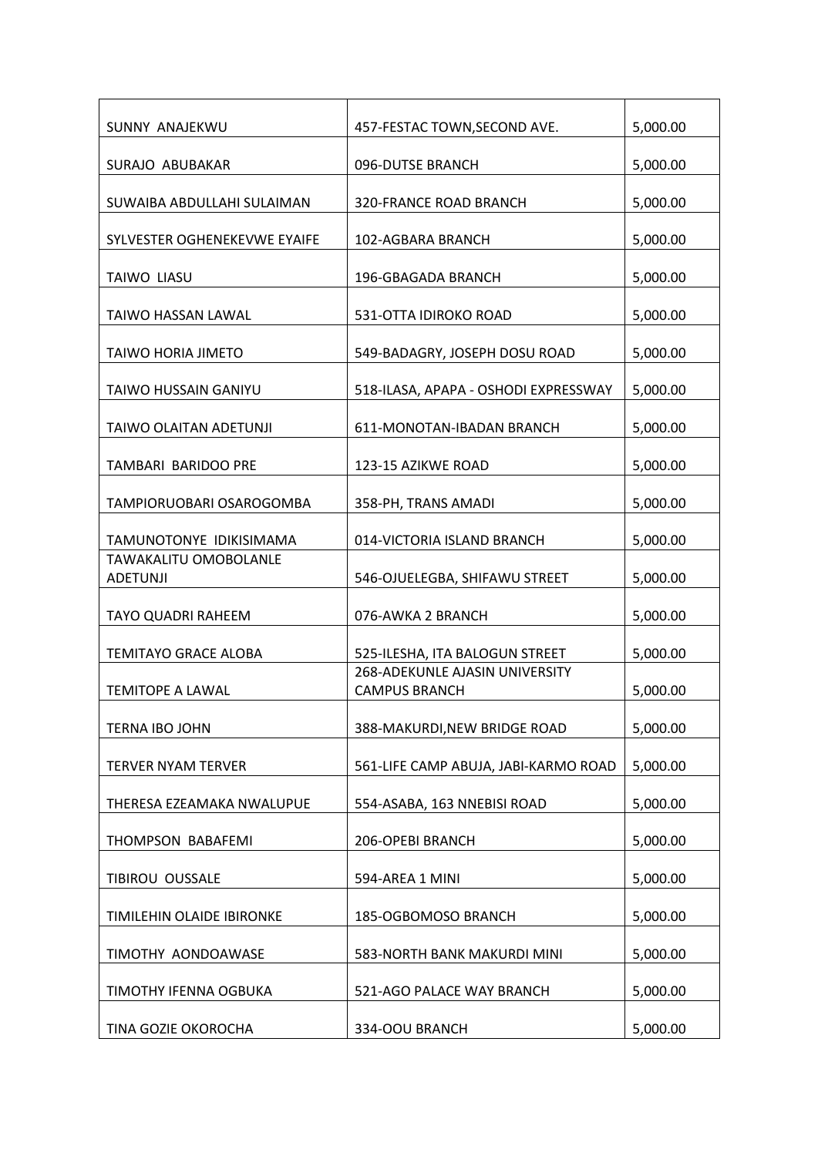| SUNNY ANAJEKWU                                  | 457-FESTAC TOWN, SECOND AVE.                                  | 5,000.00 |
|-------------------------------------------------|---------------------------------------------------------------|----------|
| SURAJO ABUBAKAR                                 | 096-DUTSE BRANCH                                              | 5,000.00 |
| SUWAIBA ABDULLAHI SULAIMAN                      | <b>320-FRANCE ROAD BRANCH</b>                                 | 5,000.00 |
| SYLVESTER OGHENEKEVWE EYAIFE                    | 102-AGBARA BRANCH                                             | 5,000.00 |
| <b>TAIWO LIASU</b>                              | 196-GBAGADA BRANCH                                            | 5,000.00 |
| <b>TAIWO HASSAN LAWAL</b>                       | 531-OTTA IDIROKO ROAD                                         | 5,000.00 |
| <b>TAIWO HORIA JIMETO</b>                       | 549-BADAGRY, JOSEPH DOSU ROAD                                 | 5,000.00 |
| <b>TAIWO HUSSAIN GANIYU</b>                     | 518-ILASA, APAPA - OSHODI EXPRESSWAY                          | 5,000.00 |
| TAIWO OLAITAN ADETUNJI                          | 611-MONOTAN-IBADAN BRANCH                                     | 5,000.00 |
| <b>TAMBARI BARIDOO PRE</b>                      | 123-15 AZIKWE ROAD                                            | 5,000.00 |
| TAMPIORUOBARI OSAROGOMBA                        | 358-PH, TRANS AMADI                                           | 5,000.00 |
| TAMUNOTONYE IDIKISIMAMA                         | 014-VICTORIA ISLAND BRANCH                                    | 5,000.00 |
| <b>TAWAKALITU OMOBOLANLE</b><br><b>ADETUNJI</b> | 546-OJUELEGBA, SHIFAWU STREET                                 | 5,000.00 |
| <b>TAYO QUADRI RAHEEM</b>                       | 076-AWKA 2 BRANCH                                             | 5,000.00 |
| <b>TEMITAYO GRACE ALOBA</b>                     | 525-ILESHA, ITA BALOGUN STREET                                | 5,000.00 |
| <b>TEMITOPE A LAWAL</b>                         | <b>268-ADEKUNLE AJASIN UNIVERSITY</b><br><b>CAMPUS BRANCH</b> | 5,000.00 |
| TERNA IBO JOHN                                  | 388-MAKURDI, NEW BRIDGE ROAD                                  | 5,000.00 |
| <b>TERVER NYAM TERVER</b>                       | 561-LIFE CAMP ABUJA, JABI-KARMO ROAD                          | 5,000.00 |
| THERESA EZEAMAKA NWALUPUE                       | 554-ASABA, 163 NNEBISI ROAD                                   | 5,000.00 |
| THOMPSON BABAFEMI                               | 206-OPEBI BRANCH                                              | 5,000.00 |
| TIBIROU OUSSALE                                 | 594-AREA 1 MINI                                               | 5,000.00 |
| TIMILEHIN OLAIDE IBIRONKE                       | 185-OGBOMOSO BRANCH                                           | 5,000.00 |
| TIMOTHY AONDOAWASE                              | 583-NORTH BANK MAKURDI MINI                                   | 5,000.00 |
| TIMOTHY IFENNA OGBUKA                           | 521-AGO PALACE WAY BRANCH                                     | 5,000.00 |
| TINA GOZIE OKOROCHA                             | 334-OOU BRANCH                                                | 5,000.00 |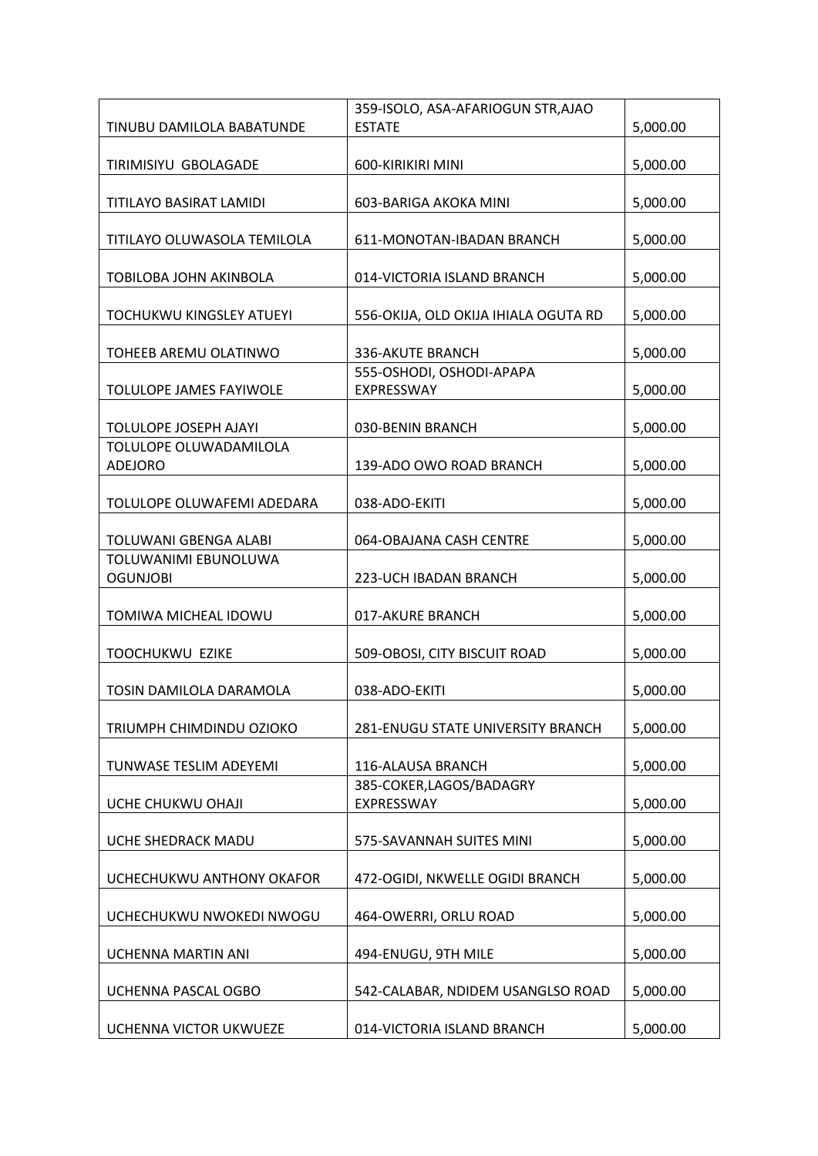|                                 | 359-ISOLO, ASA-AFARIOGUN STR, AJAO     |          |
|---------------------------------|----------------------------------------|----------|
| TINUBU DAMILOLA BABATUNDE       | <b>ESTATE</b>                          | 5,000.00 |
|                                 |                                        |          |
| TIRIMISIYU GBOLAGADE            | 600-KIRIKIRI MINI                      | 5,000.00 |
|                                 |                                        |          |
| TITILAYO BASIRAT LAMIDI         | 603-BARIGA AKOKA MINI                  | 5,000.00 |
|                                 |                                        |          |
| TITILAYO OLUWASOLA TEMILOLA     | 611-MONOTAN-IBADAN BRANCH              | 5,000.00 |
|                                 |                                        |          |
| TOBILOBA JOHN AKINBOLA          | 014-VICTORIA ISLAND BRANCH             | 5,000.00 |
|                                 |                                        |          |
| <b>TOCHUKWU KINGSLEY ATUEYI</b> | 556-OKIJA, OLD OKIJA IHIALA OGUTA RD   | 5,000.00 |
|                                 |                                        |          |
| TOHEEB AREMU OLATINWO           | 336-AKUTE BRANCH                       | 5,000.00 |
| TOLULOPE JAMES FAYIWOLE         | 555-OSHODI, OSHODI-APAPA<br>EXPRESSWAY | 5,000.00 |
|                                 |                                        |          |
| TOLULOPE JOSEPH AJAYI           | 030-BENIN BRANCH                       | 5,000.00 |
| TOLULOPE OLUWADAMILOLA          |                                        |          |
| <b>ADEJORO</b>                  | 139-ADO OWO ROAD BRANCH                | 5,000.00 |
|                                 |                                        |          |
| TOLULOPE OLUWAFEMI ADEDARA      | 038-ADO-EKITI                          | 5,000.00 |
|                                 |                                        |          |
| TOLUWANI GBENGA ALABI           | 064-OBAJANA CASH CENTRE                | 5,000.00 |
| TOLUWANIMI EBUNOLUWA            |                                        |          |
| <b>OGUNJOBI</b>                 | 223-UCH IBADAN BRANCH                  | 5,000.00 |
|                                 |                                        |          |
| TOMIWA MICHEAL IDOWU            | 017-AKURE BRANCH                       | 5,000.00 |
|                                 |                                        |          |
| TOOCHUKWU EZIKE                 | 509-OBOSI, CITY BISCUIT ROAD           | 5,000.00 |
|                                 |                                        |          |
| TOSIN DAMILOLA DARAMOLA         | 038-ADO-EKITI                          | 5,000.00 |
|                                 |                                        |          |
| TRIUMPH CHIMDINDU OZIOKO        | 281-ENUGU STATE UNIVERSITY BRANCH      | 5,000.00 |
|                                 |                                        |          |
| TUNWASE TESLIM ADEYEMI          | 116-ALAUSA BRANCH                      | 5,000.00 |
|                                 | 385-COKER, LAGOS/BADAGRY               |          |
| UCHE CHUKWU OHAJI               | EXPRESSWAY                             | 5,000.00 |
|                                 |                                        |          |
| UCHE SHEDRACK MADU              | 575-SAVANNAH SUITES MINI               | 5,000.00 |
|                                 |                                        |          |
| UCHECHUKWU ANTHONY OKAFOR       | 472-OGIDI, NKWELLE OGIDI BRANCH        | 5,000.00 |
| UCHECHUKWU NWOKEDI NWOGU        | 464-OWERRI, ORLU ROAD                  | 5,000.00 |
|                                 |                                        |          |
| UCHENNA MARTIN ANI              | 494-ENUGU, 9TH MILE                    | 5,000.00 |
|                                 |                                        |          |
| UCHENNA PASCAL OGBO             | 542-CALABAR, NDIDEM USANGLSO ROAD      | 5,000.00 |
|                                 |                                        |          |
| UCHENNA VICTOR UKWUEZE          | 014-VICTORIA ISLAND BRANCH             | 5,000.00 |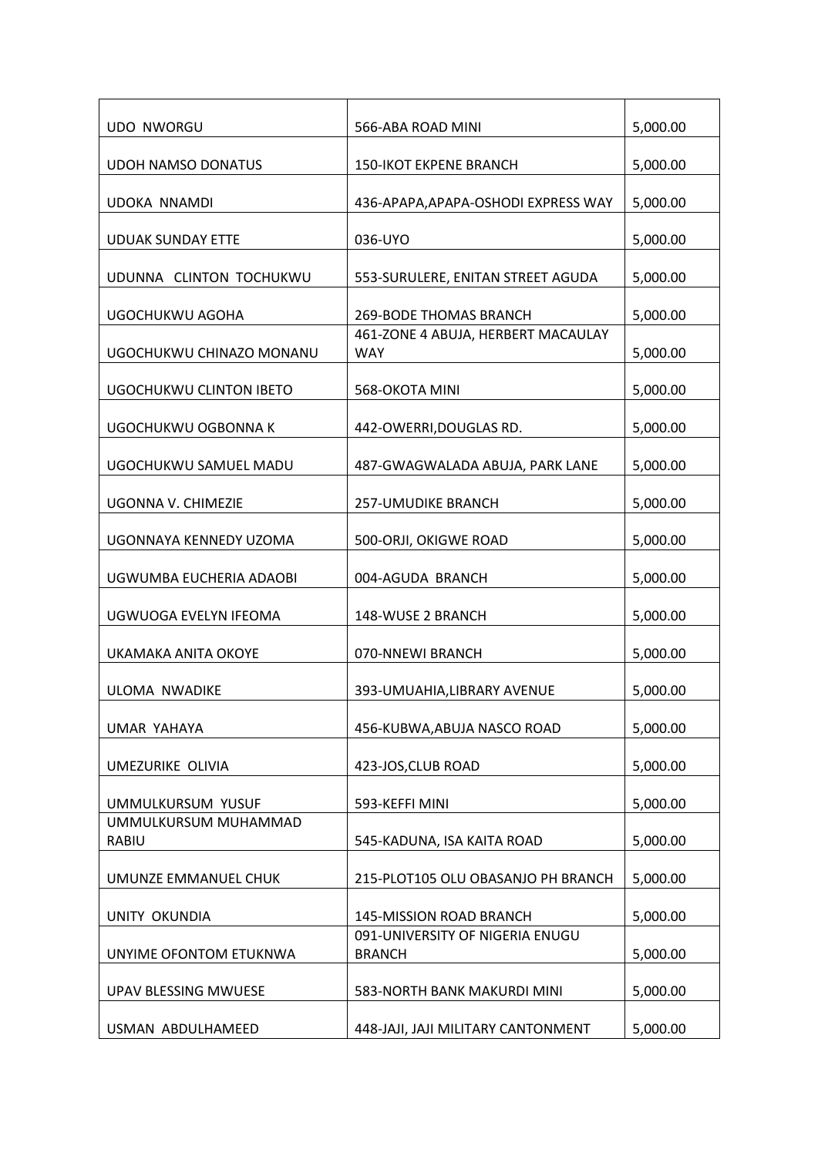| <b>UDO NWORGU</b>                    | 566-ABA ROAD MINI                                | 5,000.00 |
|--------------------------------------|--------------------------------------------------|----------|
| <b>UDOH NAMSO DONATUS</b>            | <b>150-IKOT EKPENE BRANCH</b>                    | 5,000.00 |
| <b>UDOKA NNAMDI</b>                  | 436-APAPA, APAPA-OSHODI EXPRESS WAY              | 5,000.00 |
| <b>UDUAK SUNDAY ETTE</b>             | 036-UYO                                          | 5,000.00 |
| UDUNNA CLINTON TOCHUKWU              | 553-SURULERE, ENITAN STREET AGUDA                | 5,000.00 |
| UGOCHUKWU AGOHA                      | 269-BODE THOMAS BRANCH                           | 5,000.00 |
| UGOCHUKWU CHINAZO MONANU             | 461-ZONE 4 ABUJA, HERBERT MACAULAY<br><b>WAY</b> | 5,000.00 |
| UGOCHUKWU CLINTON IBETO              | 568-OKOTA MINI                                   | 5,000.00 |
| UGOCHUKWU OGBONNA K                  | 442-OWERRI, DOUGLAS RD.                          | 5,000.00 |
| UGOCHUKWU SAMUEL MADU                | 487-GWAGWALADA ABUJA, PARK LANE                  | 5,000.00 |
| UGONNA V. CHIMEZIE                   | <b>257-UMUDIKE BRANCH</b>                        | 5,000.00 |
| UGONNAYA KENNEDY UZOMA               | 500-ORJI, OKIGWE ROAD                            | 5,000.00 |
| UGWUMBA EUCHERIA ADAOBI              | 004-AGUDA BRANCH                                 | 5,000.00 |
| UGWUOGA EVELYN IFEOMA                | 148-WUSE 2 BRANCH                                | 5,000.00 |
| UKAMAKA ANITA OKOYE                  | 070-NNEWI BRANCH                                 | 5,000.00 |
| ULOMA NWADIKE                        | 393-UMUAHIA, LIBRARY AVENUE                      | 5,000.00 |
| <b>UMAR YAHAYA</b>                   | 456-KUBWA, ABUJA NASCO ROAD                      | 5,000.00 |
| UMEZURIKE OLIVIA                     | 423-JOS, CLUB ROAD                               | 5,000.00 |
| UMMULKURSUM YUSUF                    | 593-KEFFI MINI                                   | 5,000.00 |
| UMMULKURSUM MUHAMMAD<br><b>RABIU</b> | 545-KADUNA, ISA KAITA ROAD                       | 5,000.00 |
| UMUNZE EMMANUEL CHUK                 | 215-PLOT105 OLU OBASANJO PH BRANCH               | 5,000.00 |
| <b>UNITY OKUNDIA</b>                 | 145-MISSION ROAD BRANCH                          | 5,000.00 |
| UNYIME OFONTOM ETUKNWA               | 091-UNIVERSITY OF NIGERIA ENUGU<br><b>BRANCH</b> | 5,000.00 |
| UPAV BLESSING MWUESE                 | 583-NORTH BANK MAKURDI MINI                      | 5,000.00 |
| USMAN ABDULHAMEED                    | 448-JAJI, JAJI MILITARY CANTONMENT               | 5,000.00 |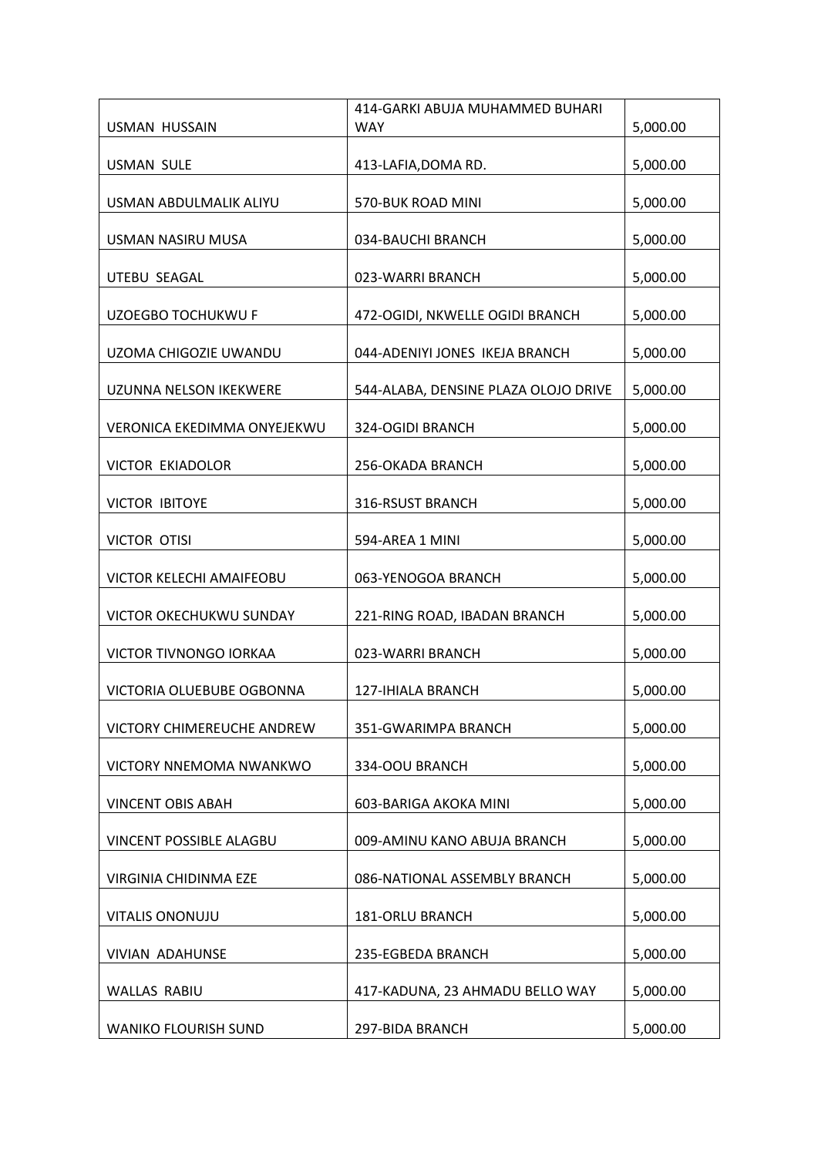|                                    | 414-GARKI ABUJA MUHAMMED BUHARI      |          |
|------------------------------------|--------------------------------------|----------|
| USMAN HUSSAIN                      | <b>WAY</b>                           | 5,000.00 |
| <b>USMAN SULE</b>                  | 413-LAFIA, DOMA RD.                  | 5,000.00 |
|                                    |                                      |          |
| USMAN ABDULMALIK ALIYU             | 570-BUK ROAD MINI                    | 5,000.00 |
| <b>USMAN NASIRU MUSA</b>           | 034-BAUCHI BRANCH                    | 5,000.00 |
| UTEBU SEAGAL                       | 023-WARRI BRANCH                     | 5,000.00 |
| UZOEGBO TOCHUKWU F                 | 472-OGIDI, NKWELLE OGIDI BRANCH      | 5,000.00 |
| UZOMA CHIGOZIE UWANDU              | 044-ADENIYI JONES IKEJA BRANCH       | 5,000.00 |
| UZUNNA NELSON IKEKWERE             | 544-ALABA, DENSINE PLAZA OLOJO DRIVE | 5,000.00 |
| <b>VERONICA EKEDIMMA ONYEJEKWU</b> | 324-OGIDI BRANCH                     | 5,000.00 |
| <b>VICTOR EKIADOLOR</b>            | 256-OKADA BRANCH                     | 5,000.00 |
| <b>VICTOR IBITOYE</b>              | 316-RSUST BRANCH                     | 5,000.00 |
| <b>VICTOR OTISI</b>                | 594-AREA 1 MINI                      | 5,000.00 |
| VICTOR KELECHI AMAIFEOBU           | 063-YENOGOA BRANCH                   | 5,000.00 |
| <b>VICTOR OKECHUKWU SUNDAY</b>     | 221-RING ROAD, IBADAN BRANCH         | 5,000.00 |
| VICTOR TIVNONGO IORKAA             | 023-WARRI BRANCH                     | 5,000.00 |
| VICTORIA OLUEBUBE OGBONNA          | 127-IHIALA BRANCH                    | 5,000.00 |
| VICTORY CHIMEREUCHE ANDREW         | 351-GWARIMPA BRANCH                  | 5,000.00 |
| VICTORY NNEMOMA NWANKWO            | 334-OOU BRANCH                       | 5,000.00 |
| <b>VINCENT OBIS ABAH</b>           | 603-BARIGA AKOKA MINI                | 5,000.00 |
| VINCENT POSSIBLE ALAGBU            | 009-AMINU KANO ABUJA BRANCH          | 5,000.00 |
| VIRGINIA CHIDINMA EZE              | 086-NATIONAL ASSEMBLY BRANCH         | 5,000.00 |
| <b>VITALIS ONONUJU</b>             | 181-ORLU BRANCH                      | 5,000.00 |
| VIVIAN ADAHUNSE                    | 235-EGBEDA BRANCH                    | 5,000.00 |
| WALLAS RABIU                       | 417-KADUNA, 23 AHMADU BELLO WAY      | 5,000.00 |
| <b>WANIKO FLOURISH SUND</b>        | 297-BIDA BRANCH                      | 5,000.00 |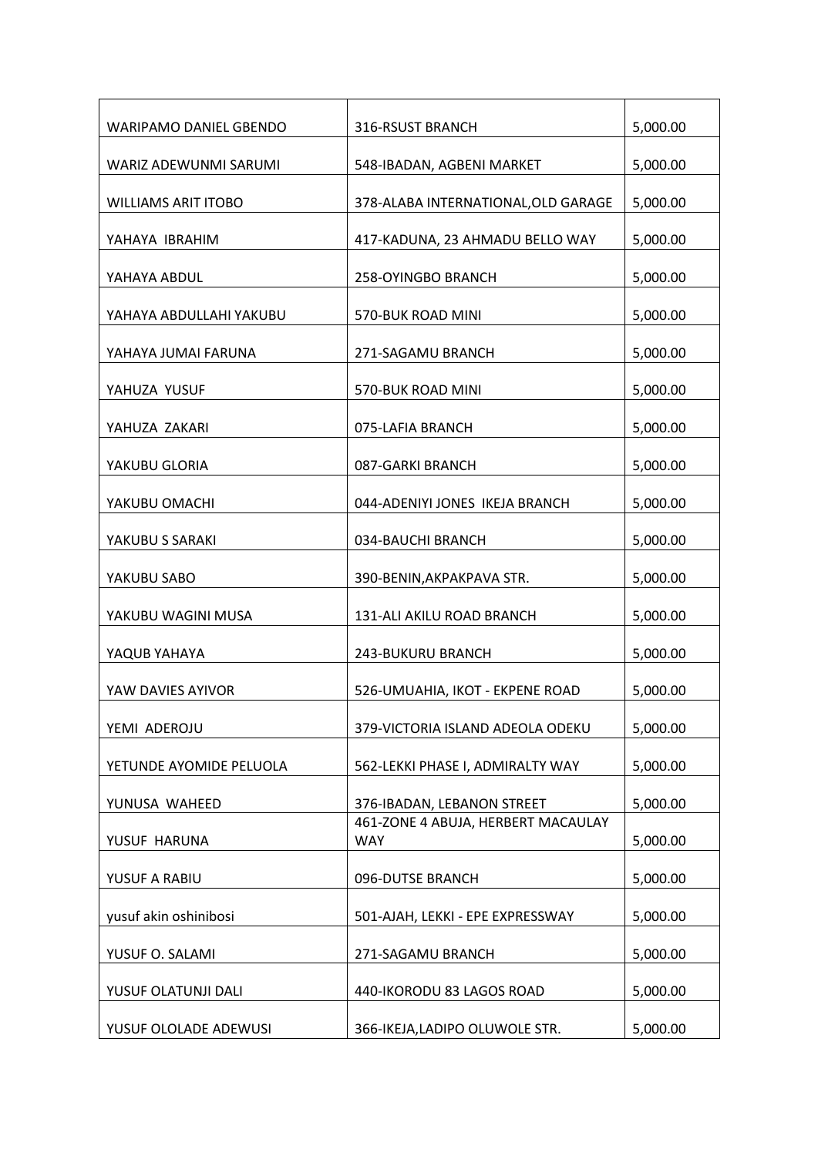| <b>WARIPAMO DANIEL GBENDO</b> | 316-RSUST BRANCH                                 | 5,000.00 |
|-------------------------------|--------------------------------------------------|----------|
| WARIZ ADEWUNMI SARUMI         | 548-IBADAN, AGBENI MARKET                        | 5,000.00 |
| <b>WILLIAMS ARIT ITOBO</b>    | 378-ALABA INTERNATIONAL, OLD GARAGE              | 5,000.00 |
| YAHAYA IBRAHIM                | 417-KADUNA, 23 AHMADU BELLO WAY                  | 5,000.00 |
| YAHAYA ABDUL                  | 258-OYINGBO BRANCH                               | 5,000.00 |
| YAHAYA ABDULLAHI YAKUBU       | 570-BUK ROAD MINI                                | 5,000.00 |
| YAHAYA JUMAI FARUNA           | 271-SAGAMU BRANCH                                | 5,000.00 |
| YAHUZA YUSUF                  | 570-BUK ROAD MINI                                | 5,000.00 |
| YAHUZA ZAKARI                 | 075-LAFIA BRANCH                                 | 5,000.00 |
| YAKUBU GLORIA                 | 087-GARKI BRANCH                                 | 5,000.00 |
| YAKUBU OMACHI                 | 044-ADENIYI JONES IKEJA BRANCH                   | 5,000.00 |
| YAKUBU S SARAKI               | 034-BAUCHI BRANCH                                | 5,000.00 |
| YAKUBU SABO                   | 390-BENIN, AKPAKPAVA STR.                        | 5,000.00 |
| YAKUBU WAGINI MUSA            | 131-ALI AKILU ROAD BRANCH                        | 5,000.00 |
| YAQUB YAHAYA                  | 243-BUKURU BRANCH                                | 5,000.00 |
| YAW DAVIES AYIVOR             | 526-UMUAHIA, IKOT - EKPENE ROAD                  | 5,000.00 |
| YEMI ADEROJU                  | 379-VICTORIA ISLAND ADEOLA ODEKU                 | 5,000.00 |
| YETUNDE AYOMIDE PELUOLA       | 562-LEKKI PHASE I, ADMIRALTY WAY                 | 5,000.00 |
| YUNUSA WAHEED                 | 376-IBADAN, LEBANON STREET                       | 5,000.00 |
| YUSUF HARUNA                  | 461-ZONE 4 ABUJA, HERBERT MACAULAY<br><b>WAY</b> | 5,000.00 |
| YUSUF A RABIU                 | 096-DUTSE BRANCH                                 | 5,000.00 |
| yusuf akin oshinibosi         | 501-AJAH, LEKKI - EPE EXPRESSWAY                 | 5,000.00 |
| YUSUF O. SALAMI               | 271-SAGAMU BRANCH                                | 5,000.00 |
| YUSUF OLATUNJI DALI           | 440-IKORODU 83 LAGOS ROAD                        | 5,000.00 |
| YUSUF OLOLADE ADEWUSI         | 366-IKEJA,LADIPO OLUWOLE STR.                    | 5,000.00 |